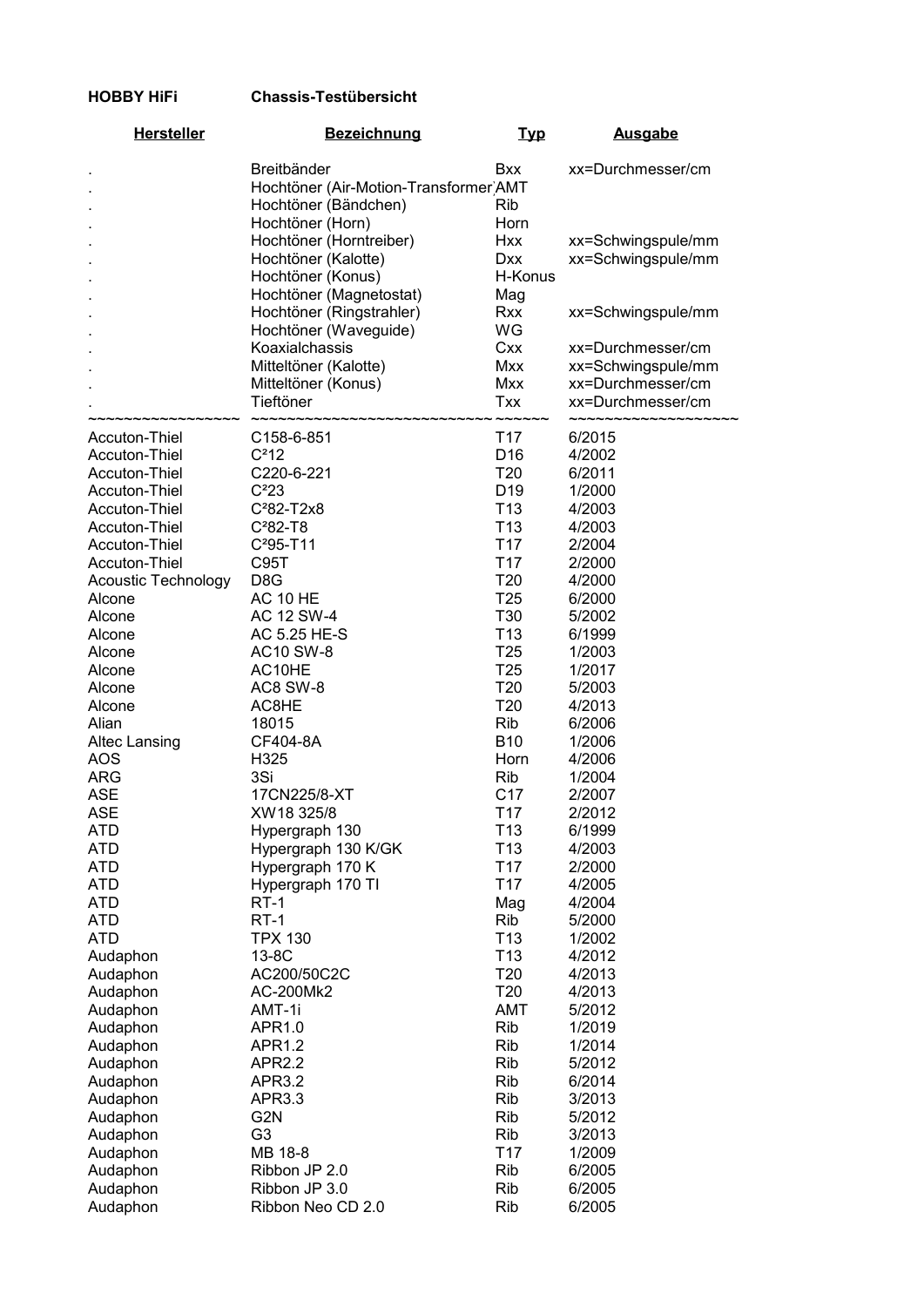## HOBBY HiFi Chassis-Testübersicht

| <b>Hersteller</b>          | <b>Bezeichnung</b>                          | <b>Typ</b>      | <b>Ausgabe</b>     |
|----------------------------|---------------------------------------------|-----------------|--------------------|
|                            | Breitbänder                                 | <b>Bxx</b>      | xx=Durchmesser/cm  |
|                            | Hochtöner (Air-Motion-Transformer)AMT       |                 |                    |
|                            | Hochtöner (Bändchen)                        | Rib             |                    |
|                            | Hochtöner (Horn)                            | Horn            |                    |
|                            | Hochtöner (Horntreiber)                     | <b>Hxx</b>      | xx=Schwingspule/mm |
|                            | Hochtöner (Kalotte)                         | <b>Dxx</b>      | xx=Schwingspule/mm |
|                            | Hochtöner (Konus)                           | H-Konus         |                    |
|                            | Hochtöner (Magnetostat)                     | Mag             |                    |
|                            | Hochtöner (Ringstrahler)                    | <b>Rxx</b>      | xx=Schwingspule/mm |
|                            | Hochtöner (Waveguide)                       | WG              |                    |
|                            | Koaxialchassis                              | Cxx             | xx=Durchmesser/cm  |
|                            | Mitteltöner (Kalotte)                       | Mxx             | xx=Schwingspule/mm |
|                            | Mitteltöner (Konus)                         | <b>Mxx</b>      | xx=Durchmesser/cm  |
|                            | Tieftöner                                   | <b>Txx</b>      | xx=Durchmesser/cm  |
|                            | $\n  simmin\n$<br>www.www.www.www.www.www.w |                 |                    |
| Accuton-Thiel              | C158-6-851                                  | T <sub>17</sub> | 6/2015             |
| Accuton-Thiel              | $C^212$                                     | D <sub>16</sub> | 4/2002             |
| Accuton-Thiel              | C220-6-221                                  | T <sub>20</sub> | 6/2011             |
| Accuton-Thiel              | C <sup>2</sup> 23                           | D <sub>19</sub> | 1/2000             |
| Accuton-Thiel              | $C282-T2x8$                                 | T <sub>13</sub> | 4/2003             |
| Accuton-Thiel              | $C282-T8$                                   | T <sub>13</sub> | 4/2003             |
| Accuton-Thiel              | $C295-T11$                                  | T <sub>17</sub> | 2/2004             |
| Accuton-Thiel              | C95T                                        | T <sub>17</sub> | 2/2000             |
| <b>Acoustic Technology</b> | D <sub>8</sub> G                            | T <sub>20</sub> | 4/2000             |
| Alcone                     | <b>AC 10 HE</b>                             | T <sub>25</sub> | 6/2000             |
| Alcone                     | AC 12 SW-4                                  | T30             | 5/2002             |
| Alcone                     | AC 5.25 HE-S                                | T <sub>13</sub> | 6/1999             |
| Alcone                     | <b>AC10 SW-8</b>                            | T <sub>25</sub> | 1/2003             |
| Alcone                     | AC10HE                                      | T <sub>25</sub> | 1/2017             |
| Alcone                     | AC8 SW-8                                    | T <sub>20</sub> | 5/2003             |
| Alcone                     | AC8HE                                       | T <sub>20</sub> | 4/2013             |
| Alian                      | 18015                                       | <b>Rib</b>      | 6/2006             |
| <b>Altec Lansing</b>       | CF404-8A                                    | <b>B10</b>      | 1/2006             |
| <b>AOS</b>                 | H325                                        | <b>Horn</b>     | 4/2006             |
| <b>ARG</b>                 | 3Si                                         | Rib             | 1/2004             |
| <b>ASE</b>                 | 17CN225/8-XT                                | C <sub>17</sub> | 2/2007             |
| <b>ASE</b>                 | XW18 325/8                                  | T <sub>17</sub> | 2/2012             |
| ATD                        | Hypergraph 130                              | T <sub>13</sub> | 6/1999             |
| ATD                        | Hypergraph 130 K/GK                         | T <sub>13</sub> | 4/2003             |
| <b>ATD</b>                 | Hypergraph 170 K                            | T <sub>17</sub> | 2/2000             |
| ATD                        | Hypergraph 170 TI                           | T <sub>17</sub> | 4/2005             |
| ATD                        | <b>RT-1</b>                                 | Mag             | 4/2004             |
| <b>ATD</b>                 | <b>RT-1</b>                                 | Rib             | 5/2000             |
| <b>ATD</b>                 | <b>TPX 130</b>                              | T <sub>13</sub> | 1/2002             |
| Audaphon                   | 13-8C                                       | T <sub>13</sub> | 4/2012             |
| Audaphon                   | AC200/50C2C                                 | T <sub>20</sub> | 4/2013             |
| Audaphon                   | AC-200Mk2                                   | T20             | 4/2013             |
| Audaphon                   | AMT-1i                                      | AMT             | 5/2012             |
| Audaphon                   | APR1.0                                      | <b>Rib</b>      | 1/2019             |
| Audaphon                   | <b>APR1.2</b>                               | <b>Rib</b>      | 1/2014             |
| Audaphon                   | <b>APR2.2</b>                               | <b>Rib</b>      | 5/2012             |
| Audaphon                   | <b>APR3.2</b>                               | <b>Rib</b>      | 6/2014             |
| Audaphon                   | APR3.3                                      | <b>Rib</b>      | 3/2013             |
| Audaphon                   | G <sub>2</sub> N                            | <b>Rib</b>      | 5/2012             |
| Audaphon                   | G <sub>3</sub>                              | Rib             | 3/2013             |
| Audaphon                   | MB 18-8                                     | T <sub>17</sub> | 1/2009             |
| Audaphon                   | Ribbon JP 2.0                               | Rib             | 6/2005             |
| Audaphon                   | Ribbon JP 3.0                               | Rib             | 6/2005             |
| Audaphon                   | Ribbon Neo CD 2.0                           | <b>Rib</b>      | 6/2005             |
|                            |                                             |                 |                    |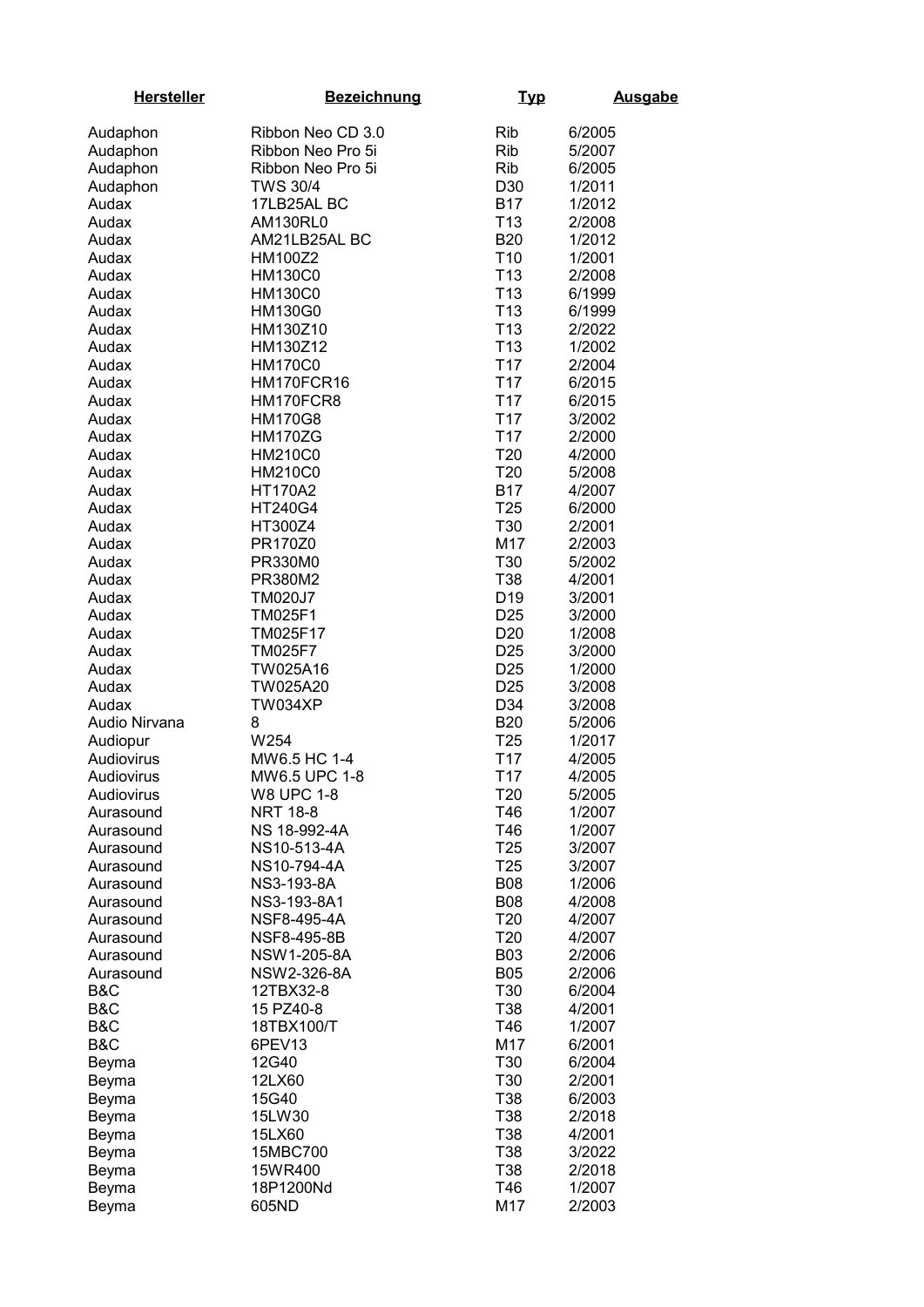| <b>Hersteller</b>         | <b>Bezeichnung</b> | <u>Typ</u>                    | <b>Ausgabe</b>   |
|---------------------------|--------------------|-------------------------------|------------------|
| Audaphon                  | Ribbon Neo CD 3.0  | Rib                           | 6/2005           |
| Audaphon                  | Ribbon Neo Pro 5i  | <b>Rib</b>                    | 5/2007           |
| Audaphon                  | Ribbon Neo Pro 5i  | <b>Rib</b>                    | 6/2005           |
| Audaphon                  | <b>TWS 30/4</b>    | D30                           | 1/2011           |
| Audax                     | 17LB25AL BC        | <b>B17</b>                    | 1/2012           |
| Audax                     | AM130RL0           | T <sub>13</sub>               | 2/2008           |
| Audax                     | AM21LB25AL BC      | <b>B20</b>                    | 1/2012           |
| Audax                     | HM100Z2            | T <sub>10</sub>               | 1/2001           |
| Audax                     | <b>HM130C0</b>     | T <sub>13</sub>               | 2/2008           |
| Audax                     | <b>HM130C0</b>     | T <sub>13</sub>               | 6/1999           |
| Audax                     | <b>HM130G0</b>     | T <sub>13</sub>               | 6/1999           |
| Audax                     | HM130Z10           | T <sub>13</sub>               | 2/2022           |
| Audax                     | HM130Z12           | T <sub>13</sub>               | 1/2002           |
| Audax                     | <b>HM170C0</b>     | T <sub>17</sub>               | 2/2004           |
| Audax                     | HM170FCR16         | T <sub>17</sub>               | 6/2015           |
| Audax                     | HM170FCR8          | T <sub>17</sub>               | 6/2015           |
| Audax                     | <b>HM170G8</b>     | T <sub>17</sub>               | 3/2002           |
| Audax                     | <b>HM170ZG</b>     | T <sub>17</sub>               | 2/2000           |
| Audax                     | <b>HM210C0</b>     | T <sub>20</sub>               | 4/2000           |
| Audax                     | <b>HM210C0</b>     | T <sub>20</sub>               | 5/2008           |
| Audax                     | <b>HT170A2</b>     | <b>B17</b>                    | 4/2007           |
| Audax                     | HT240G4            | T <sub>25</sub>               | 6/2000           |
| Audax                     | HT300Z4            | T30                           | 2/2001           |
| Audax                     | PR170Z0            | M17                           | 2/2003           |
| Audax                     | PR330M0            | T30                           | 5/2002           |
| Audax                     | PR380M2            | T38                           | 4/2001           |
| Audax                     | <b>TM020J7</b>     | D <sub>19</sub>               | 3/2001           |
| Audax                     | <b>TM025F1</b>     | D <sub>25</sub>               | 3/2000           |
| Audax                     | TM025F17           | D <sub>20</sub>               | 1/2008           |
| Audax                     | <b>TM025F7</b>     | D <sub>25</sub>               | 3/2000           |
| Audax                     | TW025A16           | D <sub>25</sub>               | 1/2000           |
| Audax                     | TW025A20           | D <sub>25</sub>               | 3/2008           |
| Audax                     | TW034XP            | D34                           | 3/2008           |
| Audio Nirvana<br>Audiopur | 8<br>W254          | <b>B20</b><br>T <sub>25</sub> | 5/2006           |
| Audiovirus                | MW6.5 HC 1-4       | T <sub>17</sub>               | 1/2017<br>4/2005 |
| Audiovirus                | MW6.5 UPC 1-8      | T <sub>17</sub>               | 4/2005           |
| Audiovirus                | <b>W8 UPC 1-8</b>  | T20                           | 5/2005           |
| Aurasound                 | <b>NRT 18-8</b>    | T46                           | 1/2007           |
| Aurasound                 | NS 18-992-4A       | T46                           | 1/2007           |
| Aurasound                 | NS10-513-4A        | T <sub>25</sub>               | 3/2007           |
| Aurasound                 | NS10-794-4A        | T <sub>25</sub>               | 3/2007           |
| Aurasound                 | NS3-193-8A         | <b>B08</b>                    | 1/2006           |
| Aurasound                 | NS3-193-8A1        | <b>B08</b>                    | 4/2008           |
| Aurasound                 | NSF8-495-4A        | T <sub>20</sub>               | 4/2007           |
| Aurasound                 | NSF8-495-8B        | T20                           | 4/2007           |
| Aurasound                 | NSW1-205-8A        | <b>B03</b>                    | 2/2006           |
| Aurasound                 | NSW2-326-8A        | <b>B05</b>                    | 2/2006           |
| B&C                       | 12TBX32-8          | T30                           | 6/2004           |
| B&C                       | 15 PZ40-8          | T38                           | 4/2001           |
| B&C                       | 18TBX100/T         | T46                           | 1/2007           |
| B&C                       | 6PEV13             | M17                           | 6/2001           |
| Beyma                     | 12G40              | T30                           | 6/2004           |
| Beyma                     | 12LX60             | T30                           | 2/2001           |
| Beyma                     | 15G40              | T38                           | 6/2003           |
| Beyma                     | 15LW30             | T38                           | 2/2018           |
| Beyma                     | 15LX60             | T38                           | 4/2001           |
| Beyma                     | 15MBC700           | T38                           | 3/2022           |
| Beyma                     | 15WR400            | T38                           | 2/2018           |
| Beyma                     | 18P1200Nd          | T46                           | 1/2007           |
| Beyma                     | 605ND              | M17                           | 2/2003           |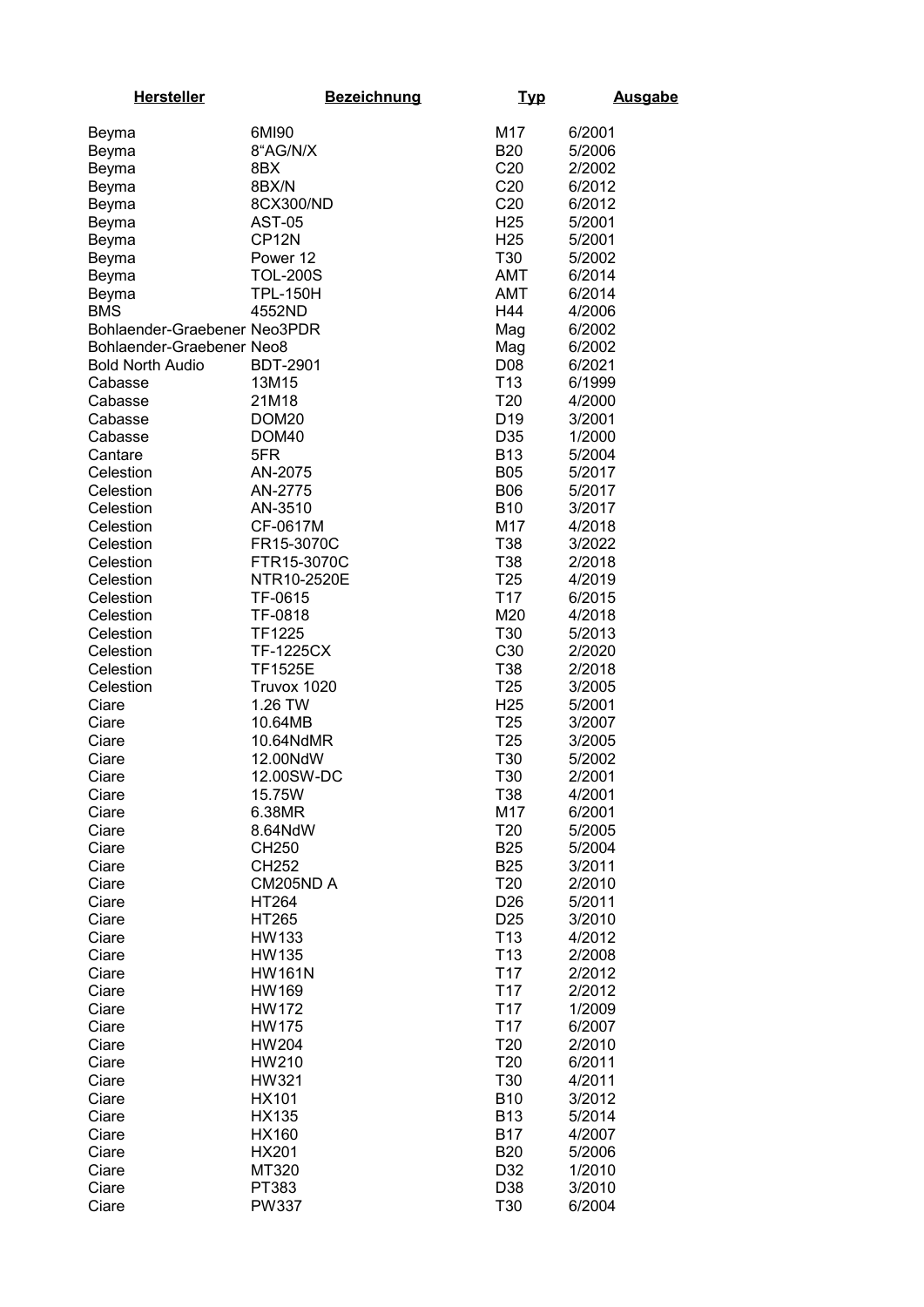| <b>Hersteller</b>            | <b>Bezeichnung</b>     | <u>Typ</u>                         | <b>Ausgabe</b>   |
|------------------------------|------------------------|------------------------------------|------------------|
| Beyma                        | 6MI90                  | M17                                | 6/2001           |
| Beyma                        | 8"AG/N/X               | <b>B20</b>                         | 5/2006           |
| Beyma                        | 8BX                    | C20                                | 2/2002           |
| Beyma                        | 8BX/N                  | C20                                | 6/2012           |
| Beyma                        | 8CX300/ND              | C20                                | 6/2012           |
| Beyma                        | <b>AST-05</b>          | H <sub>25</sub>                    | 5/2001           |
| Beyma                        | CP <sub>12N</sub>      | H <sub>25</sub>                    | 5/2001           |
| Beyma                        | Power 12               | T30                                | 5/2002           |
| Beyma                        | <b>TOL-200S</b>        | AMT                                | 6/2014           |
| Beyma                        | <b>TPL-150H</b>        | <b>AMT</b>                         | 6/2014           |
| <b>BMS</b>                   | 4552ND                 | H44                                | 4/2006           |
| Bohlaender-Graebener Neo3PDR |                        | Mag                                | 6/2002           |
| Bohlaender-Graebener Neo8    |                        | Mag                                | 6/2002           |
| <b>Bold North Audio</b>      | <b>BDT-2901</b>        | D <sub>08</sub>                    | 6/2021           |
| Cabasse                      | 13M15                  | T <sub>13</sub>                    | 6/1999           |
| Cabasse                      | 21M18                  | T20                                | 4/2000           |
| Cabasse                      | DOM <sub>20</sub>      | D <sub>19</sub>                    | 3/2001           |
| Cabasse                      | DOM40                  | D35                                | 1/2000           |
| Cantare                      | 5FR                    | <b>B13</b>                         | 5/2004           |
| Celestion                    | AN-2075                | <b>B05</b>                         | 5/2017           |
| Celestion                    | AN-2775                | <b>B06</b>                         | 5/2017           |
| Celestion                    | AN-3510                | <b>B10</b>                         | 3/2017           |
| Celestion                    | CF-0617M               | M17                                | 4/2018           |
| Celestion                    | FR15-3070C             | T38                                | 3/2022           |
| Celestion                    | FTR15-3070C            | T38                                | 2/2018           |
| Celestion                    | NTR10-2520E            | T <sub>25</sub>                    | 4/2019           |
| Celestion                    | TF-0615                | T <sub>17</sub>                    | 6/2015           |
| Celestion                    | TF-0818                | M20                                | 4/2018           |
| Celestion                    | <b>TF1225</b>          | T30                                | 5/2013           |
| Celestion                    | <b>TF-1225CX</b>       | C30                                | 2/2020           |
| Celestion                    | <b>TF1525E</b>         | T38                                | 2/2018           |
| Celestion                    | Truvox 1020<br>1.26 TW | T <sub>25</sub>                    | 3/2005           |
| Ciare<br>Ciare               | 10.64MB                | H <sub>25</sub><br>T <sub>25</sub> | 5/2001<br>3/2007 |
| Ciare                        | 10.64NdMR              | T <sub>25</sub>                    | 3/2005           |
| Ciare                        | 12.00NdW               | T30                                | 5/2002           |
| Ciare                        | 12.00SW-DC             | T <sub>30</sub>                    | 2/2001           |
| Ciare                        | 15.75W                 | T38                                | 4/2001           |
| Ciare                        | 6.38MR                 | M17                                | 6/2001           |
| Ciare                        | 8.64NdW                | T <sub>20</sub>                    | 5/2005           |
| Ciare                        | CH250                  | <b>B25</b>                         | 5/2004           |
| Ciare                        | CH252                  | <b>B25</b>                         | 3/2011           |
| Ciare                        | CM205ND A              | T <sub>20</sub>                    | 2/2010           |
| Ciare                        | HT264                  | D <sub>26</sub>                    | 5/2011           |
| Ciare                        | <b>HT265</b>           | D <sub>25</sub>                    | 3/2010           |
| Ciare                        | <b>HW133</b>           | T <sub>13</sub>                    | 4/2012           |
| Ciare                        | HW135                  | T <sub>13</sub>                    | 2/2008           |
| Ciare                        | <b>HW161N</b>          | T <sub>17</sub>                    | 2/2012           |
| Ciare                        | HW169                  | T <sub>17</sub>                    | 2/2012           |
| Ciare                        | <b>HW172</b>           | T <sub>17</sub>                    | 1/2009           |
| Ciare                        | <b>HW175</b>           | T <sub>17</sub>                    | 6/2007           |
| Ciare                        | <b>HW204</b>           | T <sub>20</sub>                    | 2/2010           |
| Ciare                        | <b>HW210</b>           | T <sub>20</sub>                    | 6/2011           |
| Ciare                        | HW321                  | T30                                | 4/2011           |
| Ciare                        | <b>HX101</b>           | <b>B10</b>                         | 3/2012           |
| Ciare                        | HX135                  | <b>B13</b>                         | 5/2014           |
| Ciare                        | HX160                  | <b>B17</b>                         | 4/2007           |
| Ciare                        | <b>HX201</b>           | <b>B20</b>                         | 5/2006           |
| Ciare                        | MT320                  | D32                                | 1/2010           |
| Ciare                        | PT383                  | D38                                | 3/2010           |
| Ciare                        | <b>PW337</b>           | T <sub>30</sub>                    | 6/2004           |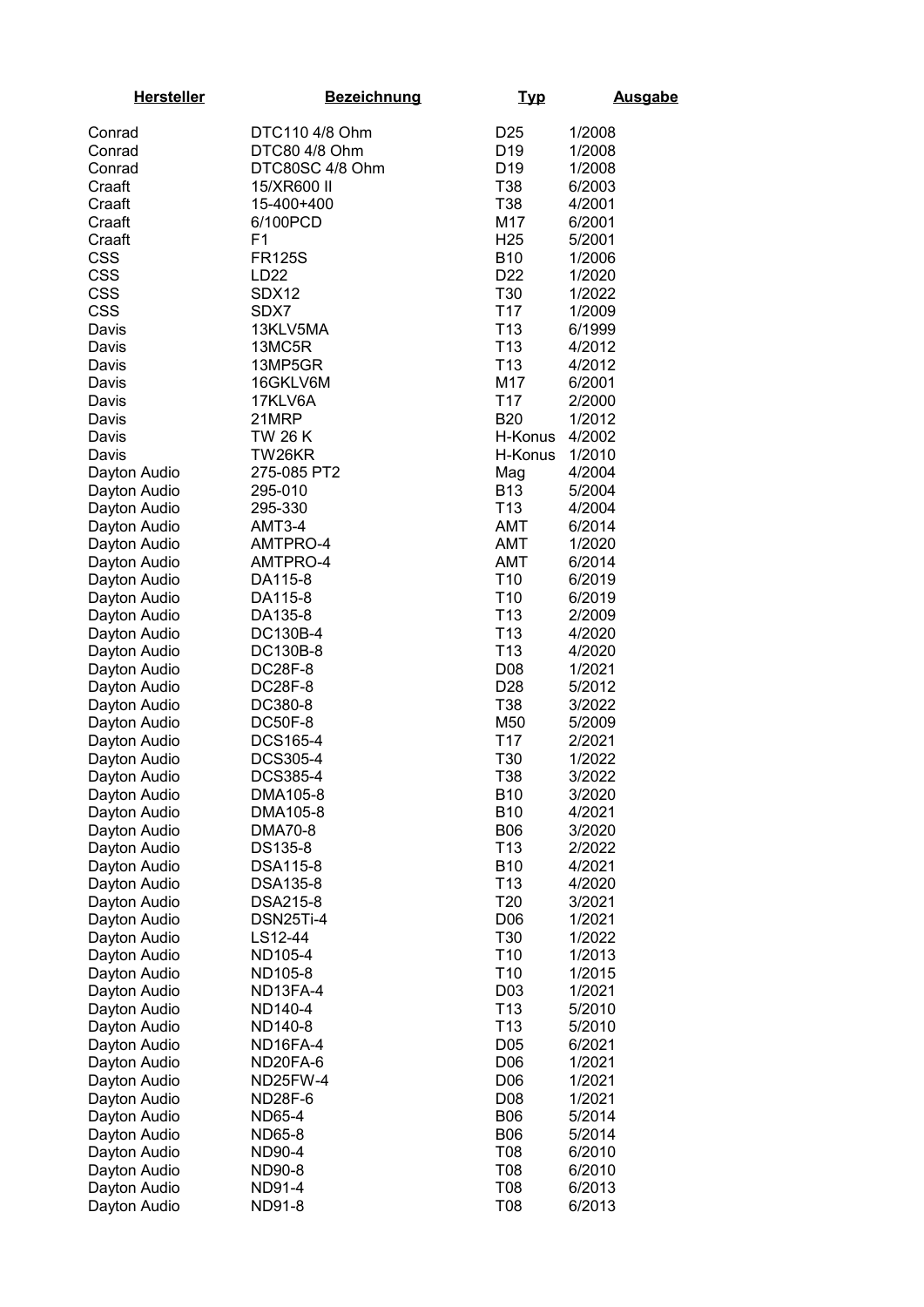| <b>Hersteller</b>            | <b>Bezeichnung</b>         | <u>Typ</u>                         | <b>Ausgabe</b>   |
|------------------------------|----------------------------|------------------------------------|------------------|
| Conrad                       | DTC110 4/8 Ohm             | D <sub>25</sub>                    | 1/2008           |
| Conrad                       | DTC80 4/8 Ohm              | D <sub>19</sub>                    | 1/2008           |
| Conrad                       | DTC80SC 4/8 Ohm            | D <sub>19</sub>                    | 1/2008           |
| Craaft                       | 15/XR600 II                | T38                                | 6/2003           |
| Craaft                       | 15-400+400                 | T38                                | 4/2001           |
| Craaft                       | 6/100PCD                   | M17                                | 6/2001           |
| Craaft                       | F <sub>1</sub>             | H <sub>25</sub>                    | 5/2001           |
| <b>CSS</b>                   | <b>FR125S</b>              | <b>B10</b>                         | 1/2006           |
| <b>CSS</b>                   | LD <sub>22</sub>           | D <sub>22</sub>                    | 1/2020           |
| <b>CSS</b>                   | SDX12                      | T30                                | 1/2022           |
| <b>CSS</b>                   | SDX7                       | T <sub>17</sub>                    | 1/2009           |
| Davis                        | 13KLV5MA                   | T <sub>13</sub>                    | 6/1999           |
| Davis                        | 13MC5R                     | T <sub>13</sub>                    | 4/2012           |
| Davis                        | 13MP5GR                    | T <sub>13</sub>                    | 4/2012           |
| Davis                        | 16GKLV6M                   | M17                                | 6/2001           |
| Davis                        | 17KLV6A                    | T <sub>17</sub>                    | 2/2000           |
| Davis                        | 21MRP                      | <b>B20</b>                         | 1/2012           |
| Davis                        | TW 26 K                    | H-Konus                            | 4/2002           |
| Davis                        | TW26KR                     | H-Konus                            | 1/2010           |
| Dayton Audio                 | 275-085 PT2                | Mag                                | 4/2004           |
|                              | 295-010                    | <b>B13</b>                         | 5/2004           |
| Dayton Audio<br>Dayton Audio | 295-330                    | T <sub>13</sub>                    | 4/2004           |
| Dayton Audio                 |                            | AMT                                | 6/2014           |
|                              | AMT3-4                     | AMT                                |                  |
| Dayton Audio                 | AMTPRO-4                   |                                    | 1/2020           |
| Dayton Audio                 | AMTPRO-4                   | AMT                                | 6/2014           |
| Dayton Audio                 | DA115-8                    | T <sub>10</sub><br>T <sub>10</sub> | 6/2019           |
| Dayton Audio                 | DA115-8                    | T <sub>13</sub>                    | 6/2019           |
| Dayton Audio                 | DA135-8                    | T <sub>13</sub>                    | 2/2009           |
| Dayton Audio                 | DC130B-4                   | T <sub>13</sub>                    | 4/2020           |
| Dayton Audio                 | DC130B-8<br><b>DC28F-8</b> | D08                                | 4/2020<br>1/2021 |
| Dayton Audio<br>Dayton Audio | <b>DC28F-8</b>             | D <sub>28</sub>                    | 5/2012           |
| Dayton Audio                 | DC380-8                    | T38                                | 3/2022           |
| Dayton Audio                 | <b>DC50F-8</b>             | M50                                | 5/2009           |
| Dayton Audio                 | DCS165-4                   | T <sub>17</sub>                    | 2/2021           |
| Dayton Audio                 | DCS305-4                   | T30                                | 1/2022           |
| Dayton Audio                 | <b>DCS385-4</b>            | T38                                | 3/2022           |
| Dayton Audio                 | DMA105-8                   | <b>B10</b>                         | 3/2020           |
| Dayton Audio                 | DMA105-8                   | <b>B10</b>                         | 4/2021           |
| Dayton Audio                 | DMA70-8                    | <b>B06</b>                         | 3/2020           |
| Dayton Audio                 | DS135-8                    | T <sub>13</sub>                    | 2/2022           |
| Dayton Audio                 | DSA115-8                   | <b>B10</b>                         | 4/2021           |
| Dayton Audio                 | DSA135-8                   | T <sub>13</sub>                    | 4/2020           |
| Dayton Audio                 | DSA215-8                   | T <sub>20</sub>                    | 3/2021           |
| Dayton Audio                 | DSN25Ti-4                  | D <sub>06</sub>                    | 1/2021           |
| Dayton Audio                 | LS12-44                    | T <sub>30</sub>                    | 1/2022           |
| Dayton Audio                 | ND105-4                    | T <sub>10</sub>                    | 1/2013           |
| Dayton Audio                 | ND105-8                    | T <sub>10</sub>                    | 1/2015           |
| Dayton Audio                 | ND13FA-4                   | D <sub>0</sub> 3                   | 1/2021           |
| Dayton Audio                 | ND140-4                    | T <sub>13</sub>                    | 5/2010           |
| Dayton Audio                 | ND140-8                    | T <sub>13</sub>                    | 5/2010           |
| Dayton Audio                 | ND16FA-4                   | D <sub>05</sub>                    | 6/2021           |
| Dayton Audio                 | ND20FA-6                   | D <sub>06</sub>                    | 1/2021           |
| Dayton Audio                 | ND25FW-4                   | D06                                | 1/2021           |
| Dayton Audio                 | ND28F-6                    | D08                                | 1/2021           |
| Dayton Audio                 | ND65-4                     | <b>B06</b>                         | 5/2014           |
| Dayton Audio                 | ND65-8                     | <b>B06</b>                         | 5/2014           |
| Dayton Audio                 | ND90-4                     | T08                                | 6/2010           |
| Dayton Audio                 | ND90-8                     | T08                                | 6/2010           |
| Dayton Audio                 | ND91-4                     | T08                                | 6/2013           |
| Dayton Audio                 | ND91-8                     | T08                                | 6/2013           |
|                              |                            |                                    |                  |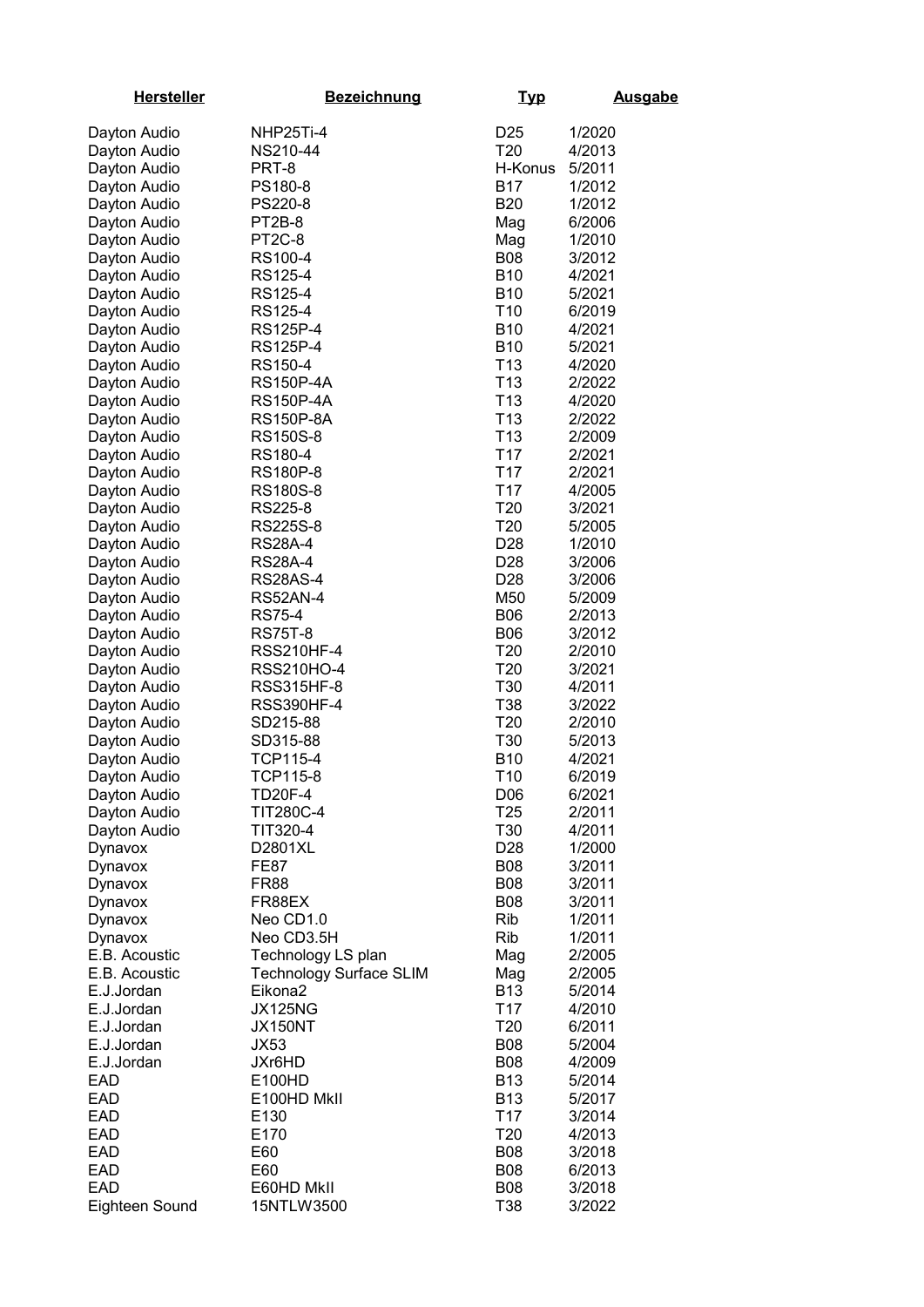| <b>Hersteller</b> | <b>Bezeichnung</b>             | <u>Typ</u>      | <b>Ausgabe</b> |
|-------------------|--------------------------------|-----------------|----------------|
| Dayton Audio      | NHP25Ti-4                      | D25             | 1/2020         |
| Dayton Audio      | NS210-44                       | T <sub>20</sub> | 4/2013         |
| Dayton Audio      | PRT-8                          | H-Konus         | 5/2011         |
| Dayton Audio      | PS180-8                        | B17             | 1/2012         |
| Dayton Audio      | PS220-8                        | <b>B20</b>      | 1/2012         |
| Dayton Audio      | PT2B-8                         | Mag             | 6/2006         |
| Dayton Audio      | PT <sub>2</sub> C-8            | Mag             | 1/2010         |
| Dayton Audio      | RS100-4                        | <b>B08</b>      | 3/2012         |
| Dayton Audio      | RS125-4                        | <b>B10</b>      | 4/2021         |
| Dayton Audio      | RS125-4                        | <b>B10</b>      | 5/2021         |
| Dayton Audio      | RS125-4                        | T <sub>10</sub> | 6/2019         |
| Dayton Audio      | RS125P-4                       | <b>B10</b>      | 4/2021         |
| Dayton Audio      | RS125P-4                       | <b>B10</b>      | 5/2021         |
| Dayton Audio      | RS150-4                        | T <sub>13</sub> | 4/2020         |
| Dayton Audio      | <b>RS150P-4A</b>               | T <sub>13</sub> | 2/2022         |
| Dayton Audio      | <b>RS150P-4A</b>               | T <sub>13</sub> | 4/2020         |
| Dayton Audio      | <b>RS150P-8A</b>               | T <sub>13</sub> | 2/2022         |
| Dayton Audio      | RS150S-8                       | T <sub>13</sub> | 2/2009         |
| Dayton Audio      | RS180-4                        | T <sub>17</sub> | 2/2021         |
| Dayton Audio      | RS180P-8                       | T <sub>17</sub> | 2/2021         |
| Dayton Audio      | RS180S-8                       | T <sub>17</sub> | 4/2005         |
| Dayton Audio      | RS225-8                        | T <sub>20</sub> | 3/2021         |
| Dayton Audio      | RS225S-8                       | T <sub>20</sub> | 5/2005         |
| Dayton Audio      | <b>RS28A-4</b>                 | D <sub>28</sub> | 1/2010         |
| Dayton Audio      | <b>RS28A-4</b>                 | D <sub>28</sub> | 3/2006         |
| Dayton Audio      | <b>RS28AS-4</b>                | D <sub>28</sub> | 3/2006         |
| Dayton Audio      | <b>RS52AN-4</b>                | M50             | 5/2009         |
| Dayton Audio      | <b>RS75-4</b>                  | <b>B06</b>      | 2/2013         |
| Dayton Audio      | <b>RS75T-8</b>                 | <b>B06</b>      | 3/2012         |
| Dayton Audio      | <b>RSS210HF-4</b>              | T <sub>20</sub> | 2/2010         |
| Dayton Audio      | <b>RSS210HO-4</b>              | T <sub>20</sub> | 3/2021         |
| Dayton Audio      | <b>RSS315HF-8</b>              | T30             | 4/2011         |
| Dayton Audio      | <b>RSS390HF-4</b>              | T38             | 3/2022         |
| Dayton Audio      | SD215-88                       | T <sub>20</sub> | 2/2010         |
| Dayton Audio      | SD315-88                       | T <sub>30</sub> | 5/2013         |
| Dayton Audio      | TCP115-4                       | <b>B10</b>      | 4/2021         |
| Dayton Audio      | TCP115-8                       | T <sub>10</sub> | 6/2019         |
| Dayton Audio      | <b>TD20F-4</b>                 | D <sub>06</sub> | 6/2021         |
| Dayton Audio      | <b>TIT280C-4</b>               | T <sub>25</sub> | 2/2011         |
| Dayton Audio      | TIT320-4                       | T30             | 4/2011         |
| Dynavox           | D2801XL                        | D <sub>28</sub> | 1/2000         |
| Dynavox           | <b>FE87</b>                    | <b>B08</b>      | 3/2011         |
| Dynavox           | FR88                           | <b>B08</b>      | 3/2011         |
| Dynavox           | FR88EX                         | <b>B08</b>      | 3/2011         |
| Dynavox           | Neo CD1.0                      | Rib             | 1/2011         |
| Dynavox           | Neo CD3.5H                     | <b>Rib</b>      | 1/2011         |
| E.B. Acoustic     | Technology LS plan             | Mag             | 2/2005         |
| E.B. Acoustic     | <b>Technology Surface SLIM</b> | Mag             | 2/2005         |
| E.J.Jordan        | Eikona <sub>2</sub>            | <b>B13</b>      | 5/2014         |
| E.J.Jordan        | <b>JX125NG</b>                 | T <sub>17</sub> | 4/2010         |
| E.J.Jordan        | <b>JX150NT</b>                 | T <sub>20</sub> | 6/2011         |
| E.J.Jordan        | <b>JX53</b>                    | <b>B08</b>      | 5/2004         |
| E.J.Jordan        | JXr6HD                         | <b>B08</b>      | 4/2009         |
| EAD               | E100HD                         | <b>B13</b>      | 5/2014         |
| EAD               | E100HD MkII                    | <b>B13</b>      | 5/2017         |
| EAD               | E130                           | T <sub>17</sub> | 3/2014         |
| EAD               | E170                           | T <sub>20</sub> | 4/2013         |
| EAD               | E60                            | <b>B08</b>      | 3/2018         |
| EAD               | E60                            | <b>B08</b>      | 6/2013         |
| <b>EAD</b>        | E60HD MkII                     | <b>B08</b>      | 3/2018         |
| Eighteen Sound    | 15NTLW3500                     | T38             | 3/2022         |
|                   |                                |                 |                |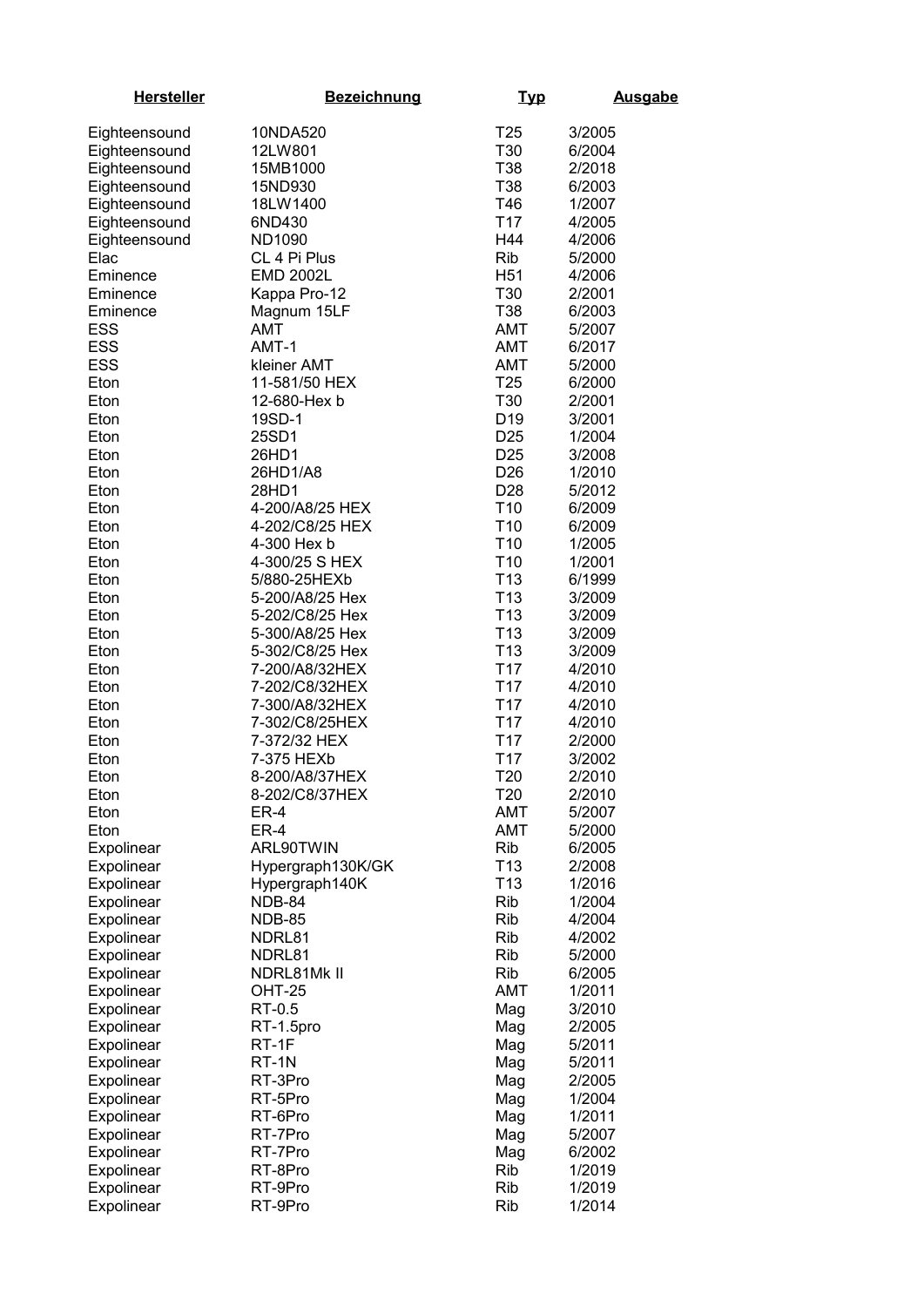| <b>Hersteller</b>        | <b>Bezeichnung</b>      | <u>Typ</u>                         | <b>Ausgabe</b>   |
|--------------------------|-------------------------|------------------------------------|------------------|
| Eighteensound            | 10NDA520                | T <sub>25</sub>                    | 3/2005           |
| Eighteensound            | 12LW801                 | T30                                | 6/2004           |
| Eighteensound            | 15MB1000                | T38                                | 2/2018           |
| Eighteensound            | 15ND930                 | T38                                | 6/2003           |
| Eighteensound            | 18LW1400                | T46                                | 1/2007           |
| Eighteensound            | 6ND430                  | T <sub>17</sub>                    | 4/2005           |
| Eighteensound            | ND1090                  | H44                                | 4/2006           |
| Elac                     | CL 4 Pi Plus            | <b>Rib</b>                         | 5/2000           |
| Eminence                 | <b>EMD 2002L</b>        | H <sub>51</sub>                    | 4/2006           |
| Eminence                 | Kappa Pro-12            | T30                                | 2/2001           |
| Eminence                 | Magnum 15LF             | T38                                | 6/2003           |
| <b>ESS</b>               | <b>AMT</b>              | AMT                                | 5/2007           |
| <b>ESS</b>               | AMT-1                   | AMT                                | 6/2017           |
| <b>ESS</b>               | kleiner AMT             | AMT                                | 5/2000           |
| Eton                     | 11-581/50 HEX           | T <sub>25</sub>                    | 6/2000           |
| Eton                     | 12-680-Hex b            | T30                                | 2/2001           |
| Eton                     | 19SD-1                  | D <sub>19</sub>                    | 3/2001           |
| Eton                     | 25SD1                   | D <sub>25</sub>                    | 1/2004           |
| Eton                     | 26HD1                   | D <sub>25</sub>                    | 3/2008           |
| Eton                     | 26HD1/A8                | D <sub>26</sub>                    | 1/2010           |
| Eton                     | 28HD1                   | D <sub>28</sub>                    | 5/2012           |
| Eton                     | 4-200/A8/25 HEX         | T <sub>10</sub>                    | 6/2009           |
| Eton                     | 4-202/C8/25 HEX         | T <sub>10</sub>                    | 6/2009           |
| Eton                     | 4-300 Hex b             | T <sub>10</sub>                    | 1/2005           |
| Eton                     | 4-300/25 S HEX          | T <sub>10</sub>                    | 1/2001           |
| Eton                     | 5/880-25HEXb            | T <sub>13</sub>                    | 6/1999           |
| Eton                     | 5-200/A8/25 Hex         | T <sub>13</sub>                    | 3/2009           |
| Eton                     | 5-202/C8/25 Hex         | T <sub>13</sub>                    | 3/2009           |
| Eton                     | 5-300/A8/25 Hex         | T <sub>13</sub>                    | 3/2009           |
| Eton                     | 5-302/C8/25 Hex         | T <sub>13</sub>                    | 3/2009           |
| Eton                     | 7-200/A8/32HEX          | T <sub>17</sub>                    | 4/2010           |
| Eton                     | 7-202/C8/32HEX          | T <sub>17</sub>                    | 4/2010           |
| Eton                     | 7-300/A8/32HEX          | T <sub>17</sub>                    | 4/2010           |
| Eton                     | 7-302/C8/25HEX          | T <sub>17</sub>                    | 4/2010           |
| Eton                     | 7-372/32 HEX            | T <sub>17</sub>                    | 2/2000           |
| Eton                     | 7-375 HEXb              | T <sub>17</sub>                    | 3/2002           |
| Eton                     | 8-200/A8/37HEX          | T <sub>20</sub>                    | 2/2010           |
| Eton                     | 8-202/C8/37HEX          | T <sub>20</sub>                    | 2/2010           |
| Eton                     | ER-4                    | <b>AMT</b>                         | 5/2007           |
| Eton                     | ER-4                    | AMT                                | 5/2000           |
| Expolinear               | ARL90TWIN               | Rib                                | 6/2005           |
| Expolinear               | Hypergraph130K/GK       | T <sub>13</sub><br>T <sub>13</sub> | 2/2008           |
| Expolinear               | Hypergraph140K          | Rib                                | 1/2016           |
| Expolinear<br>Expolinear | NDB-84                  | Rib                                | 1/2004<br>4/2004 |
| Expolinear               | <b>NDB-85</b><br>NDRL81 | Rib                                | 4/2002           |
| Expolinear               | NDRL81                  | Rib                                | 5/2000           |
| Expolinear               | NDRL81Mk II             | Rib                                | 6/2005           |
| Expolinear               | <b>OHT-25</b>           | <b>AMT</b>                         | 1/2011           |
| Expolinear               | RT-0.5                  | Mag                                | 3/2010           |
| Expolinear               | RT-1.5pro               | Mag                                | 2/2005           |
| Expolinear               | RT-1F                   | Mag                                | 5/2011           |
| Expolinear               | RT-1N                   | Mag                                | 5/2011           |
| Expolinear               | RT-3Pro                 | Mag                                | 2/2005           |
| Expolinear               | RT-5Pro                 | Mag                                | 1/2004           |
| Expolinear               | RT-6Pro                 | Mag                                | 1/2011           |
| Expolinear               | RT-7Pro                 | Mag                                | 5/2007           |
| Expolinear               | RT-7Pro                 | Mag                                | 6/2002           |
| Expolinear               | RT-8Pro                 | Rib                                | 1/2019           |
| Expolinear               | RT-9Pro                 | Rib                                | 1/2019           |
| Expolinear               | RT-9Pro                 | <b>Rib</b>                         | 1/2014           |
|                          |                         |                                    |                  |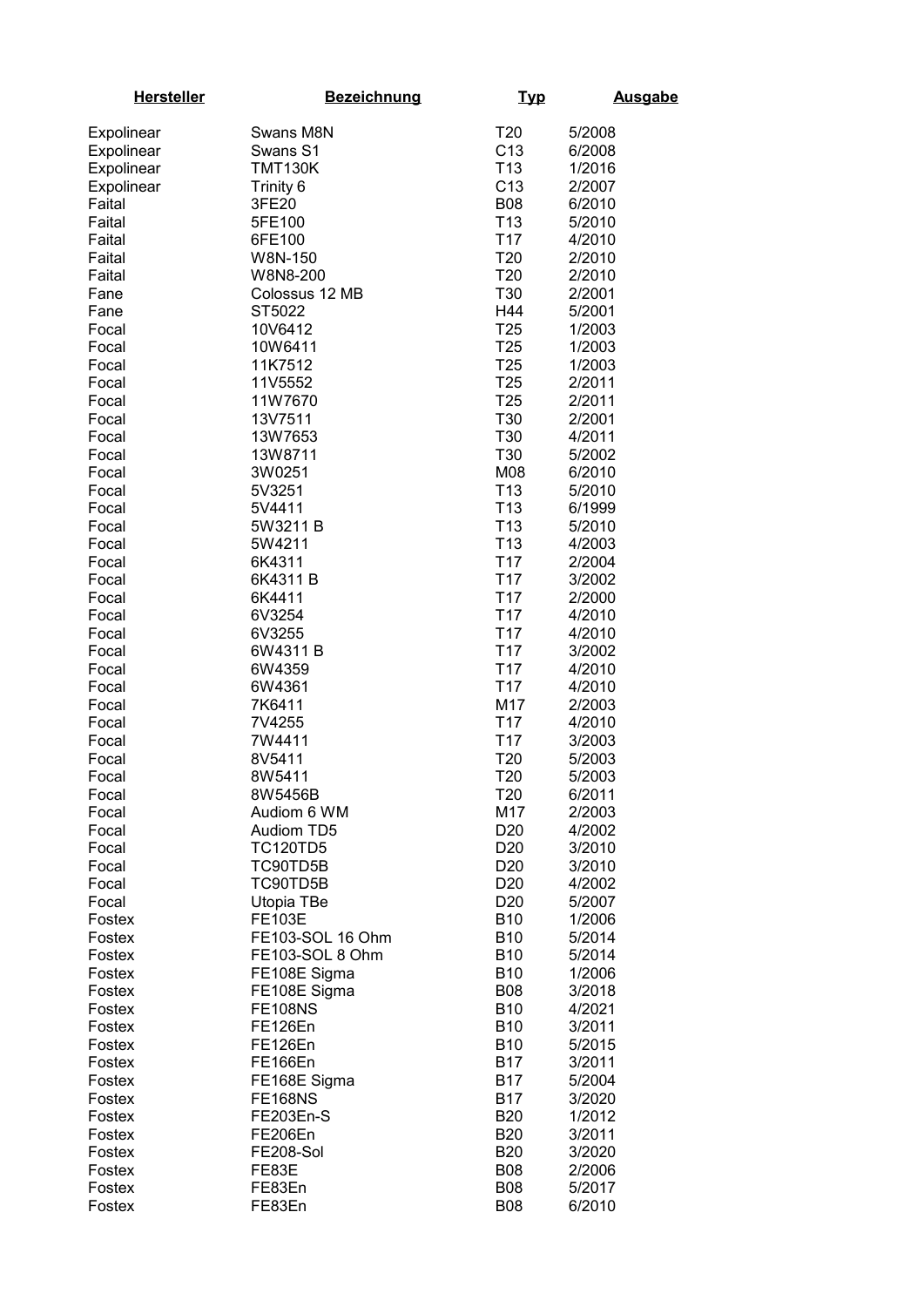| <b>Hersteller</b> | <b>Bezeichnung</b> | <u>Typ</u>      | <b>Ausgabe</b> |
|-------------------|--------------------|-----------------|----------------|
| Expolinear        | Swans M8N          | T <sub>20</sub> | 5/2008         |
| Expolinear        | Swans S1           | C <sub>13</sub> | 6/2008         |
| Expolinear        | <b>TMT130K</b>     | T <sub>13</sub> | 1/2016         |
| Expolinear        | Trinity 6          | C <sub>13</sub> | 2/2007         |
|                   | 3FE20              | <b>B08</b>      |                |
| Faital            |                    |                 | 6/2010         |
| Faital            | 5FE100             | T <sub>13</sub> | 5/2010         |
| Faital            | 6FE100             | T <sub>17</sub> | 4/2010         |
| Faital            | W8N-150            | T <sub>20</sub> | 2/2010         |
| Faital            | W8N8-200           | T <sub>20</sub> | 2/2010         |
| Fane              | Colossus 12 MB     | T30             | 2/2001         |
| Fane              | ST5022             | H44             | 5/2001         |
| Focal             | 10V6412            | T <sub>25</sub> | 1/2003         |
| Focal             | 10W6411            | T <sub>25</sub> | 1/2003         |
| Focal             | 11K7512            | T <sub>25</sub> | 1/2003         |
| Focal             | 11V5552            | T <sub>25</sub> | 2/2011         |
| Focal             | 11W7670            | T <sub>25</sub> | 2/2011         |
| Focal             | 13V7511            | T30             | 2/2001         |
| Focal             | 13W7653            | T30             | 4/2011         |
| Focal             | 13W8711            | T30             | 5/2002         |
| Focal             | 3W0251             | M08             | 6/2010         |
| Focal             | 5V3251             | T <sub>13</sub> | 5/2010         |
| Focal             | 5V4411             | T <sub>13</sub> | 6/1999         |
| Focal             | 5W3211 B           | T <sub>13</sub> | 5/2010         |
| Focal             | 5W4211             | T <sub>13</sub> | 4/2003         |
| Focal             | 6K4311             | T <sub>17</sub> | 2/2004         |
| Focal             | 6K4311B            | T <sub>17</sub> | 3/2002         |
| Focal             | 6K4411             | T <sub>17</sub> | 2/2000         |
| Focal             | 6V3254             | T <sub>17</sub> | 4/2010         |
| Focal             | 6V3255             | T <sub>17</sub> | 4/2010         |
| Focal             | 6W4311B            | T <sub>17</sub> | 3/2002         |
| Focal             | 6W4359             | T <sub>17</sub> | 4/2010         |
| Focal             | 6W4361             | T <sub>17</sub> | 4/2010         |
| Focal             | 7K6411             | M17             | 2/2003         |
| Focal             | 7V4255             | T <sub>17</sub> | 4/2010         |
| Focal             | 7W4411             | T <sub>17</sub> | 3/2003         |
| Focal             | 8V5411             | T <sub>20</sub> | 5/2003         |
| Focal             | 8W5411             | T <sub>20</sub> | 5/2003         |
| Focal             | 8W5456B            | T <sub>20</sub> | 6/2011         |
| Focal             | Audiom 6 WM        | M17             | 2/2003         |
| Focal             | <b>Audiom TD5</b>  | D <sub>20</sub> | 4/2002         |
| Focal             | <b>TC120TD5</b>    | D <sub>20</sub> | 3/2010         |
| Focal             | TC90TD5B           | D <sub>20</sub> | 3/2010         |
| Focal             | TC90TD5B           | D <sub>20</sub> | 4/2002         |
| Focal             | Utopia TBe         | D <sub>20</sub> | 5/2007         |
|                   | <b>FE103E</b>      | <b>B10</b>      | 1/2006         |
| Fostex            | FE103-SOL 16 Ohm   | <b>B10</b>      |                |
| Fostex            | FE103-SOL 8 Ohm    | <b>B10</b>      | 5/2014         |
| Fostex            |                    |                 | 5/2014         |
| Fostex            | FE108E Sigma       | <b>B10</b>      | 1/2006         |
| Fostex            | FE108E Sigma       | <b>B08</b>      | 3/2018         |
| Fostex            | <b>FE108NS</b>     | <b>B10</b>      | 4/2021         |
| Fostex            | FE126En            | <b>B10</b>      | 3/2011         |
| Fostex            | FE126En            | <b>B10</b>      | 5/2015         |
| Fostex            | FE166En            | <b>B17</b>      | 3/2011         |
| Fostex            | FE168E Sigma       | <b>B17</b>      | 5/2004         |
| Fostex            | <b>FE168NS</b>     | <b>B17</b>      | 3/2020         |
| Fostex            | <b>FE203En-S</b>   | <b>B20</b>      | 1/2012         |
| Fostex            | FE206En            | <b>B20</b>      | 3/2011         |
| Fostex            | FE208-Sol          | <b>B20</b>      | 3/2020         |
| Fostex            | FE83E              | <b>B08</b>      | 2/2006         |
| Fostex            | FE83En             | <b>B08</b>      | 5/2017         |
| Fostex            | FE83En             | <b>B08</b>      | 6/2010         |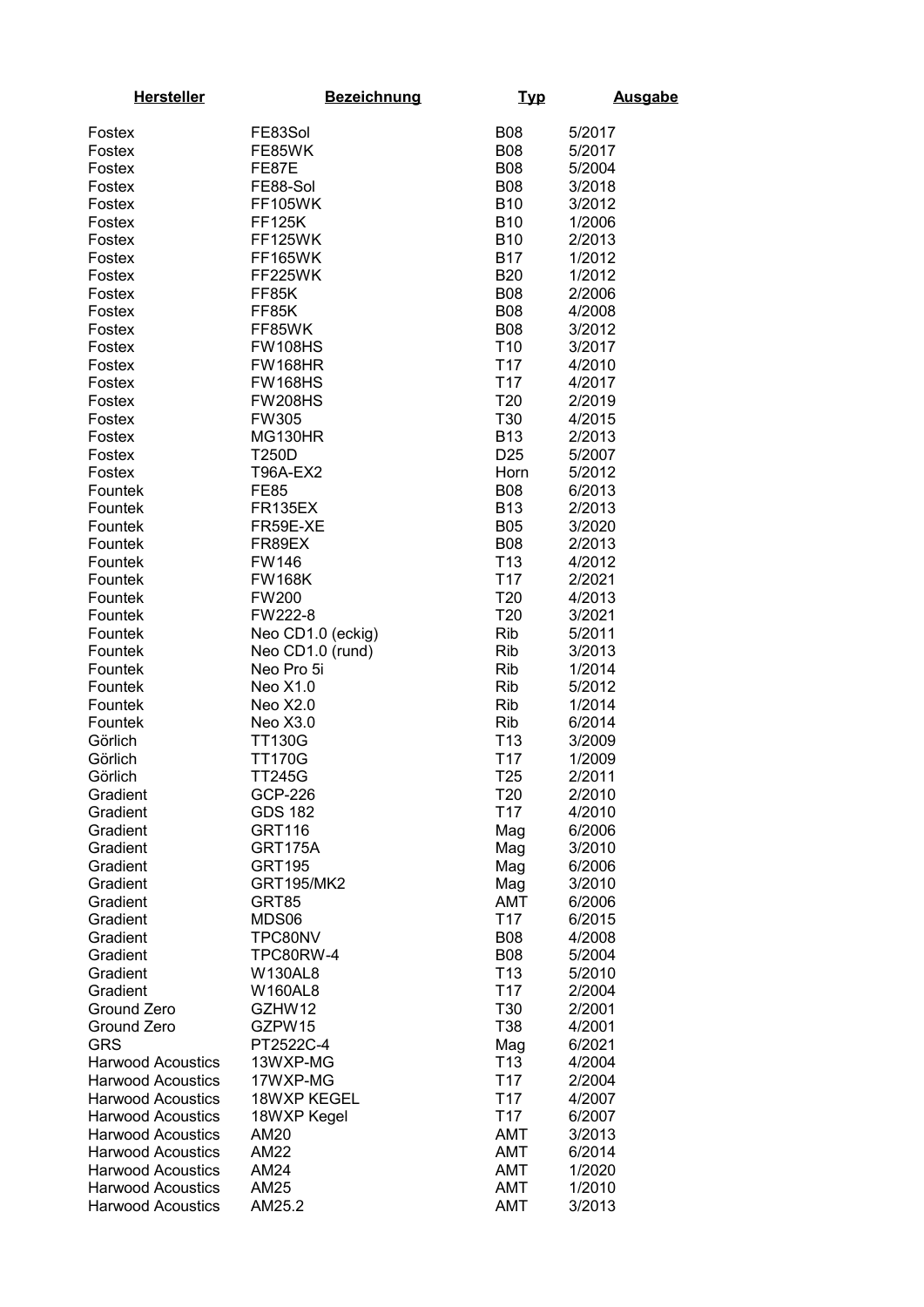| <b>Hersteller</b>                                    | <b>Bezeichnung</b>        | <u>Typ</u>                         | <b>Ausgabe</b>   |
|------------------------------------------------------|---------------------------|------------------------------------|------------------|
| Fostex                                               | FE83Sol                   | <b>B08</b>                         | 5/2017           |
| Fostex                                               | FE85WK                    | <b>B08</b>                         | 5/2017           |
| Fostex                                               | FE87E                     | <b>B08</b>                         | 5/2004           |
| Fostex                                               | FE88-Sol                  | <b>B08</b>                         | 3/2018           |
| Fostex                                               | <b>FF105WK</b>            | <b>B10</b>                         | 3/2012           |
| Fostex                                               | <b>FF125K</b>             | <b>B10</b>                         | 1/2006           |
| Fostex                                               | <b>FF125WK</b>            | <b>B10</b>                         | 2/2013           |
| Fostex                                               | <b>FF165WK</b>            | <b>B17</b>                         | 1/2012           |
| Fostex                                               | FF225WK                   | <b>B20</b>                         | 1/2012           |
| Fostex                                               | FF85K                     | <b>B08</b>                         | 2/2006           |
| Fostex                                               | FF85K                     | <b>B08</b>                         | 4/2008           |
| Fostex                                               | FF85WK                    | <b>B08</b>                         | 3/2012           |
| Fostex                                               | <b>FW108HS</b>            | T <sub>10</sub>                    | 3/2017           |
| Fostex                                               | <b>FW168HR</b>            | T <sub>17</sub>                    | 4/2010           |
| Fostex                                               | <b>FW168HS</b>            | T <sub>17</sub>                    | 4/2017           |
| Fostex                                               | <b>FW208HS</b>            | T20                                | 2/2019           |
| Fostex                                               | FW305                     | T30                                | 4/2015           |
| Fostex                                               | MG130HR                   | <b>B13</b>                         | 2/2013           |
| Fostex                                               | T250D                     | D <sub>25</sub>                    | 5/2007           |
| Fostex                                               | <b>T96A-EX2</b>           | Horn                               | 5/2012           |
| Fountek                                              | <b>FE85</b>               | <b>B08</b>                         | 6/2013           |
| Fountek                                              | <b>FR135EX</b>            | <b>B13</b>                         | 2/2013           |
| Fountek<br>Fountek                                   | FR59E-XE<br>FR89EX        | <b>B05</b><br><b>B08</b>           | 3/2020<br>2/2013 |
| Fountek                                              | FW146                     | T <sub>13</sub>                    | 4/2012           |
| Fountek                                              | <b>FW168K</b>             | T <sub>17</sub>                    | 2/2021           |
| Fountek                                              | <b>FW200</b>              | T20                                | 4/2013           |
| Fountek                                              | FW222-8                   | T20                                | 3/2021           |
| Fountek                                              | Neo CD1.0 (eckig)         | <b>Rib</b>                         | 5/2011           |
| Fountek                                              | Neo CD1.0 (rund)          | <b>Rib</b>                         | 3/2013           |
| Fountek                                              | Neo Pro 5i                | <b>Rib</b>                         | 1/2014           |
| Fountek                                              | Neo X1.0                  | <b>Rib</b>                         | 5/2012           |
| Fountek                                              | Neo X2.0                  | <b>Rib</b>                         | 1/2014           |
| Fountek                                              | Neo X3.0                  | <b>Rib</b>                         | 6/2014           |
| Görlich                                              | <b>TT130G</b>             | T <sub>13</sub>                    | 3/2009           |
| Görlich                                              | <b>TT170G</b>             | T <sub>17</sub>                    | 1/2009           |
| Görlich                                              | <b>TT245G</b>             | T <sub>25</sub>                    | 2/2011           |
| Gradient                                             | GCP-226<br><b>GDS 182</b> | T20<br>T <sub>17</sub>             | 2/2010<br>4/2010 |
| Gradient<br>Gradient                                 | <b>GRT116</b>             | Mag                                | 6/2006           |
| Gradient                                             | GRT175A                   | Mag                                | 3/2010           |
| Gradient                                             | <b>GRT195</b>             | Mag                                | 6/2006           |
| Gradient                                             | <b>GRT195/MK2</b>         | Mag                                | 3/2010           |
| Gradient                                             | GRT85                     | <b>AMT</b>                         | 6/2006           |
| Gradient                                             | MDS06                     | T <sub>17</sub>                    | 6/2015           |
| Gradient                                             | TPC80NV                   | <b>B08</b>                         | 4/2008           |
| Gradient                                             | TPC80RW-4                 | <b>B08</b>                         | 5/2004           |
| Gradient                                             | W130AL8                   | T <sub>13</sub>                    | 5/2010           |
| Gradient                                             | <b>W160AL8</b>            | T <sub>17</sub>                    | 2/2004           |
| Ground Zero                                          | GZHW12                    | T30                                | 2/2001           |
| Ground Zero                                          | GZPW15                    | T38                                | 4/2001           |
| <b>GRS</b>                                           | PT2522C-4                 | Mag                                | 6/2021           |
| <b>Harwood Acoustics</b><br><b>Harwood Acoustics</b> | 13WXP-MG<br>17WXP-MG      | T <sub>13</sub><br>T <sub>17</sub> | 4/2004<br>2/2004 |
| <b>Harwood Acoustics</b>                             | 18WXP KEGEL               | T <sub>17</sub>                    | 4/2007           |
| <b>Harwood Acoustics</b>                             | 18WXP Kegel               | T <sub>17</sub>                    | 6/2007           |
| <b>Harwood Acoustics</b>                             | AM20                      | AMT                                | 3/2013           |
| <b>Harwood Acoustics</b>                             | <b>AM22</b>               | AMT                                | 6/2014           |
| <b>Harwood Acoustics</b>                             | AM24                      | AMT                                | 1/2020           |
| <b>Harwood Acoustics</b>                             | AM25                      | <b>AMT</b>                         | 1/2010           |
| <b>Harwood Acoustics</b>                             | AM25.2                    | <b>AMT</b>                         | 3/2013           |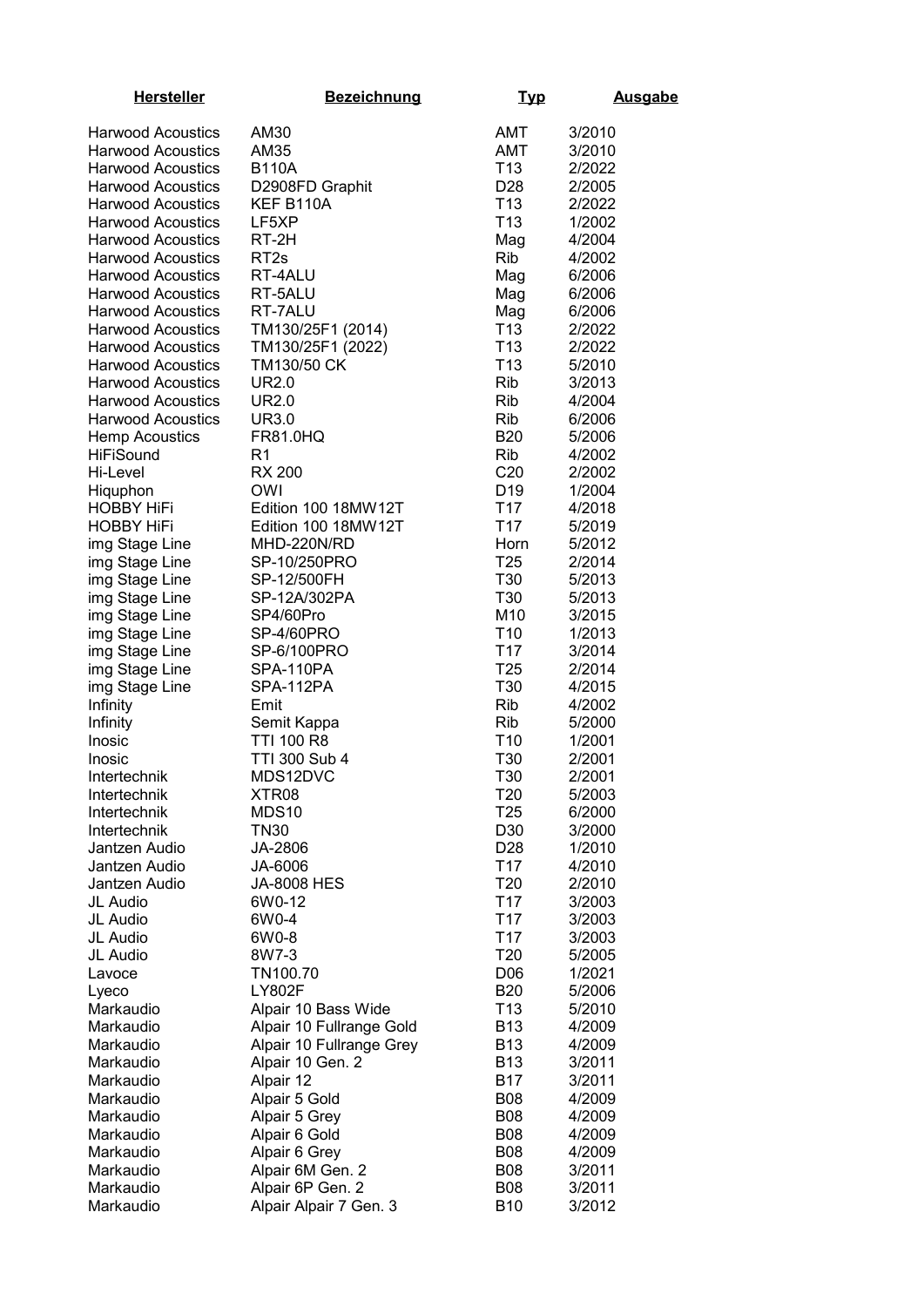| <b>Hersteller</b>             | <b>Bezeichnung</b>                                   | <u>Typ</u>                    | <b>Ausgabe</b>   |
|-------------------------------|------------------------------------------------------|-------------------------------|------------------|
| <b>Harwood Acoustics</b>      | AM30                                                 | AMT                           | 3/2010           |
| <b>Harwood Acoustics</b>      | AM35                                                 | <b>AMT</b>                    | 3/2010           |
| <b>Harwood Acoustics</b>      | <b>B110A</b>                                         | T <sub>13</sub>               | 2/2022           |
| <b>Harwood Acoustics</b>      | D2908FD Graphit                                      | D <sub>28</sub>               | 2/2005           |
| <b>Harwood Acoustics</b>      | KEF B110A                                            | T <sub>13</sub>               | 2/2022           |
| <b>Harwood Acoustics</b>      | LF5XP                                                | T <sub>13</sub>               | 1/2002           |
| <b>Harwood Acoustics</b>      | RT-2H                                                | Mag                           | 4/2004           |
| <b>Harwood Acoustics</b>      | RT <sub>2s</sub>                                     | <b>Rib</b>                    | 4/2002           |
| <b>Harwood Acoustics</b>      | RT-4ALU                                              | Mag                           | 6/2006           |
| <b>Harwood Acoustics</b>      | RT-5ALU                                              | Mag                           | 6/2006           |
| <b>Harwood Acoustics</b>      | RT-7ALU                                              | Mag                           | 6/2006           |
| <b>Harwood Acoustics</b>      | TM130/25F1 (2014)                                    | T <sub>13</sub>               | 2/2022           |
| <b>Harwood Acoustics</b>      | TM130/25F1 (2022)                                    | T <sub>13</sub>               | 2/2022           |
| <b>Harwood Acoustics</b>      | TM130/50 CK                                          | T <sub>13</sub>               | 5/2010           |
| <b>Harwood Acoustics</b>      | UR2.0                                                | Rib                           | 3/2013           |
| <b>Harwood Acoustics</b>      | <b>UR2.0</b>                                         | <b>Rib</b>                    | 4/2004           |
| <b>Harwood Acoustics</b>      | <b>UR3.0</b>                                         | Rib                           | 6/2006           |
| <b>Hemp Acoustics</b>         | FR81.0HQ                                             | <b>B20</b>                    | 5/2006           |
| <b>HiFiSound</b><br>Hi-Level  | R <sub>1</sub><br><b>RX 200</b>                      | <b>Rib</b><br>C <sub>20</sub> | 4/2002<br>2/2002 |
|                               | <b>OWI</b>                                           | D <sub>19</sub>               | 1/2004           |
| Hiquphon<br><b>HOBBY HiFi</b> | Edition 100 18MW12T                                  | T <sub>17</sub>               | 4/2018           |
| <b>HOBBY HIFI</b>             | Edition 100 18MW12T                                  | T <sub>17</sub>               | 5/2019           |
| img Stage Line                | MHD-220N/RD                                          | Horn                          | 5/2012           |
| img Stage Line                | SP-10/250PRO                                         | T <sub>25</sub>               | 2/2014           |
| img Stage Line                | SP-12/500FH                                          | T30                           | 5/2013           |
| img Stage Line                | SP-12A/302PA                                         | T30                           | 5/2013           |
| img Stage Line                | SP4/60Pro                                            | M10                           | 3/2015           |
| img Stage Line                | SP-4/60PRO                                           | T <sub>10</sub>               | 1/2013           |
| img Stage Line                | SP-6/100PRO                                          | T <sub>17</sub>               | 3/2014           |
| img Stage Line                | SPA-110PA                                            | T <sub>25</sub>               | 2/2014           |
| img Stage Line                | SPA-112PA                                            | T30                           | 4/2015           |
| Infinity                      | Emit                                                 | <b>Rib</b>                    | 4/2002           |
| Infinity                      | Semit Kappa                                          | <b>Rib</b>                    | 5/2000           |
| Inosic                        | TTI 100 R8                                           | T <sub>10</sub>               | 1/2001           |
| Inosic                        | TTI 300 Sub 4                                        | T30                           | 2/2001           |
| Intertechnik<br>Intertechnik  | MDS12DVC<br>XTR08                                    | T30<br>T <sub>20</sub>        | 2/2001<br>5/2003 |
| Intertechnik                  | MDS10                                                | T <sub>25</sub>               | 6/2000           |
| Intertechnik                  | <b>TN30</b>                                          | D30                           | 3/2000           |
| Jantzen Audio                 | JA-2806                                              | D <sub>28</sub>               | 1/2010           |
| Jantzen Audio                 | JA-6006                                              | T <sub>17</sub>               | 4/2010           |
| Jantzen Audio                 | <b>JA-8008 HES</b>                                   | T <sub>20</sub>               | 2/2010           |
| JL Audio                      | 6W0-12                                               | T <sub>17</sub>               | 3/2003           |
| JL Audio                      | 6W0-4                                                | T <sub>17</sub>               | 3/2003           |
| JL Audio                      | 6W0-8                                                | T <sub>17</sub>               | 3/2003           |
| JL Audio                      | 8W7-3                                                | T <sub>20</sub>               | 5/2005           |
| Lavoce                        | TN100.70                                             | D <sub>06</sub>               | 1/2021           |
| Lyeco                         | <b>LY802F</b>                                        | <b>B20</b>                    | 5/2006           |
| Markaudio<br>Markaudio        | Alpair 10 Bass Wide                                  | T <sub>13</sub><br><b>B13</b> | 5/2010           |
| Markaudio                     | Alpair 10 Fullrange Gold<br>Alpair 10 Fullrange Grey | <b>B13</b>                    | 4/2009<br>4/2009 |
| Markaudio                     | Alpair 10 Gen. 2                                     | <b>B13</b>                    | 3/2011           |
| Markaudio                     | Alpair 12                                            | <b>B17</b>                    | 3/2011           |
| Markaudio                     | Alpair 5 Gold                                        | <b>B08</b>                    | 4/2009           |
| Markaudio                     | Alpair 5 Grey                                        | <b>B08</b>                    | 4/2009           |
| Markaudio                     | Alpair 6 Gold                                        | <b>B08</b>                    | 4/2009           |
| Markaudio                     | Alpair 6 Grey                                        | <b>B08</b>                    | 4/2009           |
| Markaudio                     | Alpair 6M Gen. 2                                     | <b>B08</b>                    | 3/2011           |
| Markaudio                     | Alpair 6P Gen. 2                                     | <b>B08</b>                    | 3/2011           |
| Markaudio                     | Alpair Alpair 7 Gen. 3                               | <b>B10</b>                    | 3/2012           |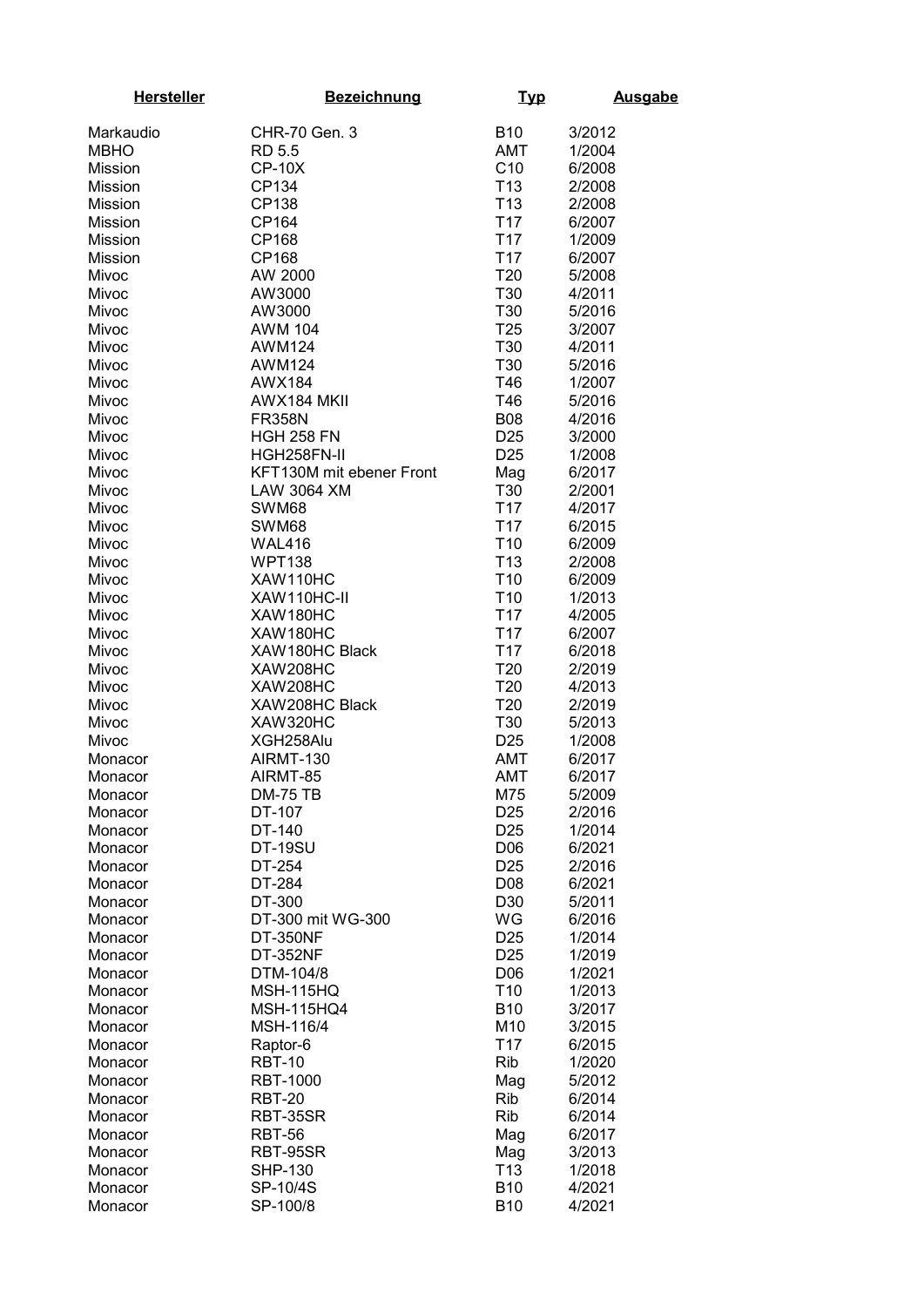| <b>Hersteller</b> | <b>Bezeichnung</b>         | <u>Typ</u>                         | <b>Ausgabe</b>   |
|-------------------|----------------------------|------------------------------------|------------------|
| Markaudio         | CHR-70 Gen. 3              | <b>B10</b>                         | 3/2012           |
| <b>MBHO</b>       | <b>RD 5.5</b>              | <b>AMT</b>                         | 1/2004           |
| Mission           | <b>CP-10X</b>              | C10                                | 6/2008           |
| Mission           | CP134                      | T <sub>13</sub>                    | 2/2008           |
| Mission           | CP138                      | T <sub>13</sub>                    | 2/2008           |
| Mission           | CP164                      | T <sub>17</sub>                    | 6/2007           |
| Mission           | CP168                      | T <sub>17</sub>                    | 1/2009           |
| Mission           | CP168                      | T <sub>17</sub>                    | 6/2007           |
| Mivoc             | AW 2000                    | <b>T20</b>                         | 5/2008           |
| Mivoc             | AW3000                     | T30                                | 4/2011           |
| Mivoc             | AW3000                     | T30                                | 5/2016           |
| Mivoc             | <b>AWM 104</b>             | T <sub>25</sub>                    | 3/2007           |
| Mivoc             | <b>AWM124</b>              | T30                                | 4/2011           |
| Mivoc             | <b>AWM124</b>              | T30                                | 5/2016           |
| Mivoc             | <b>AWX184</b>              | T46                                | 1/2007           |
| Mivoc             | AWX184 MKII                | T46                                | 5/2016           |
| Mivoc             | <b>FR358N</b>              | <b>B08</b>                         | 4/2016           |
| Mivoc             | <b>HGH 258 FN</b>          | D <sub>25</sub>                    | 3/2000           |
| Mivoc             | HGH258FN-II                | D <sub>25</sub>                    | 1/2008           |
| Mivoc             | KFT130M mit ebener Front   | Mag                                | 6/2017           |
| Mivoc             | <b>LAW 3064 XM</b>         | T30                                | 2/2001           |
| Mivoc             | SWM68                      | T <sub>17</sub>                    | 4/2017           |
| Mivoc             | SWM68                      | T <sub>17</sub>                    | 6/2015           |
| Mivoc             | <b>WAL416</b>              | T <sub>10</sub>                    | 6/2009           |
| Mivoc             | <b>WPT138</b>              | T <sub>13</sub>                    | 2/2008           |
| Mivoc             | XAW110HC                   | T <sub>10</sub>                    | 6/2009           |
| Mivoc             | XAW110HC-II                | T <sub>10</sub>                    | 1/2013           |
| Mivoc             | XAW180HC                   | T <sub>17</sub><br>T <sub>17</sub> | 4/2005           |
| Mivoc             | XAW180HC<br>XAW180HC Black | T <sub>17</sub>                    | 6/2007           |
| Mivoc<br>Mivoc    | XAW208HC                   | T <sub>20</sub>                    | 6/2018<br>2/2019 |
| Mivoc             | XAW208HC                   | T <sub>20</sub>                    | 4/2013           |
| Mivoc             | XAW208HC Black             | T <sub>20</sub>                    | 2/2019           |
| Mivoc             | XAW320HC                   | <b>T30</b>                         | 5/2013           |
| Mivoc             | XGH258Alu                  | D <sub>25</sub>                    | 1/2008           |
| Monacor           | AIRMT-130                  | <b>AMT</b>                         | 6/2017           |
| Monacor           | AIRMT-85                   | <b>AMT</b>                         | 6/2017           |
| Monacor           | <b>DM-75 TB</b>            | M75                                | 5/2009           |
| Monacor           | DT-107                     | D <sub>25</sub>                    | 2/2016           |
| Monacor           | DT-140                     | D <sub>25</sub>                    | 1/2014           |
| Monacor           | <b>DT-19SU</b>             | D06                                | 6/2021           |
| Monacor           | DT-254                     | D <sub>25</sub>                    | 2/2016           |
| Monacor           | DT-284                     | D08                                | 6/2021           |
| Monacor           | DT-300                     | D30                                | 5/2011           |
| Monacor           | DT-300 mit WG-300          | WG                                 | 6/2016           |
| Monacor           | <b>DT-350NF</b>            | D <sub>25</sub>                    | 1/2014           |
| Monacor           | <b>DT-352NF</b>            | D <sub>25</sub>                    | 1/2019           |
| Monacor           | DTM-104/8                  | D <sub>06</sub>                    | 1/2021           |
| Monacor           | <b>MSH-115HQ</b>           | T <sub>10</sub>                    | 1/2013           |
| Monacor           | <b>MSH-115HQ4</b>          | <b>B10</b>                         | 3/2017           |
| Monacor           | MSH-116/4                  | M10                                | 3/2015           |
| Monacor           | Raptor-6                   | T <sub>17</sub>                    | 6/2015           |
| Monacor           | <b>RBT-10</b>              | Rib                                | 1/2020           |
| Monacor           | <b>RBT-1000</b>            | Mag                                | 5/2012           |
| Monacor           | <b>RBT-20</b>              | <b>Rib</b>                         | 6/2014           |
| Monacor           | RBT-35SR                   | Rib                                | 6/2014           |
| Monacor           | <b>RBT-56</b>              | Mag                                | 6/2017           |
| Monacor           | RBT-95SR                   | Mag                                | 3/2013           |
| Monacor           | <b>SHP-130</b>             | T <sub>13</sub>                    | 1/2018           |
| Monacor           | SP-10/4S                   | <b>B10</b>                         | 4/2021           |
| Monacor           | SP-100/8                   | <b>B10</b>                         | 4/2021           |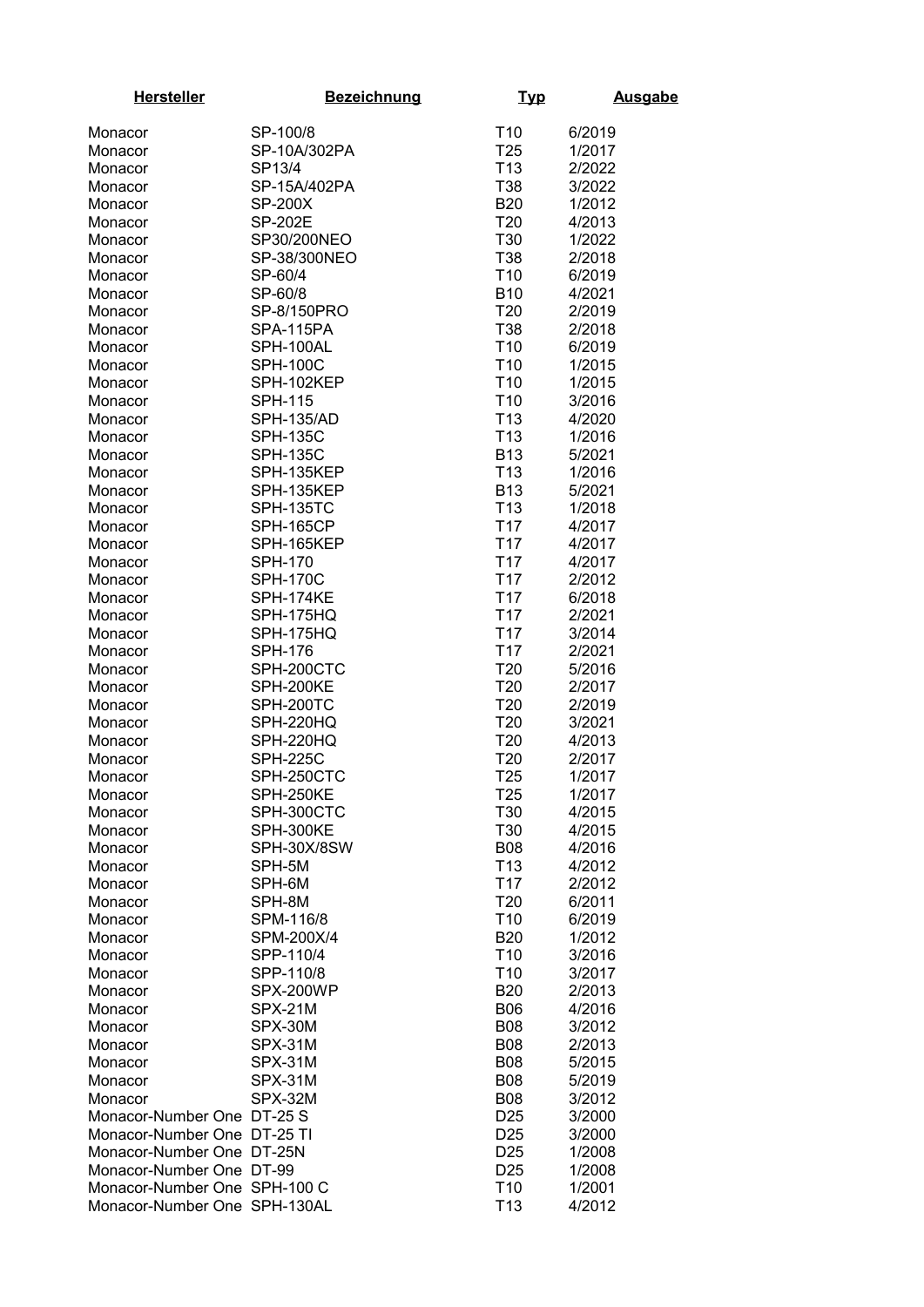| <b>Hersteller</b>            | <b>Bezeichnung</b> | <u>Typ</u>               | <b>Ausgabe</b>   |
|------------------------------|--------------------|--------------------------|------------------|
| Monacor                      | SP-100/8           | T <sub>10</sub>          | 6/2019           |
| Monacor                      | SP-10A/302PA       | T <sub>25</sub>          | 1/2017           |
| Monacor                      | SP13/4             | T <sub>13</sub>          | 2/2022           |
| Monacor                      | SP-15A/402PA       | T38                      | 3/2022           |
| Monacor                      | <b>SP-200X</b>     | <b>B20</b>               | 1/2012           |
| Monacor                      | <b>SP-202E</b>     | T20                      | 4/2013           |
| Monacor                      | SP30/200NEO        | T30                      | 1/2022           |
| Monacor                      | SP-38/300NEO       | T38                      | 2/2018           |
| Monacor                      | SP-60/4            | T <sub>10</sub>          | 6/2019           |
| Monacor                      | SP-60/8            | <b>B10</b>               | 4/2021           |
| Monacor                      | SP-8/150PRO        | T <sub>20</sub>          | 2/2019           |
| Monacor                      | SPA-115PA          | T38                      | 2/2018           |
| Monacor                      | SPH-100AL          | T <sub>10</sub>          | 6/2019           |
| Monacor                      | <b>SPH-100C</b>    | T <sub>10</sub>          | 1/2015           |
| Monacor                      | SPH-102KEP         | T <sub>10</sub>          | 1/2015           |
| Monacor                      | <b>SPH-115</b>     | T <sub>10</sub>          | 3/2016           |
| Monacor                      | <b>SPH-135/AD</b>  | T <sub>13</sub>          | 4/2020           |
| Monacor                      | <b>SPH-135C</b>    | T <sub>13</sub>          | 1/2016           |
| Monacor                      | <b>SPH-135C</b>    | <b>B13</b>               | 5/2021           |
| Monacor                      | SPH-135KEP         | T <sub>13</sub>          | 1/2016           |
| Monacor                      | SPH-135KEP         | <b>B13</b>               | 5/2021           |
| Monacor                      | <b>SPH-135TC</b>   | T <sub>13</sub>          | 1/2018           |
| Monacor                      | SPH-165CP          | T <sub>17</sub>          | 4/2017           |
| Monacor                      | SPH-165KEP         | T <sub>17</sub>          | 4/2017           |
| Monacor                      | <b>SPH-170</b>     | T <sub>17</sub>          | 4/2017           |
| Monacor                      | <b>SPH-170C</b>    | T <sub>17</sub>          | 2/2012           |
| Monacor                      | SPH-174KE          | T <sub>17</sub>          | 6/2018           |
| Monacor                      | SPH-175HQ          | T <sub>17</sub>          | 2/2021           |
| Monacor                      | SPH-175HQ          | T <sub>17</sub>          | 3/2014           |
| Monacor                      | <b>SPH-176</b>     | T <sub>17</sub>          | 2/2021           |
| Monacor                      | SPH-200CTC         | T20                      | 5/2016           |
| Monacor                      | SPH-200KE          | T <sub>20</sub>          | 2/2017           |
| Monacor                      | SPH-200TC          | T <sub>20</sub>          | 2/2019           |
| Monacor                      | SPH-220HQ          | T <sub>20</sub>          | 3/2021           |
| Monacor                      | SPH-220HQ          | T <sub>20</sub>          | 4/2013           |
| Monacor                      | <b>SPH-225C</b>    | T20                      | 2/2017           |
| Monacor                      | SPH-250CTC         | T25                      | 1/2017           |
| Monacor                      | SPH-250KE          | T <sub>25</sub>          | 1/2017           |
| Monacor                      | SPH-300CTC         | T30                      | 4/2015           |
| Monacor                      | SPH-300KE          | T30                      | 4/2015           |
| Monacor                      | SPH-30X/8SW        | <b>B08</b>               | 4/2016           |
| Monacor                      | SPH-5M             | T <sub>13</sub>          | 4/2012           |
| Monacor                      | SPH-6M             | T <sub>17</sub>          | 2/2012           |
| Monacor                      | SPH-8M             | T20                      | 6/2011           |
| Monacor                      | SPM-116/8          | T <sub>10</sub>          | 6/2019           |
| Monacor                      | SPM-200X/4         | <b>B20</b>               | 1/2012           |
| Monacor                      | SPP-110/4          | T <sub>10</sub>          | 3/2016           |
| Monacor                      | SPP-110/8          | T <sub>10</sub>          | 3/2017           |
| Monacor                      | SPX-200WP          | <b>B20</b>               | 2/2013           |
| Monacor                      | SPX-21M            | <b>B06</b>               | 4/2016           |
| Monacor                      | SPX-30M            | <b>B08</b><br><b>B08</b> | 3/2012           |
| Monacor                      | SPX-31M<br>SPX-31M | <b>B08</b>               | 2/2013<br>5/2015 |
| Monacor                      | SPX-31M            | <b>B08</b>               | 5/2019           |
| Monacor<br>Monacor           | SPX-32M            | <b>B08</b>               | 3/2012           |
| Monacor-Number One DT-25 S   |                    | D <sub>25</sub>          | 3/2000           |
| Monacor-Number One DT-25 TI  |                    | D <sub>25</sub>          | 3/2000           |
| Monacor-Number One DT-25N    |                    | D <sub>25</sub>          | 1/2008           |
| Monacor-Number One DT-99     |                    | D <sub>25</sub>          | 1/2008           |
| Monacor-Number One SPH-100 C |                    | T <sub>10</sub>          | 1/2001           |
| Monacor-Number One SPH-130AL |                    | T <sub>13</sub>          | 4/2012           |
|                              |                    |                          |                  |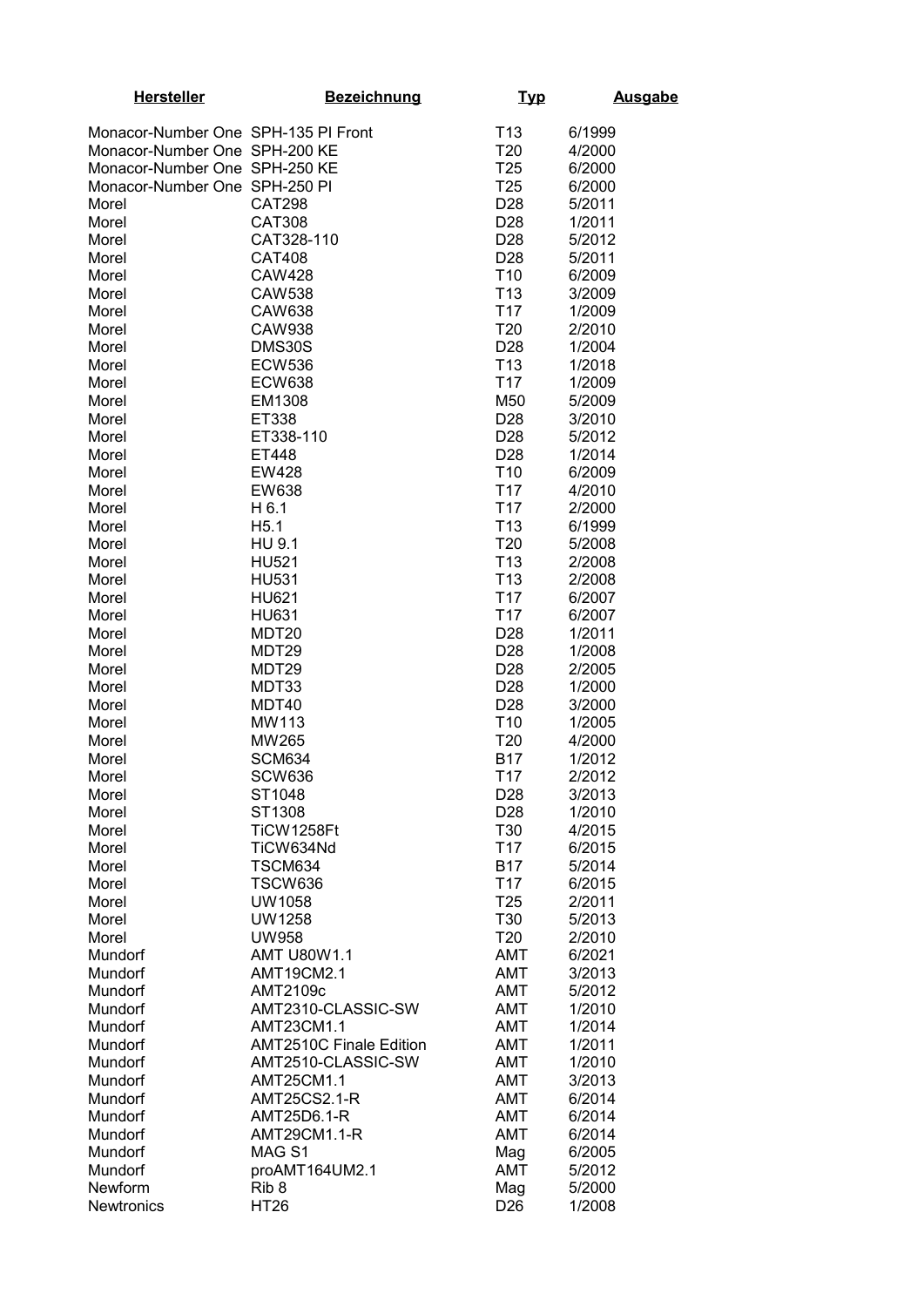| <b>Hersteller</b>                   | <b>Bezeichnung</b>             | <u>Typ</u>                         | <b>Ausgabe</b>   |
|-------------------------------------|--------------------------------|------------------------------------|------------------|
| Monacor-Number One SPH-135 PI Front |                                | T <sub>13</sub>                    | 6/1999           |
| Monacor-Number One SPH-200 KE       |                                | T <sub>20</sub>                    | 4/2000           |
| Monacor-Number One SPH-250 KE       |                                | T <sub>25</sub>                    | 6/2000           |
| Monacor-Number One SPH-250 PI       |                                | T <sub>25</sub>                    | 6/2000           |
| Morel                               | <b>CAT298</b>                  | D <sub>28</sub>                    | 5/2011           |
| Morel                               | <b>CAT308</b>                  | D <sub>28</sub>                    | 1/2011<br>5/2012 |
| Morel<br>Morel                      | CAT328-110<br><b>CAT408</b>    | D <sub>28</sub><br>D <sub>28</sub> | 5/2011           |
| Morel                               | <b>CAW428</b>                  | T <sub>10</sub>                    | 6/2009           |
| Morel                               | <b>CAW538</b>                  | T <sub>13</sub>                    | 3/2009           |
| Morel                               | <b>CAW638</b>                  | T <sub>17</sub>                    | 1/2009           |
| Morel                               | <b>CAW938</b>                  | T <sub>20</sub>                    | 2/2010           |
| Morel                               | DMS30S                         | D <sub>28</sub>                    | 1/2004           |
| Morel                               | <b>ECW536</b>                  | T <sub>13</sub><br>T <sub>17</sub> | 1/2018           |
| Morel<br>Morel                      | <b>ECW638</b><br>EM1308        | M50                                | 1/2009<br>5/2009 |
| Morel                               | ET338                          | D <sub>28</sub>                    | 3/2010           |
| Morel                               | ET338-110                      | D <sub>28</sub>                    | 5/2012           |
| Morel                               | ET448                          | D <sub>28</sub>                    | 1/2014           |
| Morel                               | EW428                          | T <sub>10</sub>                    | 6/2009           |
| Morel                               | EW638                          | T <sub>17</sub>                    | 4/2010           |
| Morel                               | H 6.1                          | T <sub>17</sub>                    | 2/2000           |
| Morel<br>Morel                      | H5.1<br>HU 9.1                 | T <sub>13</sub><br>T <sub>20</sub> | 6/1999<br>5/2008 |
| Morel                               | <b>HU521</b>                   | T <sub>13</sub>                    | 2/2008           |
| Morel                               | <b>HU531</b>                   | T <sub>13</sub>                    | 2/2008           |
| Morel                               | <b>HU621</b>                   | T <sub>17</sub>                    | 6/2007           |
| Morel                               | <b>HU631</b>                   | T <sub>17</sub>                    | 6/2007           |
| Morel                               | MDT <sub>20</sub>              | D <sub>28</sub>                    | 1/2011           |
| Morel                               | MDT29                          | D28                                | 1/2008           |
| Morel                               | MDT <sub>29</sub>              | D <sub>28</sub>                    | 2/2005           |
| Morel<br>Morel                      | MDT33<br>MDT40                 | D <sub>28</sub><br>D <sub>28</sub> | 1/2000<br>3/2000 |
| Morel                               | MW113                          | T <sub>10</sub>                    | 1/2005           |
| Morel                               | MW265                          | T <sub>20</sub>                    | 4/2000           |
| Morel                               | <b>SCM634</b>                  | <b>B17</b>                         | 1/2012           |
| Morel                               | <b>SCW636</b>                  | T <sub>17</sub>                    | 2/2012           |
| Morel                               | ST1048                         | D <sub>28</sub>                    | 3/2013           |
| Morel                               | ST1308                         | D28                                | 1/2010           |
| Morel<br>Morel                      | TiCW1258Ft<br>TiCW634Nd        | T30<br>T <sub>17</sub>             | 4/2015<br>6/2015 |
| Morel                               | <b>TSCM634</b>                 | <b>B17</b>                         | 5/2014           |
| Morel                               | <b>TSCW636</b>                 | T <sub>17</sub>                    | 6/2015           |
| Morel                               | <b>UW1058</b>                  | T <sub>25</sub>                    | 2/2011           |
| Morel                               | <b>UW1258</b>                  | T30                                | 5/2013           |
| Morel                               | <b>UW958</b>                   | T <sub>20</sub>                    | 2/2010           |
| Mundorf                             | <b>AMT U80W1.1</b>             | <b>AMT</b>                         | 6/2021           |
| Mundorf<br>Mundorf                  | AMT19CM2.1<br>AMT2109c         | <b>AMT</b><br><b>AMT</b>           | 3/2013<br>5/2012 |
| Mundorf                             | AMT2310-CLASSIC-SW             | <b>AMT</b>                         | 1/2010           |
| Mundorf                             | AMT23CM1.1                     | <b>AMT</b>                         | 1/2014           |
| Mundorf                             | <b>AMT2510C Finale Edition</b> | <b>AMT</b>                         | 1/2011           |
| Mundorf                             | AMT2510-CLASSIC-SW             | <b>AMT</b>                         | 1/2010           |
| Mundorf                             | AMT25CM1.1                     | <b>AMT</b>                         | 3/2013           |
| Mundorf                             | <b>AMT25CS2.1-R</b>            | <b>AMT</b>                         | 6/2014           |
| Mundorf                             | AMT25D6.1-R<br>AMT29CM1.1-R    | <b>AMT</b><br><b>AMT</b>           | 6/2014<br>6/2014 |
| Mundorf<br>Mundorf                  | MAG <sub>S1</sub>              | Mag                                | 6/2005           |
| Mundorf                             | proAMT164UM2.1                 | <b>AMT</b>                         | 5/2012           |
| Newform                             | Rib 8                          | Mag                                | 5/2000           |
| Newtronics                          | HT26                           | D <sub>26</sub>                    | 1/2008           |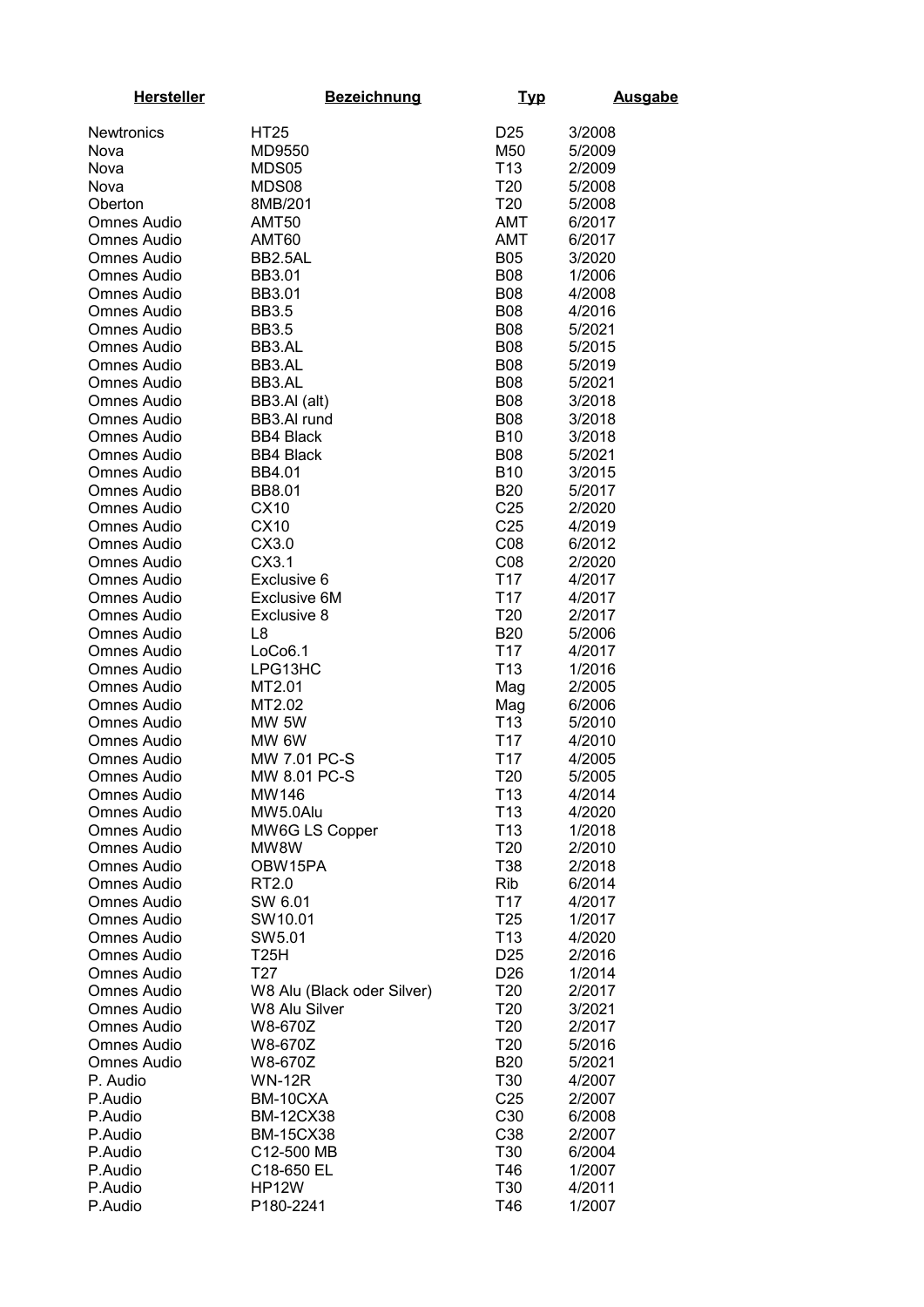| <b>Hersteller</b>                        | <b>Bezeichnung</b>           | <u>Тур</u>                         | <b>Ausgabe</b>   |
|------------------------------------------|------------------------------|------------------------------------|------------------|
| <b>Newtronics</b>                        | <b>HT25</b>                  | D <sub>25</sub>                    | 3/2008           |
| Nova                                     | MD9550                       | M50                                | 5/2009           |
| Nova                                     | MDS05                        | T <sub>13</sub>                    | 2/2009           |
| Nova                                     | MDS08                        | T <sub>20</sub>                    | 5/2008           |
| Oberton                                  | 8MB/201                      | T <sub>20</sub>                    | 5/2008           |
| <b>Omnes Audio</b>                       | AMT50                        | AMT                                | 6/2017           |
| Omnes Audio                              | AMT60                        | AMT                                | 6/2017           |
| Omnes Audio                              | BB2.5AL                      | <b>B05</b>                         | 3/2020           |
| <b>Omnes Audio</b>                       | BB3.01                       | <b>B08</b>                         | 1/2006           |
| <b>Omnes Audio</b>                       | BB3.01                       | <b>B08</b>                         | 4/2008           |
| <b>Omnes Audio</b>                       | <b>BB3.5</b>                 | <b>B08</b>                         | 4/2016           |
| <b>Omnes Audio</b>                       | <b>BB3.5</b>                 | <b>B08</b>                         | 5/2021           |
| <b>Omnes Audio</b>                       | BB3.AL                       | <b>B08</b>                         | 5/2015           |
| Omnes Audio                              | BB3.AL                       | <b>B08</b>                         | 5/2019           |
| Omnes Audio                              | BB3.AL                       | <b>B08</b>                         | 5/2021           |
| Omnes Audio                              | BB3.AI (alt)                 | <b>B08</b>                         | 3/2018           |
| Omnes Audio                              | BB3.AI rund                  | <b>B08</b>                         | 3/2018           |
| Omnes Audio                              | <b>BB4 Black</b>             | <b>B10</b>                         | 3/2018           |
| Omnes Audio                              | <b>BB4 Black</b>             | <b>B08</b>                         | 5/2021           |
| Omnes Audio                              | BB4.01                       | <b>B10</b>                         | 3/2015           |
| <b>Omnes Audio</b><br><b>Omnes Audio</b> | BB8.01<br>CX10               | <b>B20</b><br>C <sub>25</sub>      | 5/2017           |
| Omnes Audio                              | CX10                         | C <sub>25</sub>                    | 2/2020<br>4/2019 |
| Omnes Audio                              | CX3.0                        | CO8                                | 6/2012           |
| <b>Omnes Audio</b>                       | CX3.1                        | CO8                                | 2/2020           |
| Omnes Audio                              | Exclusive 6                  | T <sub>17</sub>                    | 4/2017           |
| Omnes Audio                              | <b>Exclusive 6M</b>          | T <sub>17</sub>                    | 4/2017           |
| <b>Omnes Audio</b>                       | Exclusive 8                  | T <sub>20</sub>                    | 2/2017           |
| <b>Omnes Audio</b>                       | L <sub>8</sub>               | <b>B20</b>                         | 5/2006           |
| <b>Omnes Audio</b>                       | LoCo6.1                      | T <sub>17</sub>                    | 4/2017           |
| <b>Omnes Audio</b>                       | LPG13HC                      | T <sub>13</sub>                    | 1/2016           |
| <b>Omnes Audio</b>                       | MT2.01                       | Mag                                | 2/2005           |
| <b>Omnes Audio</b>                       | MT2.02                       | Mag                                | 6/2006           |
| <b>Omnes Audio</b>                       | MW 5W                        | T <sub>13</sub>                    | 5/2010           |
| <b>Omnes Audio</b>                       | MW 6W                        | T <sub>17</sub>                    | 4/2010           |
| <b>Omnes Audio</b>                       | MW 7.01 PC-S                 | T <sub>17</sub>                    | 4/2005           |
| <b>Omnes Audio</b>                       | MW 8.01 PC-S                 | T20                                | 5/2005           |
| <b>Omnes Audio</b><br><b>Omnes Audio</b> | MW146                        | T <sub>13</sub>                    | 4/2014           |
| Omnes Audio                              | MW5.0Alu<br>MW6G LS Copper   | T <sub>13</sub><br>T <sub>13</sub> | 4/2020<br>1/2018 |
| Omnes Audio                              | MW8W                         | T <sub>20</sub>                    | 2/2010           |
| Omnes Audio                              | OBW15PA                      | T38                                | 2/2018           |
| Omnes Audio                              | RT2.0                        | Rib                                | 6/2014           |
| Omnes Audio                              | SW 6.01                      | T <sub>17</sub>                    | 4/2017           |
| Omnes Audio                              | SW10.01                      | T <sub>25</sub>                    | 1/2017           |
| Omnes Audio                              | SW5.01                       | T <sub>13</sub>                    | 4/2020           |
| Omnes Audio                              | T25H                         | D <sub>25</sub>                    | 2/2016           |
| <b>Omnes Audio</b>                       | T27                          | D <sub>26</sub>                    | 1/2014           |
| Omnes Audio                              | W8 Alu (Black oder Silver)   | T <sub>20</sub>                    | 2/2017           |
| Omnes Audio                              | W8 Alu Silver                | T <sub>20</sub>                    | 3/2021           |
| <b>Omnes Audio</b>                       | W8-670Z                      | T <sub>20</sub>                    | 2/2017           |
| <b>Omnes Audio</b>                       | W8-670Z                      | T <sub>20</sub>                    | 5/2016           |
| <b>Omnes Audio</b>                       | W8-670Z                      | <b>B20</b>                         | 5/2021           |
| P. Audio                                 | <b>WN-12R</b>                | T30                                | 4/2007           |
| P.Audio<br>P.Audio                       | BM-10CXA<br><b>BM-12CX38</b> | C <sub>25</sub><br>C30             | 2/2007           |
| P.Audio                                  | <b>BM-15CX38</b>             | C38                                | 6/2008<br>2/2007 |
| P.Audio                                  | C12-500 MB                   | T30                                | 6/2004           |
| P.Audio                                  | C18-650 EL                   | T46                                | 1/2007           |
| P.Audio                                  | HP12W                        | T30                                | 4/2011           |
| P.Audio                                  | P180-2241                    | T46                                | 1/2007           |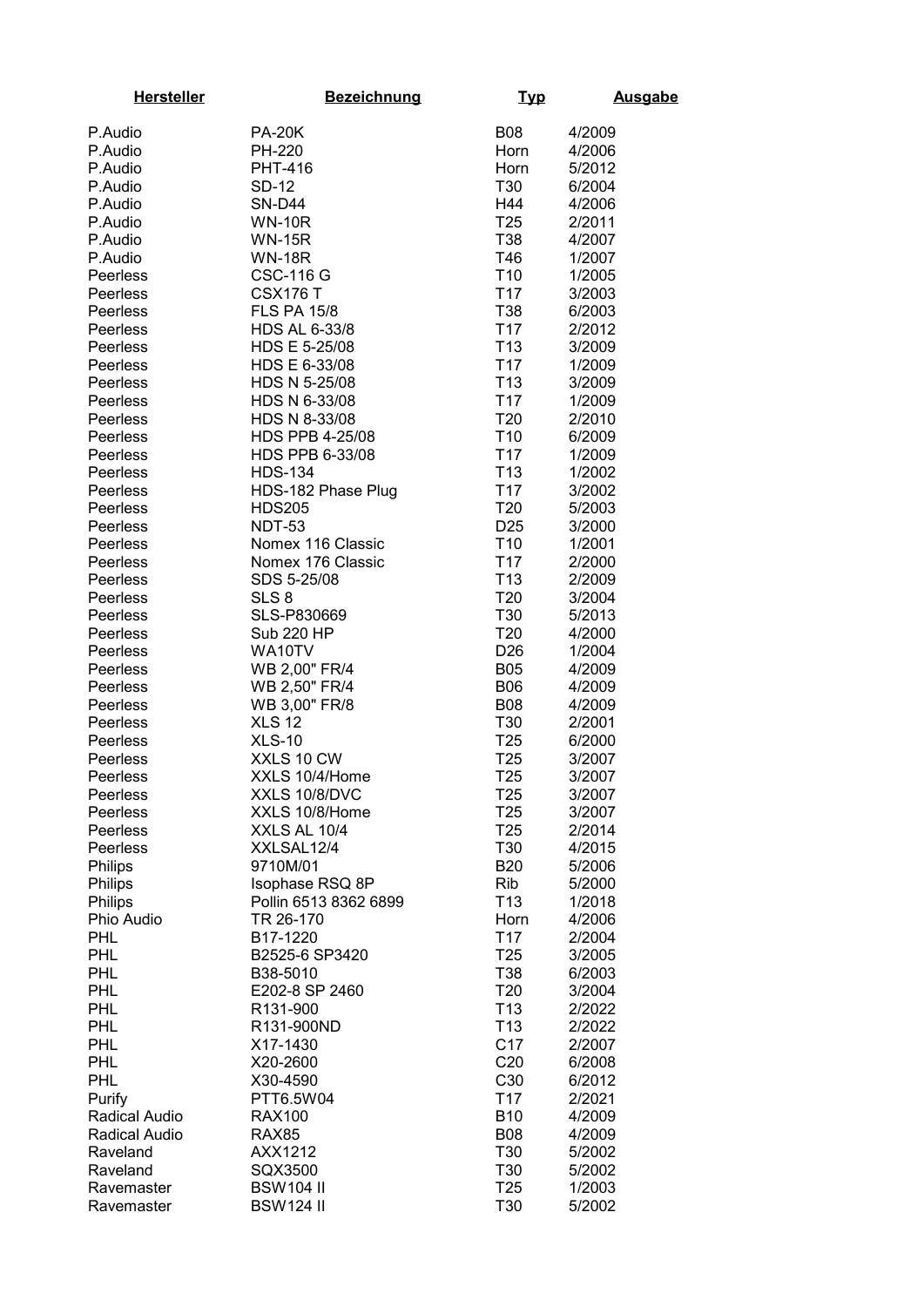| <b>Hersteller</b>    | <b>Bezeichnung</b>             | <u>Typ</u>             | <b>Ausgabe</b>   |
|----------------------|--------------------------------|------------------------|------------------|
| P.Audio              | <b>PA-20K</b>                  | <b>B08</b>             | 4/2009           |
| P.Audio              | <b>PH-220</b>                  | Horn                   | 4/2006           |
| P.Audio              | PHT-416                        | Horn                   | 5/2012           |
| P.Audio              | SD-12                          | T30                    | 6/2004           |
| P.Audio              | <b>SN-D44</b>                  | H44                    | 4/2006           |
| P.Audio              | <b>WN-10R</b>                  | T <sub>25</sub>        | 2/2011           |
| P.Audio              | <b>WN-15R</b>                  | T38                    | 4/2007           |
| P.Audio              | <b>WN-18R</b>                  | T46                    | 1/2007           |
| Peerless             | <b>CSC-116 G</b>               | T <sub>10</sub>        | 1/2005           |
| Peerless             | <b>CSX176 T</b>                | T <sub>17</sub>        | 3/2003           |
| Peerless             | <b>FLS PA 15/8</b>             | T38                    | 6/2003           |
| Peerless             | HDS AL 6-33/8                  | T <sub>17</sub>        | 2/2012           |
| Peerless             | HDS E 5-25/08                  | T <sub>13</sub>        | 3/2009           |
| Peerless             | HDS E 6-33/08                  | T <sub>17</sub>        | 1/2009           |
| Peerless             | HDS N 5-25/08                  | T <sub>13</sub>        | 3/2009           |
| Peerless             | HDS N 6-33/08                  | T <sub>17</sub>        | 1/2009           |
| Peerless             | HDS N 8-33/08                  | T <sub>20</sub>        | 2/2010           |
| Peerless             | <b>HDS PPB 4-25/08</b>         | T <sub>10</sub>        | 6/2009           |
| <b>Peerless</b>      | HDS PPB 6-33/08                | T <sub>17</sub>        | 1/2009           |
| Peerless             | <b>HDS-134</b>                 | T <sub>13</sub>        | 1/2002           |
| Peerless             | HDS-182 Phase Plug             | T <sub>17</sub>        | 3/2002           |
| Peerless             | <b>HDS205</b>                  | T <sub>20</sub>        | 5/2003           |
| Peerless             | <b>NDT-53</b>                  | D <sub>25</sub>        | 3/2000           |
| Peerless             | Nomex 116 Classic              | T <sub>10</sub>        | 1/2001           |
| Peerless             | Nomex 176 Classic              | T <sub>17</sub>        | 2/2000           |
| Peerless             | SDS 5-25/08                    | T <sub>13</sub>        | 2/2009           |
| Peerless             | SLS <sub>8</sub>               | T <sub>20</sub>        | 3/2004           |
| Peerless             | SLS-P830669                    | T30                    | 5/2013           |
| Peerless             | <b>Sub 220 HP</b>              | T <sub>20</sub>        | 4/2000           |
| Peerless             | WA10TV                         | D <sub>26</sub>        | 1/2004           |
| Peerless             | WB 2,00" FR/4                  | <b>B05</b>             | 4/2009           |
| Peerless             | WB 2,50" FR/4                  | <b>B06</b>             | 4/2009           |
| Peerless             | WB 3,00" FR/8                  | <b>B08</b>             | 4/2009           |
| Peerless             | <b>XLS 12</b>                  | T30                    | 2/2001           |
| Peerless             | <b>XLS-10</b>                  | T <sub>25</sub>        | 6/2000           |
| Peerless             | XXLS 10 CW                     | T <sub>25</sub>        | 3/2007           |
| Peerless             | XXLS 10/4/Home                 | T <sub>25</sub>        | 3/2007           |
| Peerless             | XXLS 10/8/DVC                  | T <sub>25</sub>        | 3/2007           |
| Peerless             | XXLS 10/8/Home<br>XXLS AL 10/4 | T <sub>25</sub>        | 3/2007           |
| Peerless<br>Peerless | XXLSAL12/4                     | T <sub>25</sub><br>T30 | 2/2014<br>4/2015 |
| <b>Philips</b>       | 9710M/01                       | <b>B20</b>             | 5/2006           |
| Philips              | Isophase RSQ 8P                | Rib                    | 5/2000           |
| Philips              | Pollin 6513 8362 6899          | T <sub>13</sub>        | 1/2018           |
| Phio Audio           | TR 26-170                      | Horn                   | 4/2006           |
| <b>PHL</b>           | B17-1220                       | T <sub>17</sub>        | 2/2004           |
| <b>PHL</b>           | B2525-6 SP3420                 | T <sub>25</sub>        | 3/2005           |
| <b>PHL</b>           | B38-5010                       | T38                    | 6/2003           |
| <b>PHL</b>           | E202-8 SP 2460                 | T <sub>20</sub>        | 3/2004           |
| <b>PHL</b>           | R131-900                       | T <sub>13</sub>        | 2/2022           |
| <b>PHL</b>           | R131-900ND                     | T <sub>13</sub>        | 2/2022           |
| PHL                  | X17-1430                       | C <sub>17</sub>        | 2/2007           |
| PHL                  | X20-2600                       | C <sub>20</sub>        | 6/2008           |
| <b>PHL</b>           | X30-4590                       | C30                    | 6/2012           |
| Purify               | PTT6.5W04                      | T <sub>17</sub>        | 2/2021           |
| Radical Audio        | <b>RAX100</b>                  | <b>B10</b>             | 4/2009           |
| Radical Audio        | <b>RAX85</b>                   | <b>B08</b>             | 4/2009           |
| Raveland             | AXX1212                        | T30                    | 5/2002           |
| Raveland             | SQX3500                        | T30                    | 5/2002           |
| Ravemaster           | <b>BSW104 II</b>               | T <sub>25</sub>        | 1/2003           |
| Ravemaster           | <b>BSW124 II</b>               | T30                    | 5/2002           |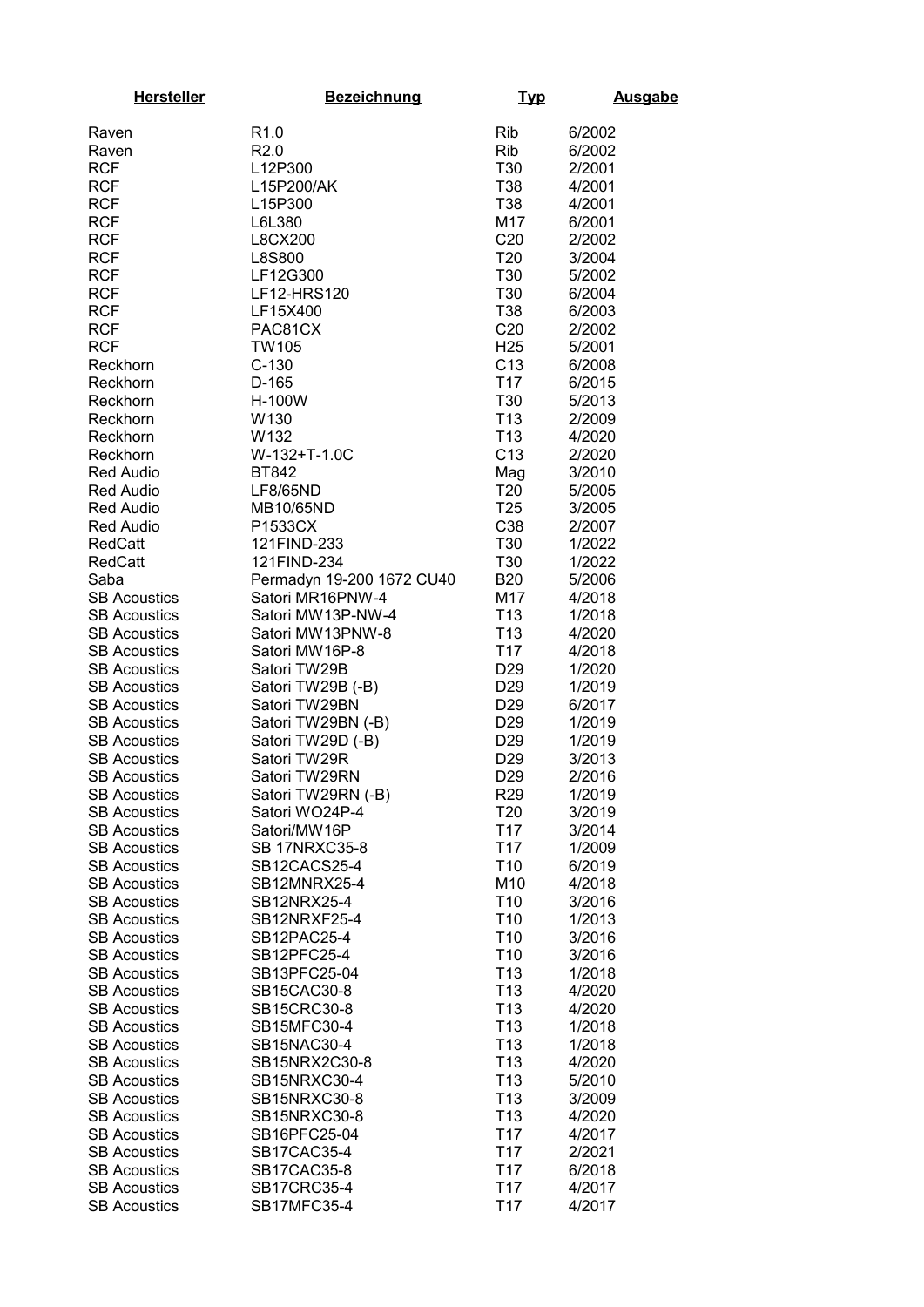| <b>Hersteller</b>                          | <b>Bezeichnung</b>          | <u>Typ</u>                         | <b>Ausgabe</b>   |
|--------------------------------------------|-----------------------------|------------------------------------|------------------|
| Raven                                      | R <sub>1.0</sub>            | <b>Rib</b>                         | 6/2002           |
| Raven                                      | R <sub>2.0</sub>            | Rib                                | 6/2002           |
| <b>RCF</b>                                 | L12P300                     | T30                                | 2/2001           |
| <b>RCF</b>                                 | L15P200/AK                  | T38                                | 4/2001           |
| <b>RCF</b>                                 | L15P300                     | T38                                | 4/2001           |
| <b>RCF</b>                                 | L6L380                      | M17                                | 6/2001           |
| <b>RCF</b>                                 | L8CX200                     | C20                                | 2/2002           |
| <b>RCF</b>                                 | L8S800                      | T <sub>20</sub>                    | 3/2004           |
| <b>RCF</b>                                 | LF12G300                    | T30                                | 5/2002           |
| <b>RCF</b>                                 | LF12-HRS120                 | T30                                | 6/2004           |
| <b>RCF</b>                                 | LF15X400                    | T38                                | 6/2003           |
| <b>RCF</b>                                 | PAC81CX                     | C <sub>20</sub>                    | 2/2002           |
| <b>RCF</b>                                 | <b>TW105</b>                | H <sub>25</sub>                    | 5/2001           |
| Reckhorn                                   | $C-130$                     | C <sub>13</sub>                    | 6/2008           |
| Reckhorn                                   | D-165                       | T <sub>17</sub>                    | 6/2015           |
| Reckhorn                                   | H-100W                      | T30                                | 5/2013           |
| Reckhorn                                   | W130                        | T <sub>13</sub>                    | 2/2009           |
| Reckhorn                                   | W <sub>132</sub>            | T <sub>13</sub>                    | 4/2020           |
| Reckhorn                                   | W-132+T-1.0C                | C <sub>13</sub>                    | 2/2020           |
| <b>Red Audio</b>                           | BT842                       | Mag                                | 3/2010           |
| <b>Red Audio</b>                           | LF8/65ND                    | T <sub>20</sub><br>T <sub>25</sub> | 5/2005           |
| <b>Red Audio</b><br>Red Audio              | MB10/65ND<br>P1533CX        | C38                                | 3/2005<br>2/2007 |
| <b>RedCatt</b>                             | 121FIND-233                 | T30                                | 1/2022           |
| <b>RedCatt</b>                             | 121FIND-234                 | T30                                | 1/2022           |
| Saba                                       | Permadyn 19-200 1672 CU40   | <b>B20</b>                         | 5/2006           |
| <b>SB Acoustics</b>                        | Satori MR16PNW-4            | M17                                | 4/2018           |
| <b>SB Acoustics</b>                        | Satori MW13P-NW-4           | T <sub>13</sub>                    | 1/2018           |
| <b>SB Acoustics</b>                        | Satori MW13PNW-8            | T <sub>13</sub>                    | 4/2020           |
| <b>SB Acoustics</b>                        | Satori MW16P-8              | T <sub>17</sub>                    | 4/2018           |
| <b>SB Acoustics</b>                        | Satori TW29B                | D <sub>29</sub>                    | 1/2020           |
| <b>SB Acoustics</b>                        | Satori TW29B (-B)           | D <sub>29</sub>                    | 1/2019           |
| <b>SB Acoustics</b>                        | Satori TW29BN               | D <sub>29</sub>                    | 6/2017           |
| <b>SB Acoustics</b>                        | Satori TW29BN (-B)          | D <sub>29</sub>                    | 1/2019           |
| <b>SB Acoustics</b>                        | Satori TW29D (-B)           | D <sub>29</sub>                    | 1/2019           |
| <b>SB Acoustics</b>                        | Satori TW29R                | D <sub>29</sub>                    | 3/2013           |
| <b>SB Acoustics</b>                        | Satori TW29RN               | D <sub>29</sub>                    | 2/2016           |
| <b>SB Acoustics</b>                        | Satori TW29RN (-B)          | R <sub>29</sub>                    | 1/2019           |
| <b>SB Acoustics</b>                        | Satori WO24P-4              | T <sub>20</sub>                    | 3/2019           |
| <b>SB Acoustics</b>                        | Satori/MW16P                | T <sub>17</sub>                    | 3/2014           |
| <b>SB Acoustics</b>                        | <b>SB 17NRXC35-8</b>        | T <sub>17</sub>                    | 1/2009           |
| <b>SB Acoustics</b>                        | SB12CACS25-4                | T <sub>10</sub>                    | 6/2019           |
| <b>SB Acoustics</b>                        | SB12MNRX25-4                | M10                                | 4/2018           |
| <b>SB Acoustics</b><br><b>SB Acoustics</b> | SB12NRX25-4<br>SB12NRXF25-4 | T <sub>10</sub><br>T <sub>10</sub> | 3/2016<br>1/2013 |
| <b>SB Acoustics</b>                        | SB12PAC25-4                 | T <sub>10</sub>                    | 3/2016           |
| <b>SB Acoustics</b>                        | SB12PFC25-4                 | T <sub>10</sub>                    | 3/2016           |
| <b>SB Acoustics</b>                        | SB13PFC25-04                | T <sub>13</sub>                    | 1/2018           |
| <b>SB Acoustics</b>                        | SB15CAC30-8                 | T <sub>13</sub>                    | 4/2020           |
| <b>SB Acoustics</b>                        | SB15CRC30-8                 | T <sub>13</sub>                    | 4/2020           |
| <b>SB Acoustics</b>                        | SB15MFC30-4                 | T <sub>13</sub>                    | 1/2018           |
| <b>SB Acoustics</b>                        | SB15NAC30-4                 | T <sub>13</sub>                    | 1/2018           |
| <b>SB Acoustics</b>                        | SB15NRX2C30-8               | T <sub>13</sub>                    | 4/2020           |
| <b>SB Acoustics</b>                        | SB15NRXC30-4                | T <sub>13</sub>                    | 5/2010           |
| <b>SB Acoustics</b>                        | SB15NRXC30-8                | T <sub>13</sub>                    | 3/2009           |
| <b>SB Acoustics</b>                        | SB15NRXC30-8                | T <sub>13</sub>                    | 4/2020           |
| <b>SB Acoustics</b>                        | SB16PFC25-04                | T <sub>17</sub>                    | 4/2017           |
| <b>SB Acoustics</b>                        | SB17CAC35-4                 | T <sub>17</sub>                    | 2/2021           |
| <b>SB Acoustics</b>                        | SB17CAC35-8                 | T17                                | 6/2018           |
| <b>SB Acoustics</b>                        | SB17CRC35-4                 | T <sub>17</sub>                    | 4/2017           |
| <b>SB Acoustics</b>                        | SB17MFC35-4                 | T <sub>17</sub>                    | 4/2017           |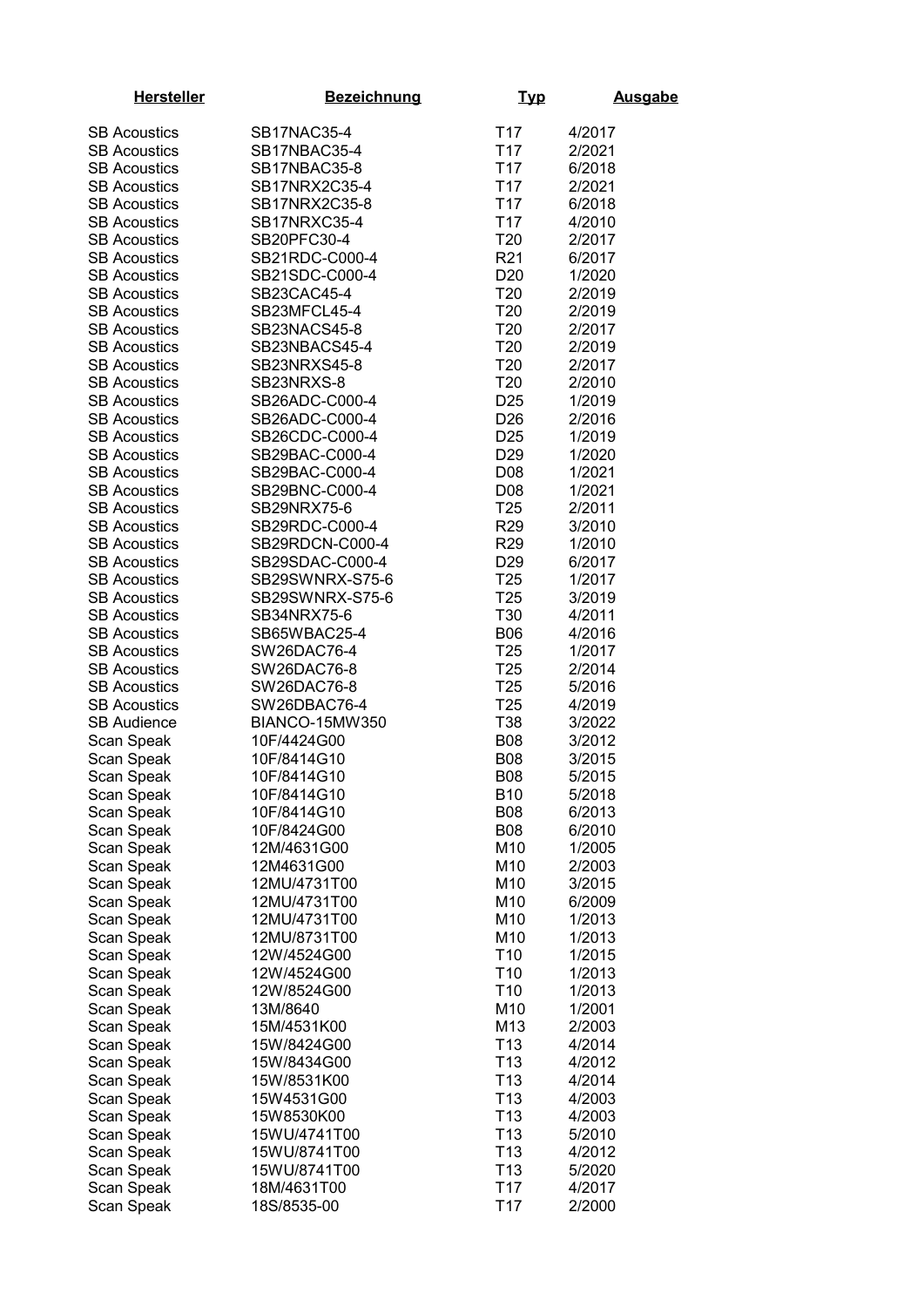| <b>Hersteller</b>                          | <b>Bezeichnung</b>            | <u>Typ</u>                         | <b>Ausgabe</b>   |
|--------------------------------------------|-------------------------------|------------------------------------|------------------|
| <b>SB Acoustics</b>                        | SB17NAC35-4                   | T <sub>17</sub>                    | 4/2017           |
| <b>SB Acoustics</b>                        | SB17NBAC35-4                  | T <sub>17</sub>                    | 2/2021           |
| <b>SB Acoustics</b>                        | SB17NBAC35-8                  | T <sub>17</sub>                    | 6/2018           |
| <b>SB Acoustics</b>                        | SB17NRX2C35-4                 | T <sub>17</sub>                    | 2/2021           |
| <b>SB Acoustics</b>                        | SB17NRX2C35-8                 | T <sub>17</sub>                    | 6/2018           |
| <b>SB Acoustics</b>                        | SB17NRXC35-4                  | T <sub>17</sub>                    | 4/2010           |
| <b>SB Acoustics</b>                        | SB20PFC30-4                   | T <sub>20</sub>                    | 2/2017           |
| <b>SB Acoustics</b>                        | SB21RDC-C000-4                | R <sub>21</sub>                    | 6/2017           |
| <b>SB Acoustics</b>                        | SB21SDC-C000-4                | D <sub>20</sub>                    | 1/2020           |
| <b>SB Acoustics</b>                        | SB23CAC45-4                   | T <sub>20</sub>                    | 2/2019           |
| <b>SB Acoustics</b>                        | SB23MFCL45-4                  | T <sub>20</sub>                    | 2/2019           |
| <b>SB Acoustics</b>                        | SB23NACS45-8                  | T <sub>20</sub>                    | 2/2017           |
| <b>SB Acoustics</b>                        | SB23NBACS45-4                 | T <sub>20</sub>                    | 2/2019           |
| <b>SB Acoustics</b>                        | SB23NRXS45-8                  | T <sub>20</sub>                    | 2/2017           |
| <b>SB Acoustics</b>                        | SB23NRXS-8                    | T <sub>20</sub>                    | 2/2010           |
| <b>SB Acoustics</b>                        | SB26ADC-C000-4                | D <sub>25</sub>                    | 1/2019           |
| <b>SB Acoustics</b>                        | SB26ADC-C000-4                | D <sub>26</sub>                    | 2/2016           |
| <b>SB Acoustics</b>                        | SB26CDC-C000-4                | D <sub>25</sub>                    | 1/2019           |
|                                            | SB29BAC-C000-4                | D <sub>29</sub>                    |                  |
| <b>SB Acoustics</b>                        | SB29BAC-C000-4                |                                    | 1/2020           |
| <b>SB Acoustics</b>                        |                               | D <sub>08</sub>                    | 1/2021           |
| <b>SB Acoustics</b>                        | SB29BNC-C000-4                | D <sub>08</sub>                    | 1/2021           |
| <b>SB Acoustics</b>                        | SB29NRX75-6<br>SB29RDC-C000-4 | T <sub>25</sub>                    | 2/2011           |
| <b>SB Acoustics</b>                        |                               | R <sub>29</sub>                    | 3/2010           |
| <b>SB Acoustics</b>                        | SB29RDCN-C000-4               | <b>R29</b>                         | 1/2010           |
| <b>SB Acoustics</b>                        | SB29SDAC-C000-4               | D <sub>29</sub>                    | 6/2017           |
| <b>SB Acoustics</b>                        | SB29SWNRX-S75-6               | T <sub>25</sub>                    | 1/2017           |
| <b>SB Acoustics</b>                        | SB29SWNRX-S75-6               | T <sub>25</sub><br>T30             | 3/2019           |
| <b>SB Acoustics</b>                        | SB34NRX75-6                   |                                    | 4/2011           |
| <b>SB Acoustics</b>                        | SB65WBAC25-4                  | <b>B06</b>                         | 4/2016           |
| <b>SB Acoustics</b><br><b>SB Acoustics</b> | SW26DAC76-4                   | T <sub>25</sub><br>T <sub>25</sub> | 1/2017           |
| <b>SB Acoustics</b>                        | SW26DAC76-8<br>SW26DAC76-8    | T <sub>25</sub>                    | 2/2014<br>5/2016 |
| <b>SB Acoustics</b>                        | SW26DBAC76-4                  | T <sub>25</sub>                    | 4/2019           |
| <b>SB Audience</b>                         | BIANCO-15MW350                | T38                                | 3/2022           |
| Scan Speak                                 | 10F/4424G00                   | <b>B08</b>                         | 3/2012           |
| Scan Speak                                 | 10F/8414G10                   | <b>B08</b>                         | 3/2015           |
| Scan Speak                                 | 10F/8414G10                   | <b>B08</b>                         | 5/2015           |
| Scan Speak                                 | 10F/8414G10                   | <b>B10</b>                         | 5/2018           |
| Scan Speak                                 | 10F/8414G10                   | <b>B08</b>                         | 6/2013           |
| Scan Speak                                 | 10F/8424G00                   | <b>B08</b>                         | 6/2010           |
| Scan Speak                                 | 12M/4631G00                   | M10                                | 1/2005           |
| Scan Speak                                 | 12M4631G00                    | M10                                | 2/2003           |
| Scan Speak                                 | 12MU/4731T00                  | M10                                | 3/2015           |
| Scan Speak                                 | 12MU/4731T00                  | M10                                | 6/2009           |
| Scan Speak                                 | 12MU/4731T00                  | M10                                | 1/2013           |
| Scan Speak                                 | 12MU/8731T00                  | M10                                | 1/2013           |
| Scan Speak                                 | 12W/4524G00                   | T <sub>10</sub>                    | 1/2015           |
| Scan Speak                                 | 12W/4524G00                   | T <sub>10</sub>                    | 1/2013           |
| Scan Speak                                 | 12W/8524G00                   | T <sub>10</sub>                    | 1/2013           |
| Scan Speak                                 | 13M/8640                      | M10                                | 1/2001           |
| Scan Speak                                 | 15M/4531K00                   | M13                                | 2/2003           |
| Scan Speak                                 | 15W/8424G00                   | T <sub>13</sub>                    | 4/2014           |
| Scan Speak                                 | 15W/8434G00                   | T <sub>13</sub>                    | 4/2012           |
| Scan Speak                                 | 15W/8531K00                   | T <sub>13</sub>                    | 4/2014           |
| Scan Speak                                 | 15W4531G00                    | T <sub>13</sub>                    | 4/2003           |
| Scan Speak                                 | 15W8530K00                    | T <sub>13</sub>                    | 4/2003           |
| Scan Speak                                 | 15WU/4741T00                  | T <sub>13</sub>                    | 5/2010           |
| Scan Speak                                 | 15WU/8741T00                  | T <sub>13</sub>                    | 4/2012           |
| Scan Speak                                 | 15WU/8741T00                  | T <sub>13</sub>                    | 5/2020           |
| Scan Speak                                 | 18M/4631T00                   | T <sub>17</sub>                    | 4/2017           |
| Scan Speak                                 | 18S/8535-00                   | T <sub>17</sub>                    | 2/2000           |
|                                            |                               |                                    |                  |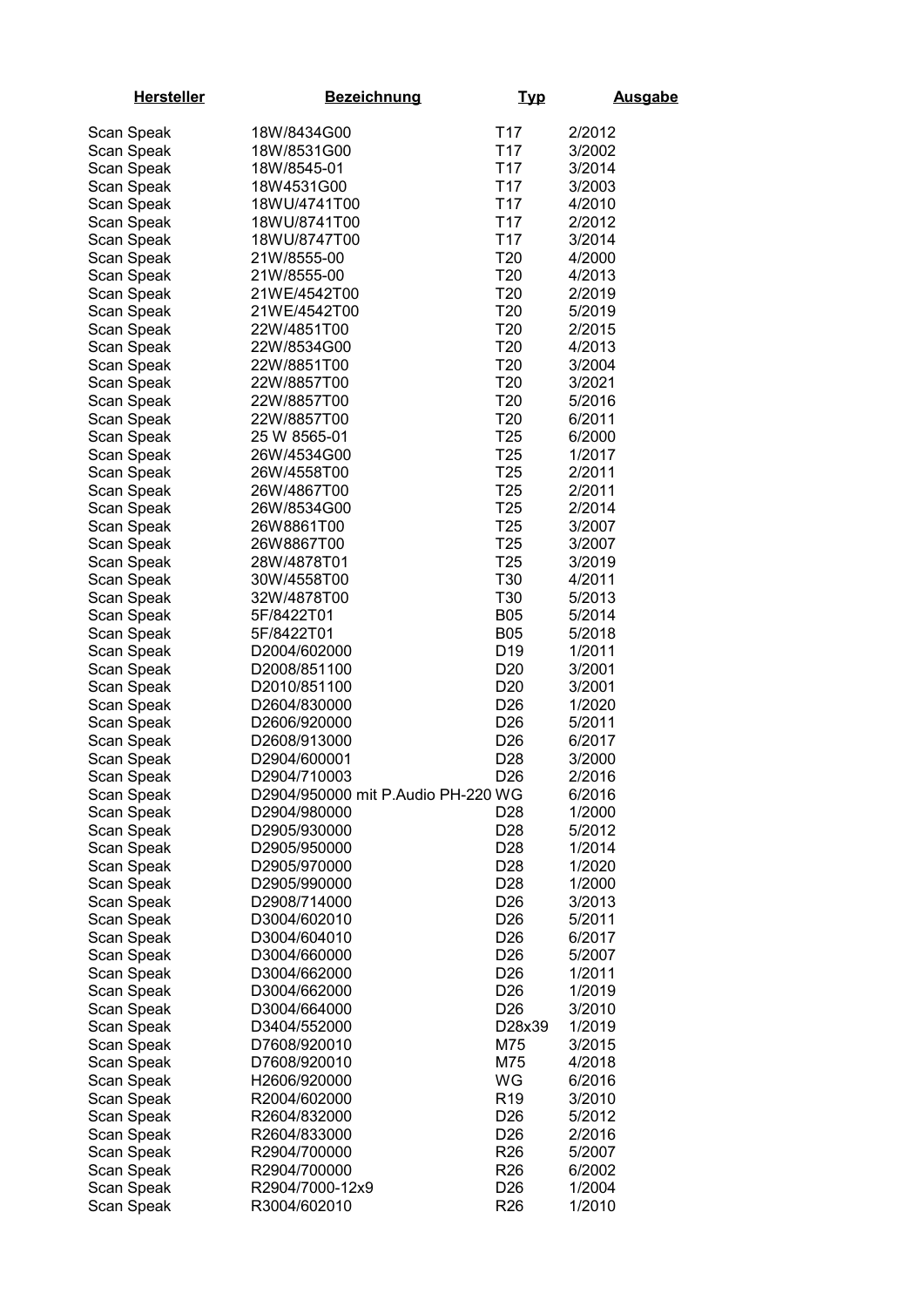| <b>Hersteller</b> | <b>Bezeichnung</b>                 | <u>Typ</u>      | <b>Ausgabe</b> |
|-------------------|------------------------------------|-----------------|----------------|
| Scan Speak        | 18W/8434G00                        | T <sub>17</sub> | 2/2012         |
| Scan Speak        | 18W/8531G00                        | T <sub>17</sub> | 3/2002         |
|                   | 18W/8545-01                        | T <sub>17</sub> | 3/2014         |
| Scan Speak        |                                    | T <sub>17</sub> |                |
| Scan Speak        | 18W4531G00                         |                 | 3/2003         |
| Scan Speak        | 18WU/4741T00                       | T <sub>17</sub> | 4/2010         |
| Scan Speak        | 18WU/8741T00                       | T <sub>17</sub> | 2/2012         |
| Scan Speak        | 18WU/8747T00                       | T <sub>17</sub> | 3/2014         |
| Scan Speak        | 21W/8555-00                        | T20             | 4/2000         |
| Scan Speak        | 21W/8555-00                        | T <sub>20</sub> | 4/2013         |
| Scan Speak        | 21WE/4542T00                       | T <sub>20</sub> | 2/2019         |
| Scan Speak        | 21WE/4542T00                       | T <sub>20</sub> | 5/2019         |
| Scan Speak        | 22W/4851T00                        | T <sub>20</sub> | 2/2015         |
| Scan Speak        | 22W/8534G00                        | T <sub>20</sub> | 4/2013         |
| Scan Speak        | 22W/8851T00                        | T <sub>20</sub> | 3/2004         |
| Scan Speak        | 22W/8857T00                        | T <sub>20</sub> | 3/2021         |
| Scan Speak        | 22W/8857T00                        | T <sub>20</sub> | 5/2016         |
| Scan Speak        | 22W/8857T00                        | T <sub>20</sub> | 6/2011         |
|                   |                                    |                 |                |
| Scan Speak        | 25 W 8565-01                       | T <sub>25</sub> | 6/2000         |
| Scan Speak        | 26W/4534G00                        | T <sub>25</sub> | 1/2017         |
| Scan Speak        | 26W/4558T00                        | T <sub>25</sub> | 2/2011         |
| Scan Speak        | 26W/4867T00                        | T <sub>25</sub> | 2/2011         |
| Scan Speak        | 26W/8534G00                        | T <sub>25</sub> | 2/2014         |
| Scan Speak        | 26W8861T00                         | T <sub>25</sub> | 3/2007         |
| Scan Speak        | 26W8867T00                         | T <sub>25</sub> | 3/2007         |
| Scan Speak        | 28W/4878T01                        | T <sub>25</sub> | 3/2019         |
| Scan Speak        | 30W/4558T00                        | T30             | 4/2011         |
| Scan Speak        | 32W/4878T00                        | T30             | 5/2013         |
| Scan Speak        | 5F/8422T01                         | <b>B05</b>      | 5/2014         |
| Scan Speak        | 5F/8422T01                         | <b>B05</b>      | 5/2018         |
| Scan Speak        | D2004/602000                       | D <sub>19</sub> | 1/2011         |
|                   | D2008/851100                       | D <sub>20</sub> |                |
| Scan Speak        |                                    |                 | 3/2001         |
| Scan Speak        | D2010/851100                       | D <sub>20</sub> | 3/2001         |
| Scan Speak        | D2604/830000                       | D <sub>26</sub> | 1/2020         |
| Scan Speak        | D2606/920000                       | D <sub>26</sub> | 5/2011         |
| Scan Speak        | D2608/913000                       | D <sub>26</sub> | 6/2017         |
| Scan Speak        | D2904/600001                       | D28             | 3/2000         |
| Scan Speak        | D2904/710003                       | D <sub>26</sub> | 2/2016         |
| Scan Speak        | D2904/950000 mit P.Audio PH-220 WG |                 | 6/2016         |
| Scan Speak        | D2904/980000                       | D <sub>28</sub> | 1/2000         |
| Scan Speak        | D2905/930000                       | D <sub>28</sub> | 5/2012         |
| Scan Speak        | D2905/950000                       | D <sub>28</sub> | 1/2014         |
| Scan Speak        | D2905/970000                       | D <sub>28</sub> | 1/2020         |
| Scan Speak        | D2905/990000                       | D <sub>28</sub> | 1/2000         |
| Scan Speak        | D2908/714000                       | D <sub>26</sub> | 3/2013         |
| Scan Speak        | D3004/602010                       | D <sub>26</sub> | 5/2011         |
| Scan Speak        | D3004/604010                       | D <sub>26</sub> | 6/2017         |
| Scan Speak        | D3004/660000                       | D <sub>26</sub> | 5/2007         |
|                   | D3004/662000                       | D <sub>26</sub> |                |
| Scan Speak        |                                    |                 | 1/2011         |
| Scan Speak        | D3004/662000                       | D <sub>26</sub> | 1/2019         |
| Scan Speak        | D3004/664000                       | D <sub>26</sub> | 3/2010         |
| Scan Speak        | D3404/552000                       | D28x39          | 1/2019         |
| Scan Speak        | D7608/920010                       | M75             | 3/2015         |
| Scan Speak        | D7608/920010                       | M75             | 4/2018         |
| Scan Speak        | H2606/920000                       | WG              | 6/2016         |
| Scan Speak        | R2004/602000                       | R <sub>19</sub> | 3/2010         |
| Scan Speak        | R2604/832000                       | D <sub>26</sub> | 5/2012         |
| Scan Speak        | R2604/833000                       | D <sub>26</sub> | 2/2016         |
| Scan Speak        | R2904/700000                       | R <sub>26</sub> | 5/2007         |
| Scan Speak        | R2904/700000                       | R <sub>26</sub> | 6/2002         |
| Scan Speak        | R2904/7000-12x9                    | D <sub>26</sub> | 1/2004         |
| Scan Speak        | R3004/602010                       | R <sub>26</sub> | 1/2010         |
|                   |                                    |                 |                |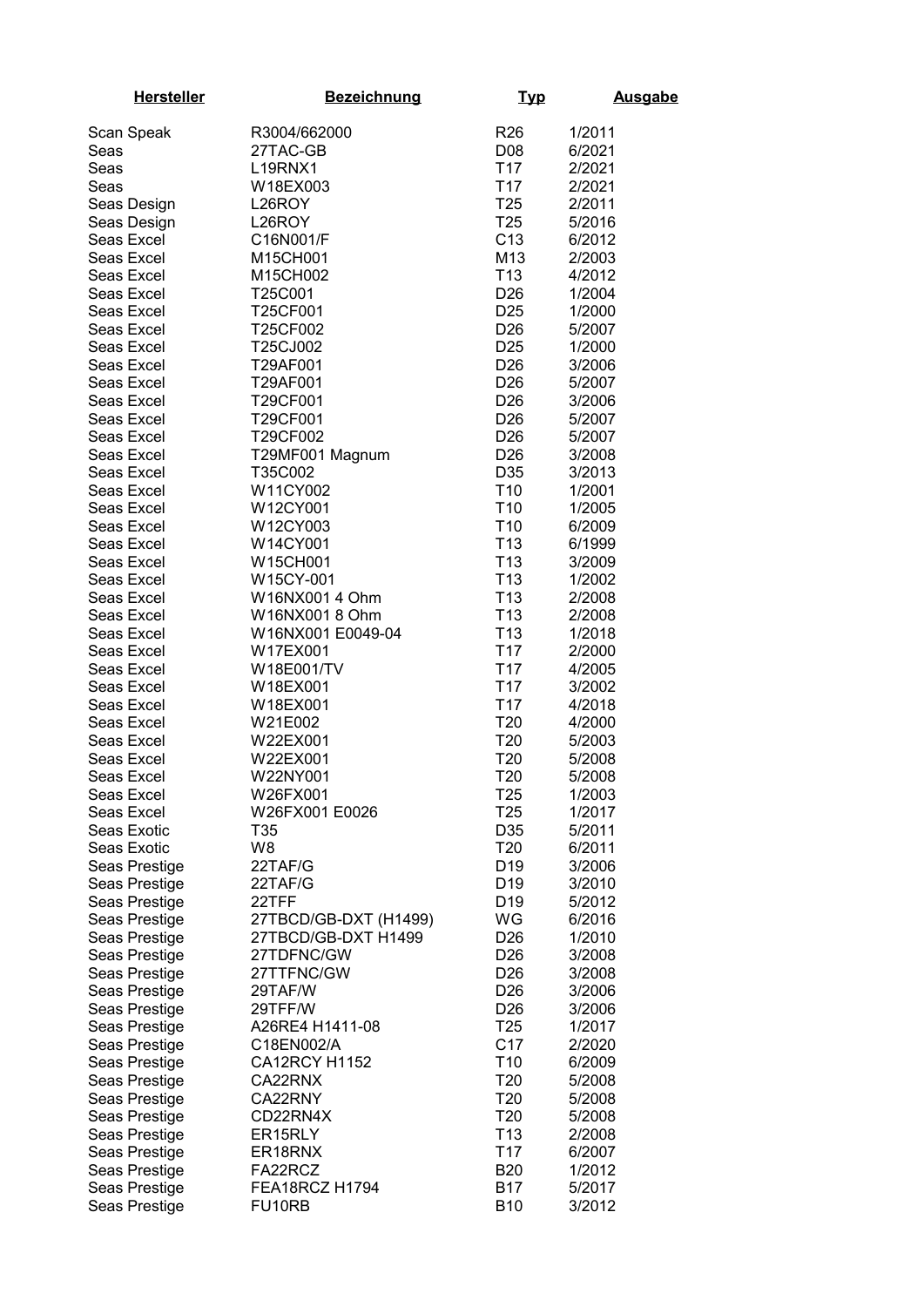| <b>Hersteller</b>              | <b>Bezeichnung</b>             | <u>Typ</u>            | <b>Ausgabe</b>   |
|--------------------------------|--------------------------------|-----------------------|------------------|
| Scan Speak                     | R3004/662000                   | R <sub>26</sub>       | 1/2011           |
| Seas                           | 27TAC-GB                       | D08                   | 6/2021           |
| Seas                           | L19RNX1                        | T <sub>17</sub>       | 2/2021           |
| Seas                           | W18EX003                       | T <sub>17</sub>       | 2/2021           |
| Seas Design                    | L26ROY                         | T <sub>25</sub>       | 2/2011           |
| Seas Design                    | L26ROY                         | T <sub>25</sub>       | 5/2016           |
| Seas Excel                     | C16N001/F                      | C <sub>13</sub>       | 6/2012           |
| Seas Excel                     | M15CH001                       | M13                   | 2/2003           |
| Seas Excel                     | M15CH002                       | T <sub>13</sub>       | 4/2012           |
| Seas Excel                     | T25C001                        | D <sub>26</sub>       | 1/2004           |
| Seas Excel                     | T25CF001                       | D <sub>25</sub>       | 1/2000           |
| Seas Excel                     | T25CF002                       | D <sub>26</sub>       | 5/2007           |
| Seas Excel                     | T25CJ002                       | D <sub>25</sub>       | 1/2000           |
| Seas Excel                     | T29AF001                       | D <sub>26</sub>       | 3/2006           |
| Seas Excel                     | T29AF001                       | D <sub>26</sub>       | 5/2007           |
| Seas Excel                     | T29CF001                       | D <sub>26</sub>       | 3/2006           |
| Seas Excel                     | T29CF001                       | D <sub>26</sub>       | 5/2007           |
| Seas Excel                     | T29CF002                       | D <sub>26</sub>       | 5/2007           |
| Seas Excel                     | T29MF001 Magnum                | D <sub>26</sub>       | 3/2008           |
| Seas Excel                     | T35C002                        | D35                   | 3/2013           |
| Seas Excel                     | W11CY002                       | T <sub>10</sub>       | 1/2001           |
| Seas Excel                     | W12CY001                       | T <sub>10</sub>       | 1/2005           |
| Seas Excel                     | W12CY003                       | T <sub>10</sub>       | 6/2009           |
| Seas Excel                     | W14CY001                       | T <sub>13</sub>       | 6/1999           |
| Seas Excel                     | W15CH001                       | T <sub>13</sub>       | 3/2009           |
| Seas Excel                     | W15CY-001                      | T <sub>13</sub>       | 1/2002           |
| Seas Excel                     | W16NX001 4 Ohm                 | T <sub>13</sub>       | 2/2008           |
| Seas Excel                     | W16NX001 8 Ohm                 | T <sub>13</sub>       | 2/2008           |
| Seas Excel                     | W16NX001 E0049-04              | T <sub>13</sub>       | 1/2018           |
| Seas Excel                     | W17EX001                       | T17                   | 2/2000           |
| Seas Excel                     | W18E001/TV                     | T <sub>17</sub>       | 4/2005           |
| Seas Excel                     | W18EX001                       | T <sub>17</sub>       | 3/2002           |
| Seas Excel                     | W18EX001                       | T <sub>17</sub>       | 4/2018           |
| Seas Excel                     | W21E002                        | T <sub>20</sub>       | 4/2000           |
| Seas Excel                     | W22EX001                       | T <sub>20</sub>       | 5/2003           |
| Seas Excel                     | W22EX001                       | T20                   | 5/2008           |
| Seas Excel                     | W22NY001                       | T20                   | 5/2008           |
| Seas Excel                     | W26FX001                       | T <sub>25</sub>       | 1/2003           |
| Seas Excel                     | W26FX001 E0026                 | T <sub>25</sub>       | 1/2017           |
| Seas Exotic                    | T35                            | D35                   | 5/2011           |
| Seas Exotic                    | W8                             | T <sub>20</sub>       | 6/2011           |
| Seas Prestige                  | 22TAF/G                        | D <sub>19</sub>       | 3/2006           |
| Seas Prestige                  | 22TAF/G                        | D <sub>19</sub>       | 3/2010           |
| Seas Prestige                  | 22TFF<br>27TBCD/GB-DXT (H1499) | D <sub>19</sub><br>WG | 5/2012<br>6/2016 |
| Seas Prestige                  | 27TBCD/GB-DXT H1499            | D <sub>26</sub>       | 1/2010           |
| Seas Prestige<br>Seas Prestige | 27TDFNC/GW                     | D <sub>26</sub>       | 3/2008           |
| Seas Prestige                  | 27TTFNC/GW                     | D <sub>26</sub>       | 3/2008           |
| Seas Prestige                  | 29TAF/W                        | D <sub>26</sub>       | 3/2006           |
| Seas Prestige                  | 29TFF/W                        | D <sub>26</sub>       | 3/2006           |
| Seas Prestige                  | A26RE4 H1411-08                | T <sub>25</sub>       | 1/2017           |
| Seas Prestige                  | C18EN002/A                     | C17                   | 2/2020           |
| Seas Prestige                  | <b>CA12RCY H1152</b>           | T <sub>10</sub>       | 6/2009           |
| Seas Prestige                  | CA22RNX                        | T <sub>20</sub>       | 5/2008           |
| Seas Prestige                  | CA22RNY                        | T <sub>20</sub>       | 5/2008           |
| Seas Prestige                  | CD22RN4X                       | T <sub>20</sub>       | 5/2008           |
| Seas Prestige                  | ER15RLY                        | T <sub>13</sub>       | 2/2008           |
| Seas Prestige                  | ER18RNX                        | T <sub>17</sub>       | 6/2007           |
| Seas Prestige                  | FA22RCZ                        | <b>B20</b>            | 1/2012           |
| Seas Prestige                  | FEA18RCZ H1794                 | <b>B17</b>            | 5/2017           |
| Seas Prestige                  | FU10RB                         | <b>B10</b>            | 3/2012           |
|                                |                                |                       |                  |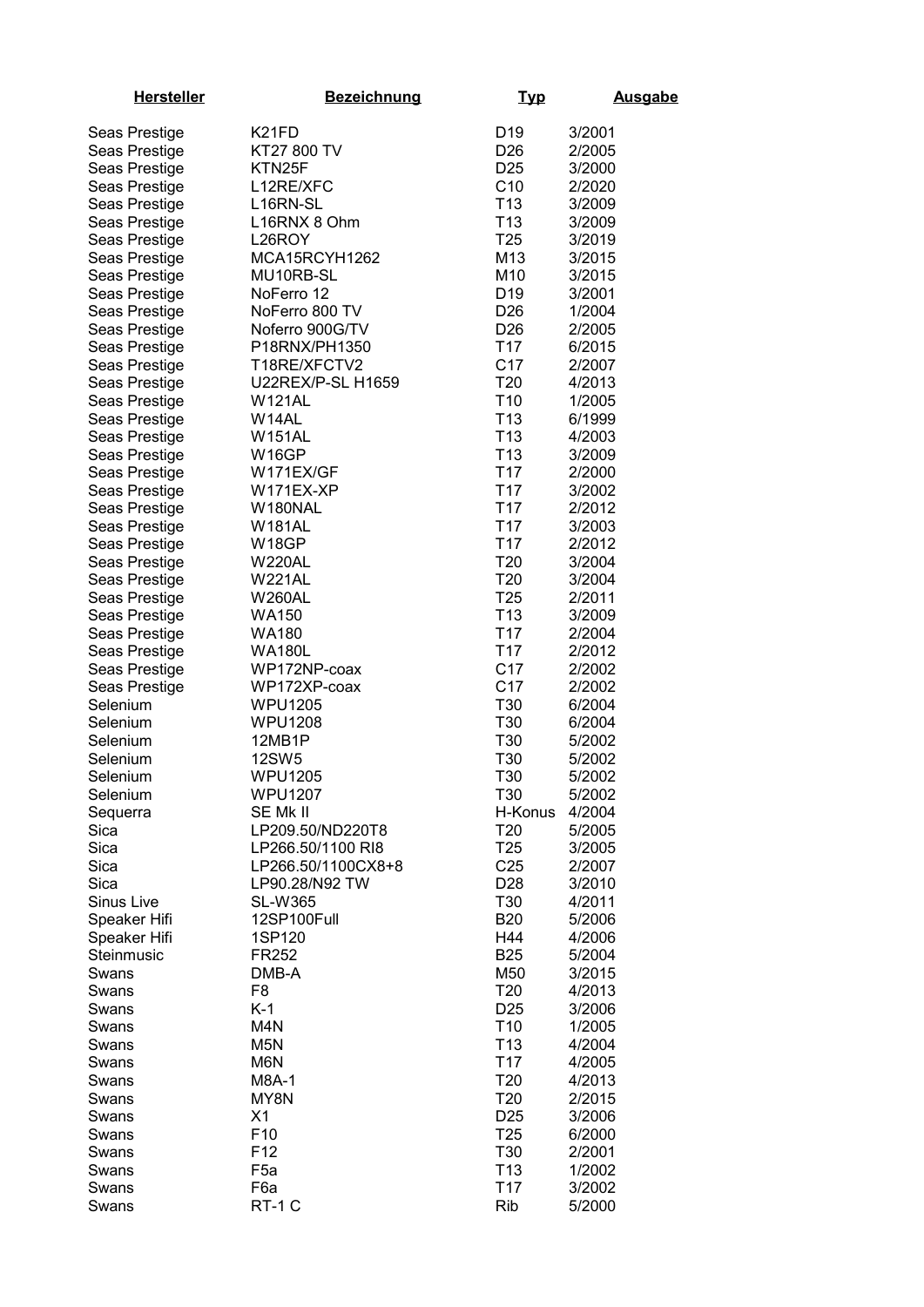| <b>Hersteller</b> | <b>Bezeichnung</b>       | <b>Typ</b>      | <b>Ausgabe</b> |
|-------------------|--------------------------|-----------------|----------------|
| Seas Prestige     | K <sub>21</sub> FD       | D <sub>19</sub> | 3/2001         |
| Seas Prestige     | KT27 800 TV              | D <sub>26</sub> | 2/2005         |
| Seas Prestige     | KTN25F                   | D <sub>25</sub> | 3/2000         |
| Seas Prestige     | L12RE/XFC                | C10             | 2/2020         |
| Seas Prestige     | L16RN-SL                 | T <sub>13</sub> | 3/2009         |
|                   | L16RNX 8 Ohm             | T <sub>13</sub> | 3/2009         |
| Seas Prestige     |                          |                 |                |
| Seas Prestige     | L26ROY                   | T <sub>25</sub> | 3/2019         |
| Seas Prestige     | MCA15RCYH1262            | M13             | 3/2015         |
| Seas Prestige     | MU10RB-SL                | M10             | 3/2015         |
| Seas Prestige     | NoFerro 12               | D <sub>19</sub> | 3/2001         |
| Seas Prestige     | NoFerro 800 TV           | D <sub>26</sub> | 1/2004         |
| Seas Prestige     | Noferro 900G/TV          | D <sub>26</sub> | 2/2005         |
| Seas Prestige     | P18RNX/PH1350            | T <sub>17</sub> | 6/2015         |
| Seas Prestige     | T18RE/XFCTV2             | C17             | 2/2007         |
| Seas Prestige     | <b>U22REX/P-SL H1659</b> | T <sub>20</sub> | 4/2013         |
| Seas Prestige     | <b>W121AL</b>            | T <sub>10</sub> | 1/2005         |
| Seas Prestige     | W14AL                    | T <sub>13</sub> | 6/1999         |
| Seas Prestige     | <b>W151AL</b>            | T <sub>13</sub> | 4/2003         |
| Seas Prestige     | W16GP                    | T <sub>13</sub> | 3/2009         |
| Seas Prestige     | W171EX/GF                | T <sub>17</sub> | 2/2000         |
| Seas Prestige     | W171EX-XP                | T <sub>17</sub> | 3/2002         |
| Seas Prestige     | W180NAL                  | T <sub>17</sub> | 2/2012         |
| Seas Prestige     | W181AL                   | T <sub>17</sub> | 3/2003         |
| Seas Prestige     | W18GP                    | T <sub>17</sub> | 2/2012         |
| Seas Prestige     | <b>W220AL</b>            | T20             | 3/2004         |
| Seas Prestige     | <b>W221AL</b>            | T20             | 3/2004         |
| Seas Prestige     | <b>W260AL</b>            | T <sub>25</sub> | 2/2011         |
| Seas Prestige     | <b>WA150</b>             | T <sub>13</sub> | 3/2009         |
| Seas Prestige     | <b>WA180</b>             | T <sub>17</sub> | 2/2004         |
| Seas Prestige     | <b>WA180L</b>            | T <sub>17</sub> | 2/2012         |
| Seas Prestige     | WP172NP-coax             | C17             | 2/2002         |
| Seas Prestige     | WP172XP-coax             | C <sub>17</sub> | 2/2002         |
| Selenium          | <b>WPU1205</b>           | T30             | 6/2004         |
| Selenium          | <b>WPU1208</b>           | T30             | 6/2004         |
| Selenium          | 12MB1P                   | T30             | 5/2002         |
| Selenium          | <b>12SW5</b>             | T30             | 5/2002         |
| Selenium          | <b>WPU1205</b>           | T30             | 5/2002         |
| Selenium          | <b>WPU1207</b>           | T30             | 5/2002         |
| Sequerra          | SE Mk II                 | H-Konus         | 4/2004         |
| Sica              | LP209.50/ND220T8         | T <sub>20</sub> | 5/2005         |
| Sica              | LP266.50/1100 RI8        | T <sub>25</sub> | 3/2005         |
| Sica              | LP266.50/1100CX8+8       | C <sub>25</sub> | 2/2007         |
| Sica              | LP90.28/N92 TW           | D <sub>28</sub> | 3/2010         |
| Sinus Live        | <b>SL-W365</b>           | T30             | 4/2011         |
| Speaker Hifi      | 12SP100Full              | <b>B20</b>      | 5/2006         |
| Speaker Hifi      | 1SP120                   | H44             | 4/2006         |
| Steinmusic        | FR252                    | <b>B25</b>      | 5/2004         |
| Swans             | DMB-A                    | M50             | 3/2015         |
| Swans             | F <sub>8</sub>           | T20             | 4/2013         |
| Swans             | $K-1$                    | D <sub>25</sub> | 3/2006         |
| Swans             | M4N                      | T <sub>10</sub> | 1/2005         |
| Swans             | M <sub>5</sub> N         | T <sub>13</sub> | 4/2004         |
| Swans             | M6N                      | T <sub>17</sub> | 4/2005         |
| Swans             | M8A-1                    | T <sub>20</sub> | 4/2013         |
| Swans             | MY8N                     | T <sub>20</sub> | 2/2015         |
| Swans             | X1                       | D <sub>25</sub> | 3/2006         |
| Swans             | F <sub>10</sub>          | T <sub>25</sub> | 6/2000         |
| Swans             | F <sub>12</sub>          | T30             | 2/2001         |
| Swans             | F <sub>5a</sub>          | T <sub>13</sub> | 1/2002         |
| Swans             | F6a                      | T <sub>17</sub> | 3/2002         |
| Swans             | RT-1 C                   | Rib             | 5/2000         |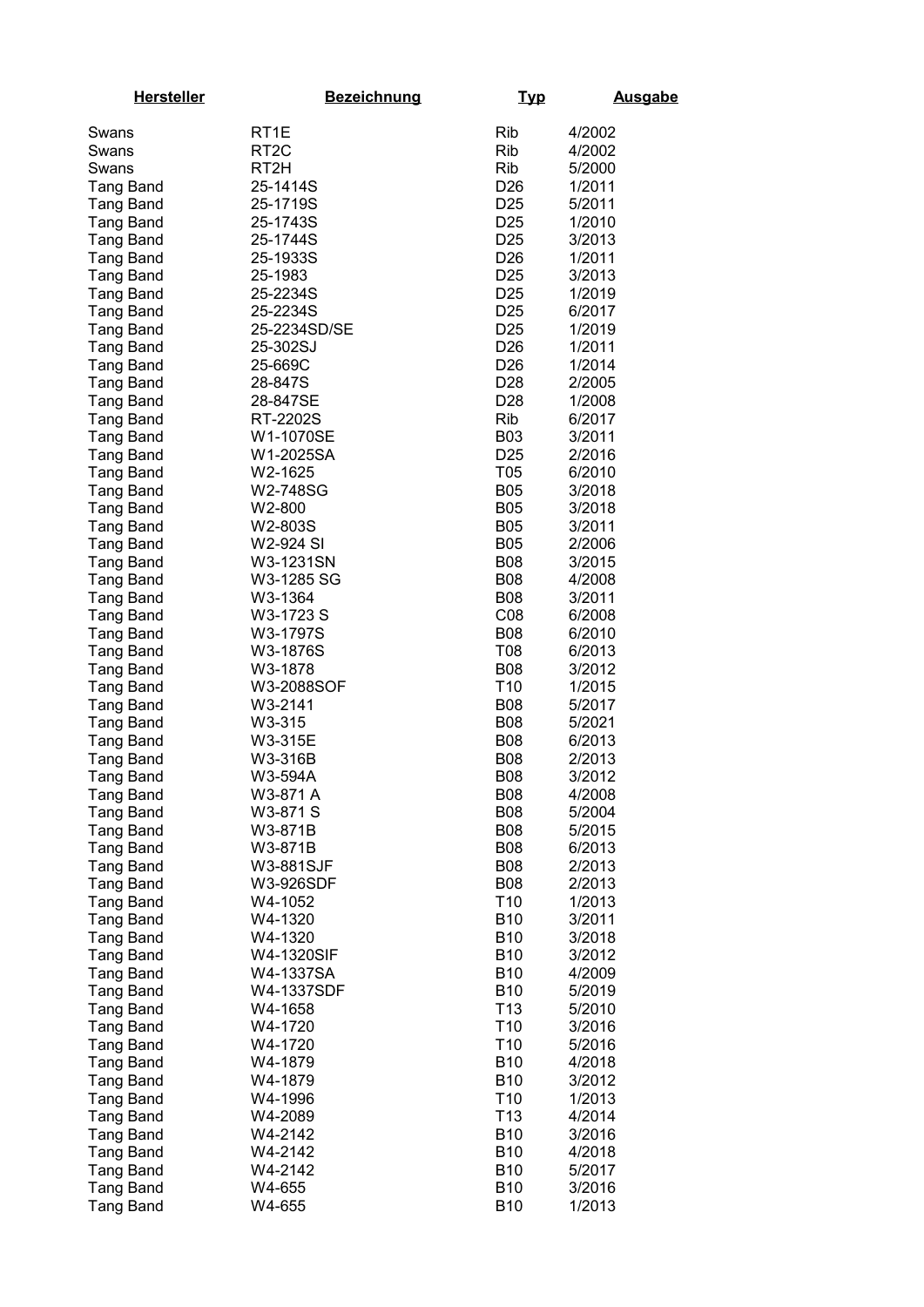| <b>Hersteller</b> | <b>Bezeichnung</b> | <u>Typ</u>      | <b>Ausgabe</b> |
|-------------------|--------------------|-----------------|----------------|
| Swans             | RT <sub>1</sub> E  | Rib             | 4/2002         |
| Swans             | RT <sub>2</sub> C  | Rib             | 4/2002         |
| Swans             | RT2H               | <b>Rib</b>      | 5/2000         |
| <b>Tang Band</b>  | 25-1414S           | D <sub>26</sub> | 1/2011         |
| <b>Tang Band</b>  | 25-1719S           | D <sub>25</sub> | 5/2011         |
| <b>Tang Band</b>  | 25-1743S           | D <sub>25</sub> | 1/2010         |
| <b>Tang Band</b>  | 25-1744S           | D <sub>25</sub> | 3/2013         |
| <b>Tang Band</b>  | 25-1933S           | D <sub>26</sub> | 1/2011         |
| <b>Tang Band</b>  | 25-1983            | D <sub>25</sub> | 3/2013         |
| Tang Band         | 25-2234S           | D <sub>25</sub> | 1/2019         |
| <b>Tang Band</b>  | 25-2234S           | D <sub>25</sub> | 6/2017         |
| <b>Tang Band</b>  | 25-2234SD/SE       | D <sub>25</sub> | 1/2019         |
| <b>Tang Band</b>  | 25-302SJ           | D <sub>26</sub> | 1/2011         |
| <b>Tang Band</b>  | 25-669C            | D <sub>26</sub> | 1/2014         |
| <b>Tang Band</b>  | 28-847S            | D <sub>28</sub> | 2/2005         |
| <b>Tang Band</b>  | 28-847SE           | D <sub>28</sub> | 1/2008         |
| <b>Tang Band</b>  | RT-2202S           | Rib             | 6/2017         |
| <b>Tang Band</b>  | W1-1070SE          | <b>B03</b>      | 3/2011         |
| <b>Tang Band</b>  | W1-2025SA          | D <sub>25</sub> | 2/2016         |
| <b>Tang Band</b>  | W2-1625            | T <sub>05</sub> | 6/2010         |
| Tang Band         | W2-748SG           | <b>B05</b>      | 3/2018         |
| <b>Tang Band</b>  | W2-800             | <b>B05</b>      | 3/2018         |
| <b>Tang Band</b>  | W2-803S            | <b>B05</b>      | 3/2011         |
| <b>Tang Band</b>  | W2-924 SI          | <b>B05</b>      | 2/2006         |
| <b>Tang Band</b>  | W3-1231SN          | <b>B08</b>      | 3/2015         |
| <b>Tang Band</b>  | W3-1285 SG         | <b>B08</b>      | 4/2008         |
| <b>Tang Band</b>  | W3-1364            | <b>B08</b>      | 3/2011         |
| <b>Tang Band</b>  | W3-1723 S          | CO8             | 6/2008         |
| Tang Band         | W3-1797S           | <b>B08</b>      | 6/2010         |
| <b>Tang Band</b>  | W3-1876S           | T08             | 6/2013         |
| <b>Tang Band</b>  | W3-1878            | <b>B08</b>      | 3/2012         |
| Tang Band         | W3-2088SOF         | T <sub>10</sub> | 1/2015         |
| <b>Tang Band</b>  | W3-2141            | <b>B08</b>      | 5/2017         |
| Tang Band         | W3-315             | <b>B08</b>      | 5/2021         |
| <b>Tang Band</b>  | W3-315E            | <b>B08</b>      | 6/2013         |
| Tang Band         | W3-316B            | <b>B08</b>      | 2/2013         |
| <b>Tang Band</b>  | W3-594A            | <b>B08</b>      | 3/2012         |
| <b>Tang Band</b>  | W3-871 A           | <b>B08</b>      | 4/2008         |
| <b>Tang Band</b>  | W3-871 S           | <b>B08</b>      | 5/2004         |
| <b>Tang Band</b>  | W3-871B            | <b>B08</b>      | 5/2015         |
| <b>Tang Band</b>  | W3-871B            | <b>B08</b>      | 6/2013         |
| <b>Tang Band</b>  | W3-881SJF          | <b>B08</b>      | 2/2013         |
| <b>Tang Band</b>  | W3-926SDF          | <b>B08</b>      | 2/2013         |
| <b>Tang Band</b>  | W4-1052            | T <sub>10</sub> | 1/2013         |
| <b>Tang Band</b>  | W4-1320            | <b>B10</b>      | 3/2011         |
| <b>Tang Band</b>  | W4-1320            | <b>B10</b>      | 3/2018         |
| <b>Tang Band</b>  | W4-1320SIF         | <b>B10</b>      | 3/2012         |
| Tang Band         | W4-1337SA          | <b>B10</b>      | 4/2009         |
| Tang Band         | W4-1337SDF         | <b>B10</b>      | 5/2019         |
| <b>Tang Band</b>  | W4-1658            | T <sub>13</sub> | 5/2010         |
| <b>Tang Band</b>  | W4-1720            | T <sub>10</sub> | 3/2016         |
| <b>Tang Band</b>  | W4-1720            | T <sub>10</sub> | 5/2016         |
| <b>Tang Band</b>  | W4-1879            | <b>B10</b>      | 4/2018         |
| <b>Tang Band</b>  | W4-1879            | <b>B10</b>      | 3/2012         |
| <b>Tang Band</b>  | W4-1996            | T <sub>10</sub> | 1/2013         |
| <b>Tang Band</b>  | W4-2089            | T <sub>13</sub> | 4/2014         |
| Tang Band         | W4-2142            | <b>B10</b>      | 3/2016         |
| <b>Tang Band</b>  | W4-2142            | <b>B10</b>      | 4/2018         |
| Tang Band         | W4-2142            | <b>B10</b>      | 5/2017         |
| <b>Tang Band</b>  | W4-655             | <b>B10</b>      | 3/2016         |
| <b>Tang Band</b>  | W4-655             | <b>B10</b>      | 1/2013         |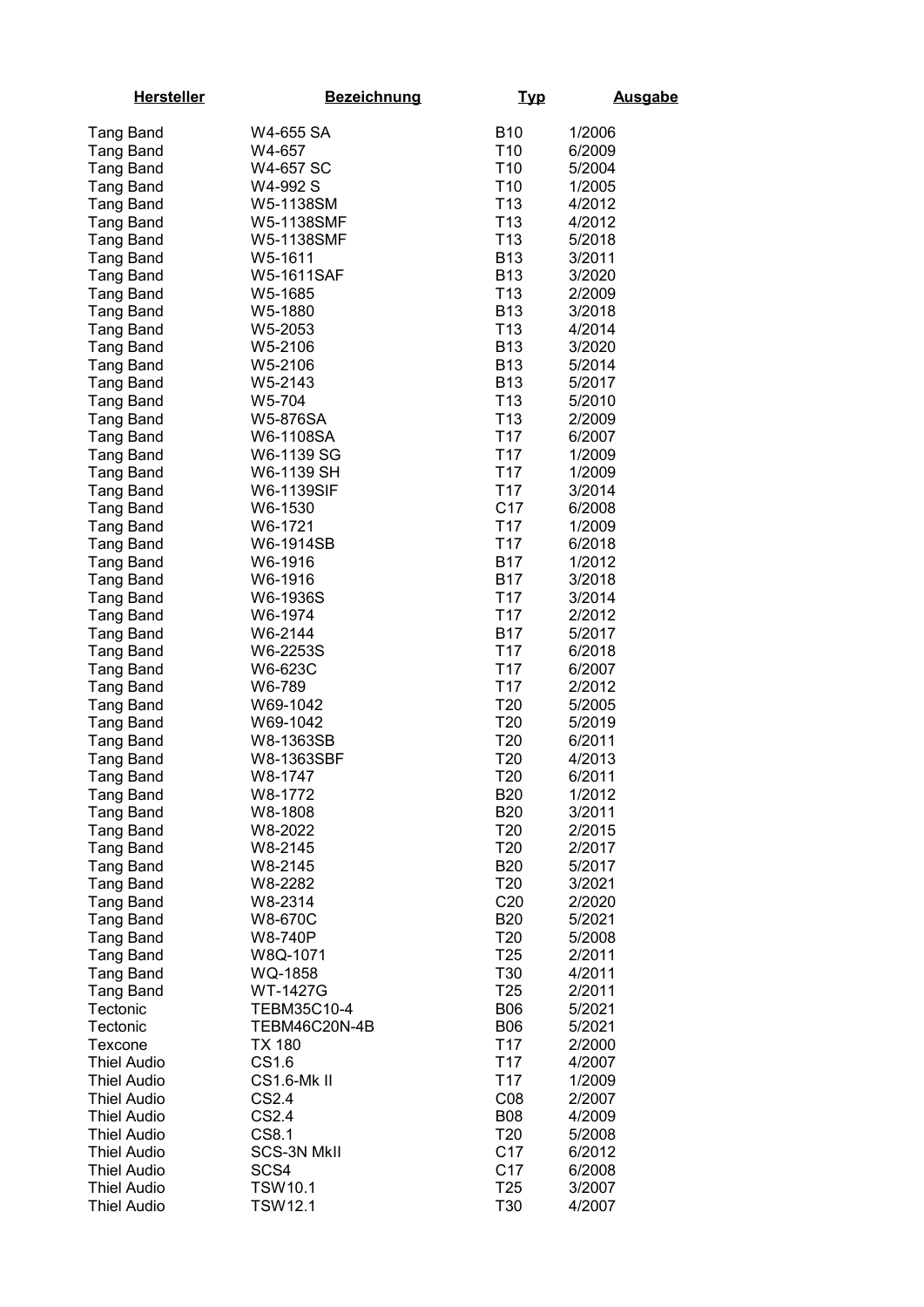| <b>Hersteller</b>                    | <b>Bezeichnung</b>  | <u>Typ</u>                         | <b>Ausgabe</b>   |
|--------------------------------------|---------------------|------------------------------------|------------------|
| <b>Tang Band</b>                     | W4-655 SA           | <b>B10</b>                         | 1/2006           |
| <b>Tang Band</b>                     | W4-657              | T <sub>10</sub>                    | 6/2009           |
| <b>Tang Band</b>                     | W4-657 SC           | T <sub>10</sub>                    | 5/2004           |
| <b>Tang Band</b>                     | W4-992 S            | T <sub>10</sub>                    | 1/2005           |
| <b>Tang Band</b>                     | W5-1138SM           | T <sub>13</sub>                    | 4/2012           |
| <b>Tang Band</b>                     | W5-1138SMF          | T <sub>13</sub>                    | 4/2012           |
| <b>Tang Band</b>                     | W5-1138SMF          | T <sub>13</sub>                    | 5/2018           |
| <b>Tang Band</b>                     | W5-1611             | <b>B13</b>                         | 3/2011           |
| <b>Tang Band</b>                     | W5-1611SAF          | <b>B13</b>                         | 3/2020           |
| <b>Tang Band</b>                     | W5-1685             | T <sub>13</sub>                    | 2/2009           |
| <b>Tang Band</b>                     | W5-1880             | <b>B13</b>                         | 3/2018           |
| <b>Tang Band</b>                     | W5-2053             | T <sub>13</sub>                    | 4/2014           |
| <b>Tang Band</b>                     | W5-2106             | <b>B13</b>                         | 3/2020           |
| <b>Tang Band</b>                     | W5-2106             | <b>B13</b>                         | 5/2014           |
| <b>Tang Band</b>                     | W5-2143             | <b>B13</b>                         | 5/2017           |
| <b>Tang Band</b>                     | W5-704              | T <sub>13</sub>                    | 5/2010           |
| <b>Tang Band</b>                     | W5-876SA            | T <sub>13</sub>                    | 2/2009           |
| <b>Tang Band</b>                     | W6-1108SA           | T17                                | 6/2007           |
| <b>Tang Band</b>                     | W6-1139 SG          | T <sub>17</sub>                    | 1/2009           |
| <b>Tang Band</b>                     | W6-1139 SH          | T <sub>17</sub>                    | 1/2009           |
| <b>Tang Band</b>                     | W6-1139SIF          | T <sub>17</sub>                    | 3/2014           |
| <b>Tang Band</b>                     | W6-1530             | C <sub>17</sub>                    | 6/2008           |
| <b>Tang Band</b>                     | W6-1721             | T <sub>17</sub>                    | 1/2009           |
| <b>Tang Band</b>                     | W6-1914SB           | T <sub>17</sub>                    | 6/2018           |
| <b>Tang Band</b>                     | W6-1916             | <b>B17</b>                         | 1/2012           |
| <b>Tang Band</b>                     | W6-1916             | <b>B17</b>                         | 3/2018           |
| <b>Tang Band</b>                     | W6-1936S            | T <sub>17</sub>                    | 3/2014           |
| <b>Tang Band</b>                     | W6-1974             | T <sub>17</sub>                    | 2/2012           |
| <b>Tang Band</b>                     | W6-2144             | B17                                | 5/2017           |
| <b>Tang Band</b>                     | W6-2253S            | T <sub>17</sub>                    | 6/2018           |
| <b>Tang Band</b>                     | W6-623C             | T <sub>17</sub>                    | 6/2007           |
| Tang Band                            | W6-789              | T <sub>17</sub>                    | 2/2012           |
| <b>Tang Band</b>                     | W69-1042            | T <sub>20</sub>                    | 5/2005           |
| <b>Tang Band</b>                     | W69-1042            | T <sub>20</sub>                    | 5/2019           |
| <b>Tang Band</b>                     | W8-1363SB           | T <sub>20</sub>                    | 6/2011           |
| <b>Tang Band</b>                     | W8-1363SBF          | T <sub>20</sub>                    | 4/2013           |
| Tang Band                            | W8-1747             | T <sub>20</sub>                    | 6/2011           |
| <b>Tang Band</b>                     | W8-1772             | <b>B20</b>                         | 1/2012           |
| <b>Tang Band</b>                     | W8-1808             | <b>B20</b>                         | 3/2011           |
| <b>Tang Band</b>                     | W8-2022             | T <sub>20</sub>                    | 2/2015           |
| <b>Tang Band</b>                     | W8-2145             | T <sub>20</sub>                    | 2/2017           |
| <b>Tang Band</b>                     | W8-2145             | <b>B20</b>                         | 5/2017           |
| <b>Tang Band</b>                     | W8-2282             | T <sub>20</sub>                    | 3/2021           |
| <b>Tang Band</b>                     | W8-2314             | C <sub>20</sub>                    | 2/2020           |
| <b>Tang Band</b>                     | W8-670C             | <b>B20</b>                         | 5/2021           |
| <b>Tang Band</b>                     | W8-740P             | T <sub>20</sub><br>T <sub>25</sub> | 5/2008<br>2/2011 |
| <b>Tang Band</b><br><b>Tang Band</b> | W8Q-1071            | T <sub>30</sub>                    | 4/2011           |
| Tang Band                            | WQ-1858<br>WT-1427G | T <sub>25</sub>                    | 2/2011           |
| Tectonic                             | TEBM35C10-4         | <b>B06</b>                         | 5/2021           |
| Tectonic                             | TEBM46C20N-4B       | <b>B06</b>                         | 5/2021           |
| Texcone                              | TX 180              | T <sub>17</sub>                    | 2/2000           |
| <b>Thiel Audio</b>                   | CS1.6               | T <sub>17</sub>                    | 4/2007           |
| <b>Thiel Audio</b>                   | <b>CS1.6-Mk II</b>  | T <sub>17</sub>                    | 1/2009           |
| Thiel Audio                          | CS2.4               | CO8                                | 2/2007           |
| <b>Thiel Audio</b>                   | CS2.4               | <b>B08</b>                         | 4/2009           |
| <b>Thiel Audio</b>                   | CS8.1               | T <sub>20</sub>                    | 5/2008           |
| Thiel Audio                          | <b>SCS-3N MkII</b>  | C <sub>17</sub>                    | 6/2012           |
| Thiel Audio                          | SCS4                | C <sub>17</sub>                    | 6/2008           |
| <b>Thiel Audio</b>                   | TSW10.1             | T <sub>25</sub>                    | 3/2007           |
| <b>Thiel Audio</b>                   | <b>TSW12.1</b>      | T <sub>30</sub>                    | 4/2007           |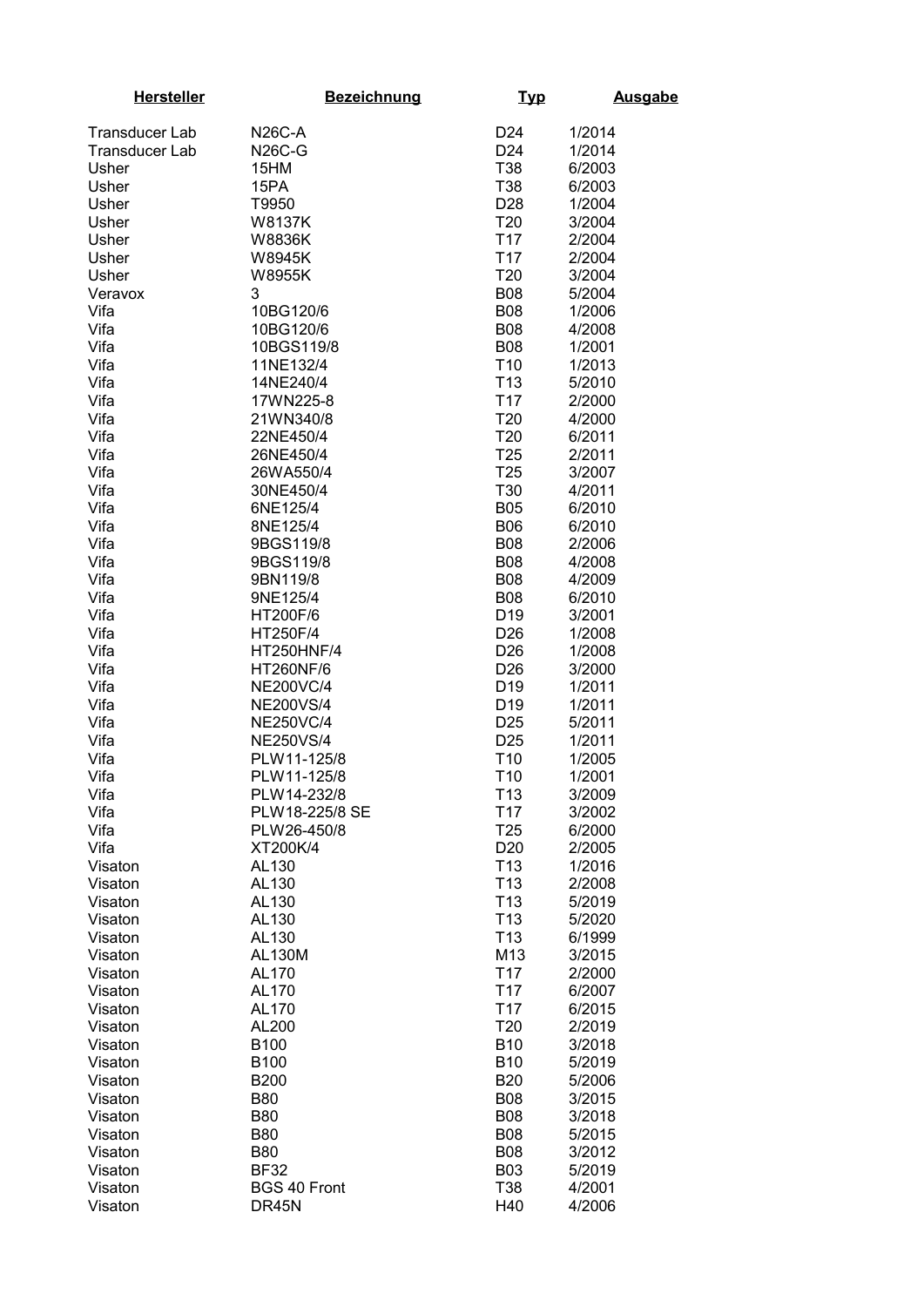| <b>Hersteller</b>     | <b>Bezeichnung</b>              | <u>Typ</u>                         | <b>Ausgabe</b>   |
|-----------------------|---------------------------------|------------------------------------|------------------|
| <b>Transducer Lab</b> | <b>N26C-A</b>                   | D <sub>24</sub>                    | 1/2014           |
| <b>Transducer Lab</b> | <b>N26C-G</b>                   | D <sub>24</sub>                    | 1/2014           |
| Usher                 | 15HM                            | T38                                | 6/2003           |
| Usher                 | 15PA                            | T38                                | 6/2003           |
| Usher                 | T9950                           | D <sub>28</sub>                    | 1/2004           |
| Usher                 | W8137K                          | T20                                | 3/2004           |
| Usher                 | W8836K                          | T <sub>17</sub>                    | 2/2004           |
| Usher                 | W8945K                          | T <sub>17</sub>                    | 2/2004           |
| Usher                 | <b>W8955K</b>                   | T20                                | 3/2004           |
| Veravox               | 3                               | <b>B08</b>                         | 5/2004           |
| Vifa                  | 10BG120/6                       | <b>B08</b>                         | 1/2006           |
| Vifa                  | 10BG120/6                       | <b>B08</b>                         | 4/2008           |
| Vifa                  | 10BGS119/8                      | <b>B08</b>                         | 1/2001           |
| Vifa                  | 11NE132/4                       | T <sub>10</sub>                    | 1/2013           |
| Vifa                  | 14NE240/4                       | T <sub>13</sub>                    | 5/2010           |
| Vifa                  | 17WN225-8                       | T <sub>17</sub>                    | 2/2000           |
| Vifa                  | 21WN340/8                       | T20                                | 4/2000           |
| Vifa                  | 22NE450/4                       | T20                                | 6/2011           |
| Vifa                  | 26NE450/4                       | <b>T25</b><br>T <sub>25</sub>      | 2/2011           |
| Vifa<br>Vifa          | 26WA550/4<br>30NE450/4          | T30                                | 3/2007<br>4/2011 |
| Vifa                  | 6NE125/4                        | <b>B05</b>                         | 6/2010           |
| Vifa                  | 8NE125/4                        | <b>B06</b>                         | 6/2010           |
| Vifa                  | 9BGS119/8                       | <b>B08</b>                         | 2/2006           |
| Vifa                  | 9BGS119/8                       | <b>B08</b>                         | 4/2008           |
| Vifa                  | 9BN119/8                        | <b>B08</b>                         | 4/2009           |
| Vifa                  | 9NE125/4                        | <b>B08</b>                         | 6/2010           |
| Vifa                  | HT200F/6                        | D <sub>19</sub>                    | 3/2001           |
| Vifa                  | HT250F/4                        | D <sub>26</sub>                    | 1/2008           |
| Vifa                  | HT250HNF/4                      | D <sub>26</sub>                    | 1/2008           |
| Vifa                  | <b>HT260NF/6</b>                | D <sub>26</sub>                    | 3/2000           |
| Vifa                  | <b>NE200VC/4</b>                | D <sub>19</sub>                    | 1/2011           |
| Vifa                  | <b>NE200VS/4</b>                | D <sub>19</sub>                    | 1/2011           |
| Vifa                  | <b>NE250VC/4</b>                | D <sub>25</sub>                    | 5/2011           |
| Vifa<br>Vifa          | <b>NE250VS/4</b><br>PLW11-125/8 | D <sub>25</sub><br>T <sub>10</sub> | 1/2011<br>1/2005 |
| Vifa                  | PLW11-125/8                     | T <sub>10</sub>                    | 1/2001           |
| Vifa                  | PLW14-232/8                     | T <sub>13</sub>                    | 3/2009           |
| Vifa                  | PLW18-225/8 SE                  | T <sub>17</sub>                    | 3/2002           |
| Vifa                  | PLW26-450/8                     | T <sub>25</sub>                    | 6/2000           |
| Vifa                  | XT200K/4                        | D <sub>20</sub>                    | 2/2005           |
| Visaton               | AL130                           | T <sub>13</sub>                    | 1/2016           |
| Visaton               | AL130                           | T <sub>13</sub>                    | 2/2008           |
| Visaton               | AL130                           | T <sub>13</sub>                    | 5/2019           |
| Visaton               | AL130                           | T <sub>13</sub>                    | 5/2020           |
| Visaton               | AL130                           | T <sub>13</sub>                    | 6/1999           |
| Visaton<br>Visaton    | <b>AL130M</b><br>AL170          | M13<br>T <sub>17</sub>             | 3/2015<br>2/2000 |
| Visaton               | AL170                           | T <sub>17</sub>                    | 6/2007           |
| Visaton               | AL170                           | T <sub>17</sub>                    | 6/2015           |
| Visaton               | AL200                           | T <sub>20</sub>                    | 2/2019           |
| Visaton               | B100                            | <b>B10</b>                         | 3/2018           |
| Visaton               | <b>B100</b>                     | <b>B10</b>                         | 5/2019           |
| Visaton               | <b>B200</b>                     | <b>B20</b>                         | 5/2006           |
| Visaton               | <b>B80</b>                      | <b>B08</b>                         | 3/2015           |
| Visaton               | <b>B80</b>                      | <b>B08</b>                         | 3/2018           |
| Visaton               | <b>B80</b>                      | <b>B08</b>                         | 5/2015           |
| Visaton               | <b>B80</b>                      | <b>B08</b>                         | 3/2012           |
| Visaton               | <b>BF32</b>                     | <b>B03</b>                         | 5/2019           |
| Visaton<br>Visaton    | <b>BGS 40 Front</b><br>DR45N    | T38<br>H40                         | 4/2001<br>4/2006 |
|                       |                                 |                                    |                  |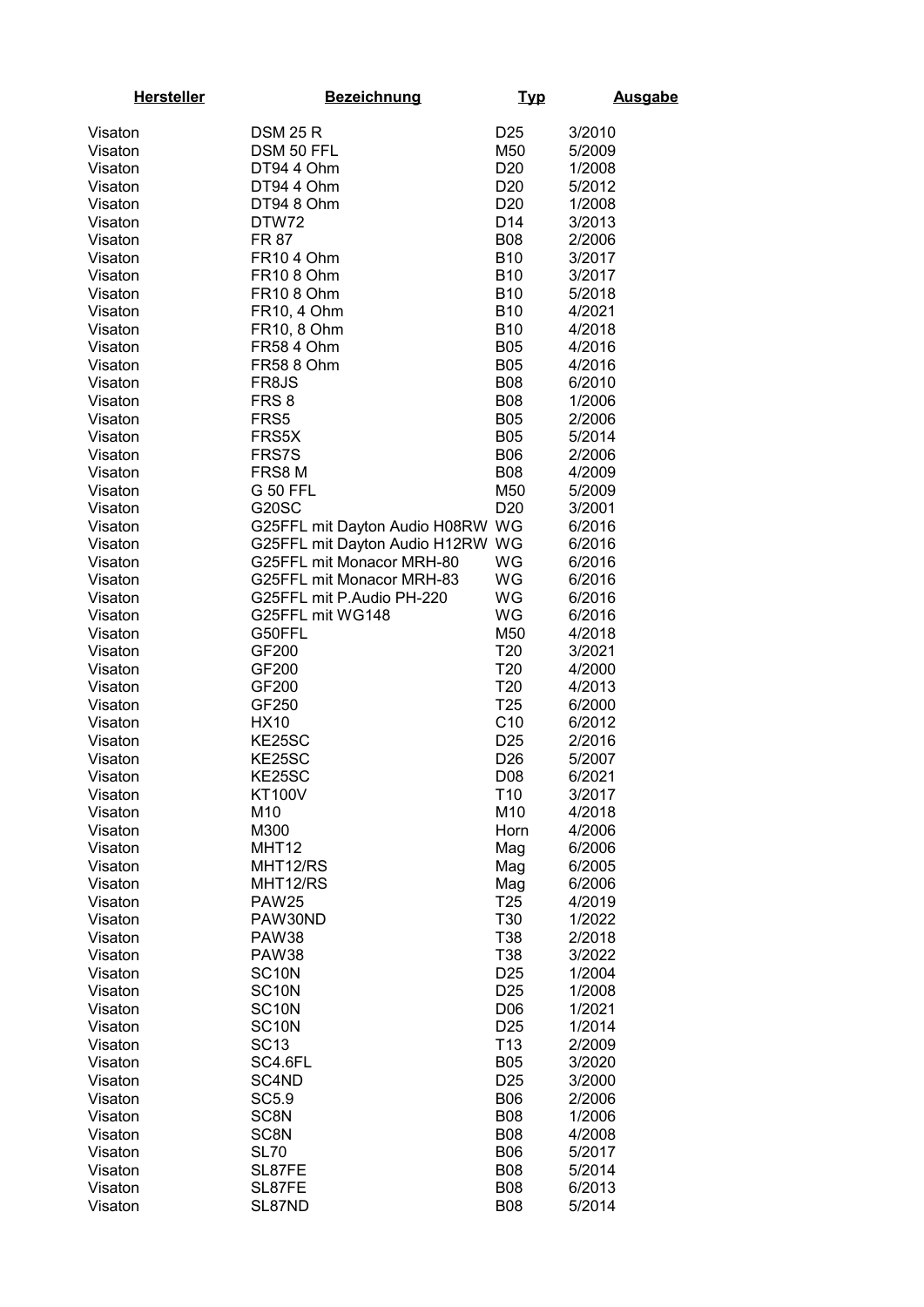| <b>Hersteller</b>  | <b>Bezeichnung</b>               | <u>Typ</u>      | <b>Ausgabe</b> |
|--------------------|----------------------------------|-----------------|----------------|
| Visaton            | <b>DSM 25 R</b>                  | D <sub>25</sub> | 3/2010         |
| Visaton            | DSM 50 FFL                       | M50             | 5/2009         |
|                    | DT94 4 Ohm                       | D <sub>20</sub> | 1/2008         |
| Visaton            |                                  |                 |                |
| Visaton            | DT94 4 Ohm                       | D <sub>20</sub> | 5/2012         |
| Visaton            | DT94 8 Ohm                       | D <sub>20</sub> | 1/2008         |
| Visaton            | DTW72                            | D <sub>14</sub> | 3/2013         |
| Visaton            | <b>FR 87</b>                     | <b>B08</b>      | 2/2006         |
| Visaton            | <b>FR104 Ohm</b>                 | <b>B10</b>      | 3/2017         |
| Visaton            | <b>FR108 Ohm</b>                 | <b>B10</b>      | 3/2017         |
| Visaton            | <b>FR10 8 Ohm</b>                | <b>B10</b>      | 5/2018         |
| Visaton            | FR10, 4 Ohm                      | <b>B10</b>      | 4/2021         |
| Visaton            | FR10, 8 Ohm                      | <b>B10</b>      | 4/2018         |
| Visaton            | <b>FR58 4 Ohm</b>                | <b>B05</b>      | 4/2016         |
| Visaton            | <b>FR58 8 Ohm</b>                | <b>B05</b>      | 4/2016         |
| Visaton            | FR8JS                            | <b>B08</b>      | 6/2010         |
| Visaton            | FRS <sub>8</sub>                 | <b>B08</b>      | 1/2006         |
| Visaton            | FRS5                             | <b>B05</b>      | 2/2006         |
| Visaton            | FRS5X                            | <b>B05</b>      | 5/2014         |
| Visaton            | <b>FRS7S</b>                     | <b>B06</b>      | 2/2006         |
| Visaton            | FRS8 M                           | <b>B08</b>      | 4/2009         |
| Visaton            | <b>G 50 FFL</b>                  | M50             | 5/2009         |
| Visaton            | <b>G20SC</b>                     | D <sub>20</sub> | 3/2001         |
| Visaton            | G25FFL mit Dayton Audio H08RW WG |                 | 6/2016         |
| Visaton            | G25FFL mit Dayton Audio H12RW WG |                 | 6/2016         |
| Visaton            | G25FFL mit Monacor MRH-80        | WG              | 6/2016         |
| Visaton            | G25FFL mit Monacor MRH-83        | WG              | 6/2016         |
| Visaton            | G25FFL mit P.Audio PH-220        | WG              | 6/2016         |
| Visaton            | G25FFL mit WG148                 | WG              | 6/2016         |
| Visaton            | G50FFL                           | M50             | 4/2018         |
| Visaton            | GF200                            | T <sub>20</sub> | 3/2021         |
| Visaton            | GF200                            | T <sub>20</sub> | 4/2000         |
| Visaton            | GF200                            | T <sub>20</sub> | 4/2013         |
| Visaton            | GF250                            | T <sub>25</sub> | 6/2000         |
| Visaton            | <b>HX10</b>                      | C10             | 6/2012         |
| Visaton            | KE25SC                           | D <sub>25</sub> | 2/2016         |
| Visaton            | KE25SC                           | D <sub>26</sub> | 5/2007         |
| Visaton            | KE25SC                           | D08             | 6/2021         |
| Visaton            | <b>KT100V</b>                    | T <sub>10</sub> | 3/2017         |
| Visaton            | M10                              | M10             | 4/2018         |
| Visaton            | M300                             | Horn            | 4/2006         |
|                    | MHT12                            |                 | 6/2006         |
| Visaton            | MHT12/RS                         | Mag             | 6/2005         |
| Visaton<br>Visaton | MHT12/RS                         | Mag<br>Mag      | 6/2006         |
|                    | <b>PAW25</b>                     | T <sub>25</sub> | 4/2019         |
| Visaton            |                                  | T30             |                |
| Visaton            | PAW30ND                          |                 | 1/2022         |
| Visaton            | <b>PAW38</b>                     | T38             | 2/2018         |
| Visaton            | <b>PAW38</b>                     | T38             | 3/2022         |
| Visaton            | SC <sub>10N</sub>                | D <sub>25</sub> | 1/2004         |
| Visaton            | SC <sub>10N</sub>                | D <sub>25</sub> | 1/2008         |
| Visaton            | SC <sub>10</sub> N               | D06             | 1/2021         |
| Visaton            | SC <sub>10N</sub>                | D <sub>25</sub> | 1/2014         |
| Visaton            | <b>SC13</b>                      | T <sub>13</sub> | 2/2009         |
| Visaton            | SC4.6FL                          | <b>B05</b>      | 3/2020         |
| Visaton            | SC4ND                            | D <sub>25</sub> | 3/2000         |
| Visaton            | <b>SC5.9</b>                     | <b>B06</b>      | 2/2006         |
| Visaton            | SC8N                             | <b>B08</b>      | 1/2006         |
| Visaton            | SC8N                             | <b>B08</b>      | 4/2008         |
| Visaton            | <b>SL70</b>                      | <b>B06</b>      | 5/2017         |
| Visaton            | SL87FE                           | <b>B08</b>      | 5/2014         |
| Visaton            | SL87FE                           | <b>B08</b>      | 6/2013         |
| Visaton            | SL87ND                           | <b>B08</b>      | 5/2014         |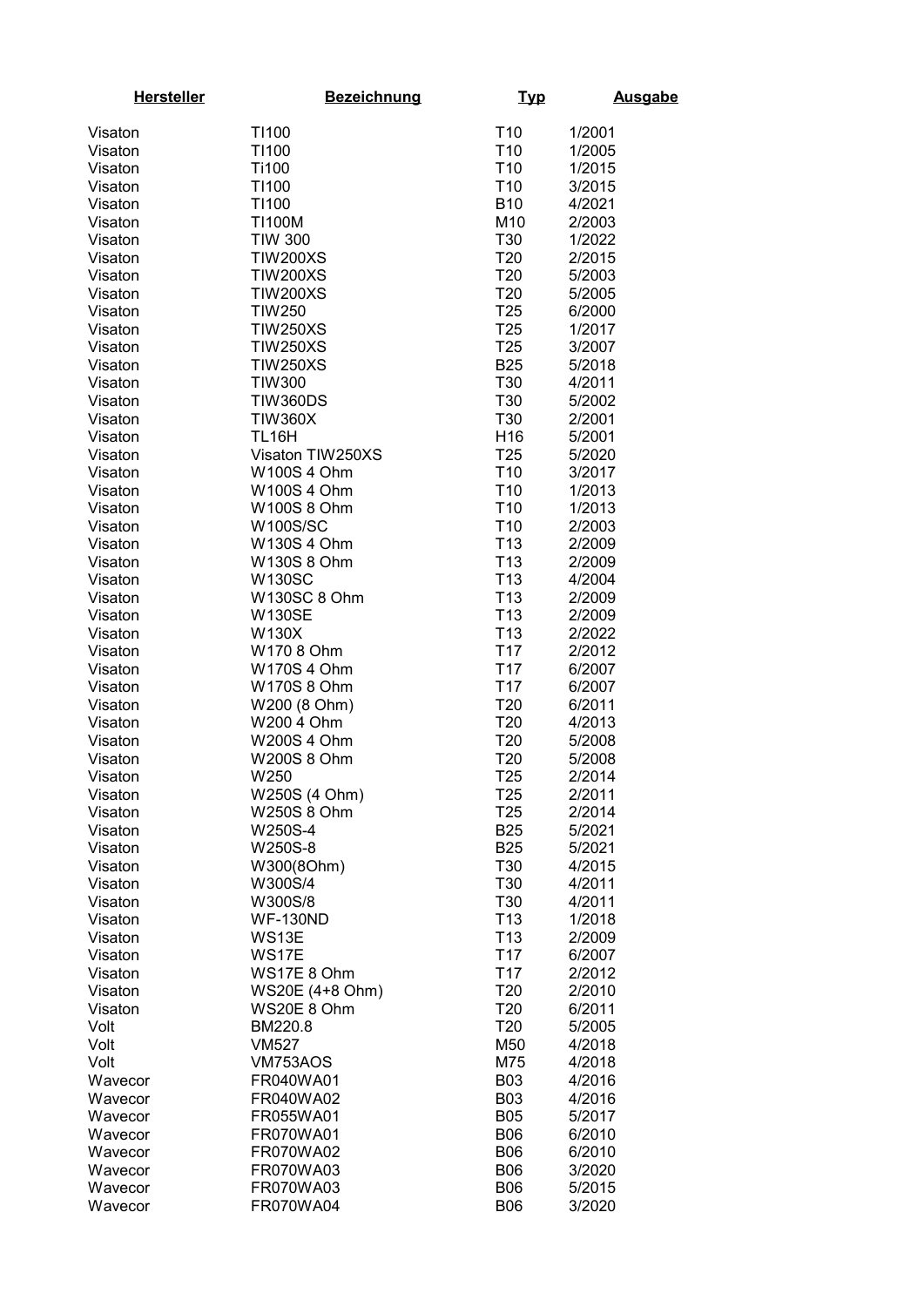| <b>Hersteller</b>  | <b>Bezeichnung</b>       | <u>Typ</u>             | <b>Ausgabe</b>   |
|--------------------|--------------------------|------------------------|------------------|
| Visaton            | T1100                    | T <sub>10</sub>        | 1/2001           |
| Visaton            | T1100                    | T <sub>10</sub>        | 1/2005           |
| Visaton            | Ti100                    | T <sub>10</sub>        | 1/2015           |
| Visaton            | T1100                    | T <sub>10</sub>        | 3/2015           |
| Visaton            | T1100                    | <b>B10</b>             | 4/2021           |
| Visaton            | <b>TI100M</b>            | M10                    | 2/2003           |
| Visaton            | <b>TIW 300</b>           | T30                    | 1/2022           |
| Visaton            | <b>TIW200XS</b>          | T <sub>20</sub>        | 2/2015           |
| Visaton            | <b>TIW200XS</b>          | <b>T20</b>             | 5/2003           |
| Visaton            | <b>TIW200XS</b>          | T <sub>20</sub>        | 5/2005           |
| Visaton            | <b>TIW250</b>            | T <sub>25</sub>        | 6/2000           |
| Visaton            | <b>TIW250XS</b>          | T <sub>25</sub>        | 1/2017           |
| Visaton            | <b>TIW250XS</b>          | T <sub>25</sub>        | 3/2007           |
| Visaton            | <b>TIW250XS</b>          | <b>B25</b>             | 5/2018           |
| Visaton            | <b>TIW300</b>            | T30                    | 4/2011           |
| Visaton            | <b>TIW360DS</b>          | <b>T30</b>             | 5/2002           |
| Visaton            | <b>TIW360X</b>           | T30                    | 2/2001           |
| Visaton            | <b>TL16H</b>             | H <sub>16</sub>        | 5/2001           |
| Visaton            | Visaton TIW250XS         | T <sub>25</sub>        | 5/2020           |
| Visaton            | W100S 4 Ohm              | T <sub>10</sub>        | 3/2017           |
| Visaton            | W100S 4 Ohm              | T <sub>10</sub>        | 1/2013           |
| Visaton            | W100S 8 Ohm              | T <sub>10</sub>        | 1/2013           |
| Visaton            | <b>W100S/SC</b>          | T <sub>10</sub>        | 2/2003           |
| Visaton            | W130S 4 Ohm              | T <sub>13</sub>        | 2/2009           |
| Visaton            | W130S 8 Ohm              | T <sub>13</sub>        | 2/2009           |
| Visaton            | <b>W130SC</b>            | T <sub>13</sub>        | 4/2004           |
| Visaton            | <b>W130SC 8 Ohm</b>      | T <sub>13</sub>        | 2/2009           |
| Visaton            | <b>W130SE</b>            | T <sub>13</sub>        | 2/2009           |
| Visaton            | W130X                    | T <sub>13</sub>        | 2/2022           |
| Visaton            | W170 8 Ohm               | T <sub>17</sub>        | 2/2012           |
| Visaton            | <b>W170S4 Ohm</b>        | T <sub>17</sub>        | 6/2007           |
| Visaton            | <b>W170S 8 Ohm</b>       | T <sub>17</sub>        | 6/2007           |
| Visaton            | W200 (8 Ohm)             | T <sub>20</sub>        | 6/2011           |
| Visaton            | W200 4 Ohm               | T <sub>20</sub>        | 4/2013           |
| Visaton            | <b>W200S 4 Ohm</b>       | T <sub>20</sub>        | 5/2008           |
| Visaton            | <b>W200S 8 Ohm</b>       | T20                    | 5/2008           |
| Visaton            | W250                     | T <sub>25</sub>        | 2/2014           |
| Visaton            | W250S (4 Ohm)            | T <sub>25</sub>        | 2/2011           |
| Visaton            | <b>W250S 8 Ohm</b>       | T <sub>25</sub>        | 2/2014           |
| Visaton            | W250S-4                  | <b>B25</b>             | 5/2021           |
| Visaton            | W250S-8                  | <b>B25</b>             | 5/2021           |
| Visaton            | W300(8Ohm)               | T30                    | 4/2015           |
| Visaton            | W300S/4                  | T30                    | 4/2011           |
| Visaton<br>Visaton | W300S/8                  | T30<br>T <sub>13</sub> | 4/2011<br>1/2018 |
|                    | <b>WF-130ND</b><br>WS13E | T <sub>13</sub>        | 2/2009           |
| Visaton<br>Visaton | WS17E                    | T <sub>17</sub>        | 6/2007           |
| Visaton            | WS17E 8 Ohm              | T <sub>17</sub>        | 2/2012           |
| Visaton            | WS20E (4+8 Ohm)          | T <sub>20</sub>        | 2/2010           |
| Visaton            | WS20E 8 Ohm              | T20                    | 6/2011           |
| Volt               | BM220.8                  | T <sub>20</sub>        | 5/2005           |
| Volt               | <b>VM527</b>             | M50                    | 4/2018           |
| Volt               | VM753AOS                 | M75                    | 4/2018           |
| Wavecor            | FR040WA01                | <b>B03</b>             | 4/2016           |
| Wavecor            | FR040WA02                | <b>B03</b>             | 4/2016           |
| Wavecor            | FR055WA01                | <b>B05</b>             | 5/2017           |
| Wavecor            | FR070WA01                | <b>B06</b>             | 6/2010           |
| Wavecor            | FR070WA02                | <b>B06</b>             | 6/2010           |
| Wavecor            | FR070WA03                | <b>B06</b>             | 3/2020           |
| Wavecor            | FR070WA03                | <b>B06</b>             | 5/2015           |
| Wavecor            | FR070WA04                | <b>B06</b>             | 3/2020           |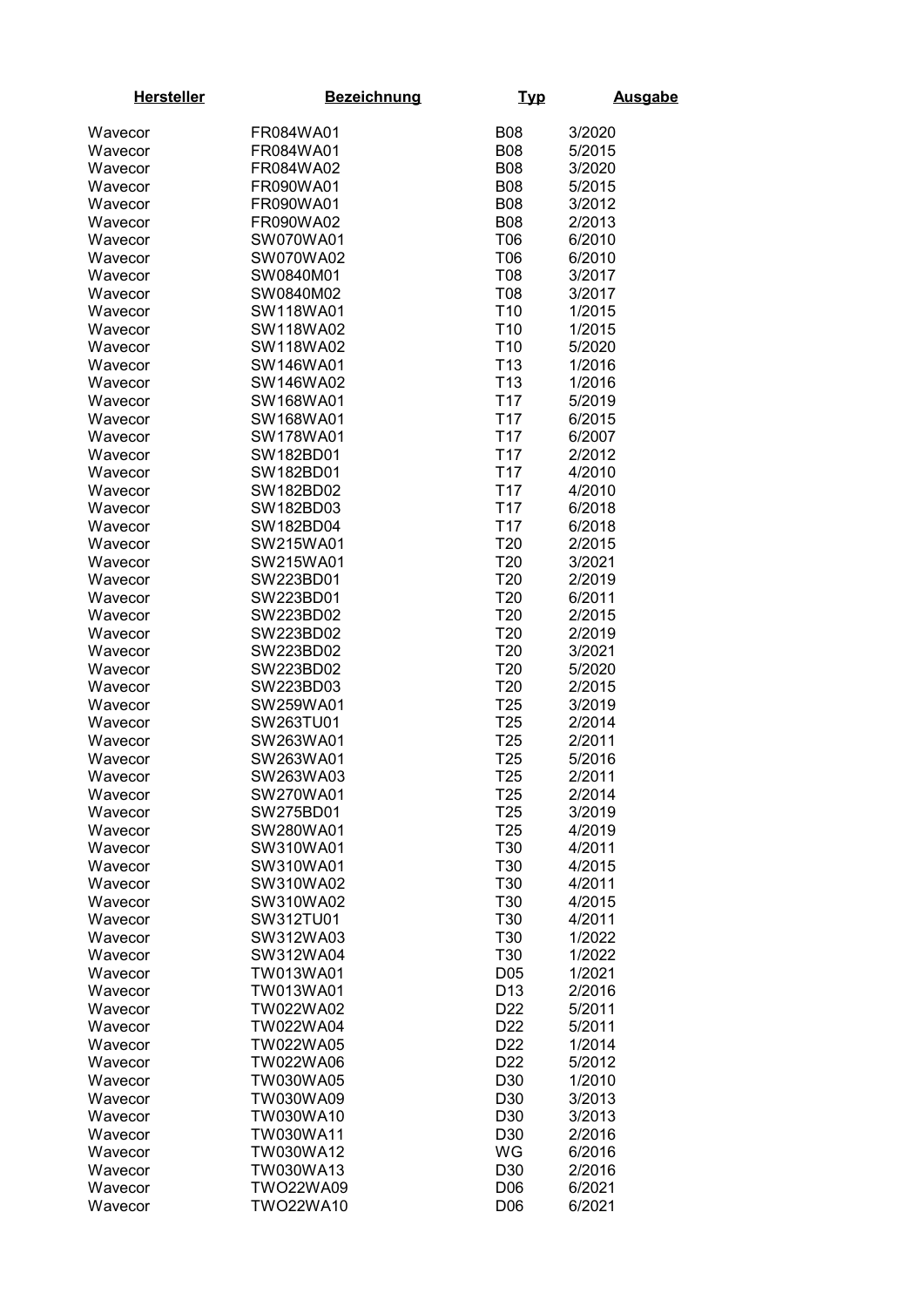| <b>Hersteller</b>  | <b>Bezeichnung</b> | <u>Typ</u>      | <b>Ausgabe</b> |
|--------------------|--------------------|-----------------|----------------|
| Wavecor            | FR084WA01          | <b>B08</b>      | 3/2020         |
| Wavecor            | FR084WA01          | <b>B08</b>      | 5/2015         |
| Wavecor            | FR084WA02          | <b>B08</b>      | 3/2020         |
| Wavecor            | FR090WA01          | <b>B08</b>      | 5/2015         |
| Wavecor            | FR090WA01          | <b>B08</b>      | 3/2012         |
| Wavecor            | FR090WA02          | <b>B08</b>      | 2/2013         |
| Wavecor            | SW070WA01          | T06             | 6/2010         |
| Wavecor            | SW070WA02          | T06             | 6/2010         |
| Wavecor            | SW0840M01          | T08             | 3/2017         |
|                    | SW0840M02          | T08             | 3/2017         |
| Wavecor<br>Wavecor | SW118WA01          | T <sub>10</sub> | 1/2015         |
| Wavecor            | SW118WA02          | T <sub>10</sub> | 1/2015         |
| Wavecor            | SW118WA02          | T <sub>10</sub> | 5/2020         |
| Wavecor            | SW146WA01          | T <sub>13</sub> | 1/2016         |
| Wavecor            | SW146WA02          | T <sub>13</sub> | 1/2016         |
| Wavecor            | SW168WA01          | T <sub>17</sub> | 5/2019         |
| Wavecor            | SW168WA01          | T <sub>17</sub> | 6/2015         |
| Wavecor            | SW178WA01          | T <sub>17</sub> | 6/2007         |
| Wavecor            | SW182BD01          | T <sub>17</sub> | 2/2012         |
| Wavecor            | SW182BD01          | T <sub>17</sub> | 4/2010         |
| Wavecor            | SW182BD02          | T <sub>17</sub> | 4/2010         |
| Wavecor            | SW182BD03          | T <sub>17</sub> | 6/2018         |
| Wavecor            | SW182BD04          | T <sub>17</sub> | 6/2018         |
| Wavecor            | SW215WA01          | T20             | 2/2015         |
| Wavecor            | SW215WA01          | T20             | 3/2021         |
| Wavecor            | SW223BD01          | T20             | 2/2019         |
| Wavecor            | SW223BD01          | T20             | 6/2011         |
| Wavecor            | SW223BD02          | T20             | 2/2015         |
| Wavecor            | SW223BD02          | T20             | 2/2019         |
| Wavecor            | SW223BD02          | T20             | 3/2021         |
| Wavecor            | SW223BD02          | T20             | 5/2020         |
| Wavecor            | SW223BD03          | T20             | 2/2015         |
| Wavecor            | SW259WA01          | T <sub>25</sub> | 3/2019         |
| Wavecor            | SW263TU01          | T <sub>25</sub> | 2/2014         |
| Wavecor            | SW263WA01          | T <sub>25</sub> | 2/2011         |
| Wavecor            | SW263WA01          | T <sub>25</sub> | 5/2016         |
| Wavecor            | SW263WA03          | T <sub>25</sub> | 2/2011         |
| Wavecor            | SW270WA01          | T <sub>25</sub> | 2/2014         |
| Wavecor            | SW275BD01          | T <sub>25</sub> | 3/2019         |
| Wavecor            | SW280WA01          | T <sub>25</sub> | 4/2019         |
| Wavecor            | SW310WA01          | T30             | 4/2011         |
| Wavecor            | SW310WA01          | T30             | 4/2015         |
| Wavecor            | SW310WA02          | T30             | 4/2011         |
| Wavecor            | SW310WA02          | T30             | 4/2015         |
| Wavecor            | SW312TU01          | T30             | 4/2011         |
| Wavecor            | SW312WA03          | T30             | 1/2022         |
| Wavecor            | SW312WA04          | T30             | 1/2022         |
| Wavecor            | TW013WA01          | D05             | 1/2021         |
| Wavecor            | TW013WA01          | D <sub>13</sub> | 2/2016         |
| Wavecor            | TW022WA02          | D22             | 5/2011         |
| Wavecor            | TW022WA04          | D <sub>22</sub> | 5/2011         |
| Wavecor            | TW022WA05          | D <sub>22</sub> | 1/2014         |
| Wavecor            | TW022WA06          | D <sub>22</sub> | 5/2012         |
| Wavecor            | TW030WA05          | D30             | 1/2010         |
| Wavecor            | TW030WA09          | D30             | 3/2013         |
| Wavecor            | TW030WA10          | D30             | 3/2013         |
| Wavecor            | TW030WA11          | D30             | 2/2016         |
| Wavecor            | TW030WA12          | WG              | 6/2016         |
| Wavecor            | TW030WA13          | D30             | 2/2016         |
| Wavecor            | <b>TWO22WA09</b>   | D06             | 6/2021         |
| Wavecor            | <b>TWO22WA10</b>   | D06             | 6/2021         |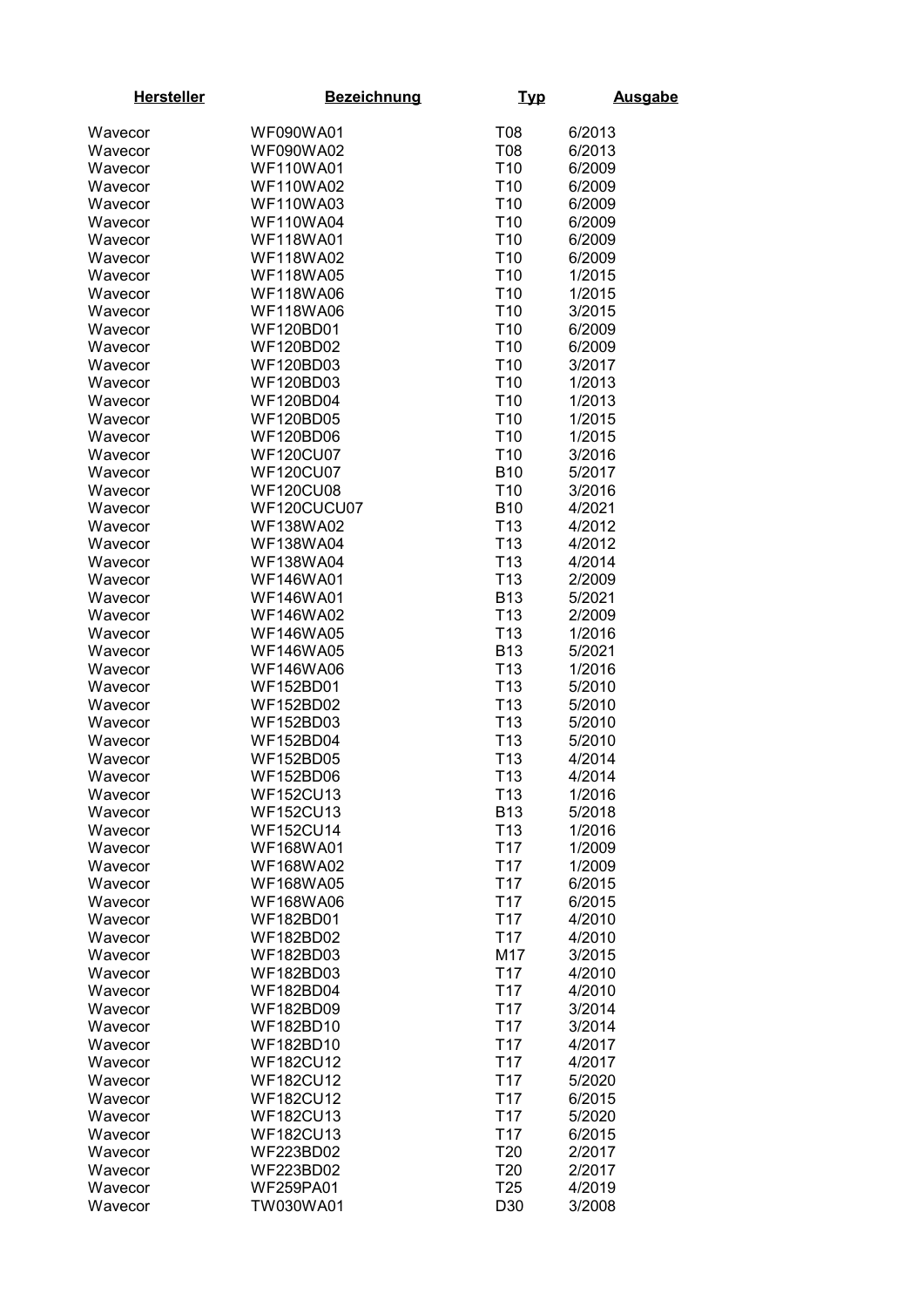| <b>Hersteller</b>  | <b>Bezeichnung</b>                   | <u>Typ</u>                    | <b>Ausgabe</b>   |
|--------------------|--------------------------------------|-------------------------------|------------------|
| Wavecor            | <b>WF090WA01</b>                     | T08                           | 6/2013           |
| Wavecor            | <b>WF090WA02</b>                     | T08                           | 6/2013           |
| Wavecor            | <b>WF110WA01</b>                     | T <sub>10</sub>               | 6/2009           |
| Wavecor            | <b>WF110WA02</b>                     | T <sub>10</sub>               | 6/2009           |
| Wavecor            | <b>WF110WA03</b>                     | T <sub>10</sub>               | 6/2009           |
| Wavecor            | <b>WF110WA04</b>                     | T <sub>10</sub>               | 6/2009           |
| Wavecor            | <b>WF118WA01</b>                     | T <sub>10</sub>               | 6/2009           |
| Wavecor            | <b>WF118WA02</b>                     | T <sub>10</sub>               | 6/2009           |
| Wavecor            | <b>WF118WA05</b>                     | T <sub>10</sub>               | 1/2015           |
| Wavecor            | <b>WF118WA06</b>                     | T <sub>10</sub>               | 1/2015           |
| Wavecor            | <b>WF118WA06</b>                     | T <sub>10</sub>               | 3/2015           |
| Wavecor            | <b>WF120BD01</b>                     | T <sub>10</sub>               | 6/2009           |
| Wavecor            | <b>WF120BD02</b>                     | T <sub>10</sub>               | 6/2009           |
| Wavecor            | <b>WF120BD03</b>                     | T <sub>10</sub>               | 3/2017           |
| Wavecor            | <b>WF120BD03</b>                     | T <sub>10</sub>               | 1/2013           |
| Wavecor            | <b>WF120BD04</b>                     | T <sub>10</sub>               | 1/2013           |
| Wavecor            | <b>WF120BD05</b>                     | T <sub>10</sub>               | 1/2015           |
| Wavecor            | <b>WF120BD06</b>                     | T <sub>10</sub>               | 1/2015           |
| Wavecor            | <b>WF120CU07</b>                     | T <sub>10</sub>               | 3/2016           |
| Wavecor            | <b>WF120CU07</b>                     | <b>B10</b>                    | 5/2017           |
| Wavecor            | <b>WF120CU08</b>                     | T <sub>10</sub>               | 3/2016           |
| Wavecor            | WF120CUCU07                          | <b>B10</b>                    | 4/2021           |
| Wavecor            | <b>WF138WA02</b>                     | T <sub>13</sub>               | 4/2012           |
| Wavecor            | <b>WF138WA04</b>                     | T <sub>13</sub>               | 4/2012           |
| Wavecor            | <b>WF138WA04</b>                     | T <sub>13</sub>               | 4/2014           |
| Wavecor            | <b>WF146WA01</b>                     | T <sub>13</sub>               | 2/2009           |
| Wavecor            | <b>WF146WA01</b>                     | <b>B13</b>                    | 5/2021           |
| Wavecor            | <b>WF146WA02</b>                     | T <sub>13</sub>               | 2/2009           |
| Wavecor            | <b>WF146WA05</b>                     | T <sub>13</sub>               | 1/2016           |
| Wavecor            | <b>WF146WA05</b>                     | <b>B13</b>                    | 5/2021           |
| Wavecor            | <b>WF146WA06</b>                     | T <sub>13</sub>               | 1/2016           |
| Wavecor            | <b>WF152BD01</b>                     | T <sub>13</sub>               | 5/2010           |
| Wavecor            | <b>WF152BD02</b>                     | T <sub>13</sub>               | 5/2010           |
| Wavecor            | <b>WF152BD03</b>                     | T <sub>13</sub>               | 5/2010           |
| Wavecor            | <b>WF152BD04</b>                     | T <sub>13</sub>               | 5/2010           |
| Wavecor            | <b>WF152BD05</b>                     | T <sub>13</sub>               | 4/2014           |
| Wavecor            | <b>WF152BD06</b>                     | T <sub>13</sub>               | 4/2014           |
| Wavecor<br>Wavecor | <b>WF152CU13</b><br><b>WF152CU13</b> | T <sub>13</sub><br><b>B13</b> | 1/2016<br>5/2018 |
| Wavecor            | <b>WF152CU14</b>                     | T <sub>13</sub>               | 1/2016           |
| Wavecor            | <b>WF168WA01</b>                     | T <sub>17</sub>               | 1/2009           |
| Wavecor            | <b>WF168WA02</b>                     | T <sub>17</sub>               | 1/2009           |
| Wavecor            | <b>WF168WA05</b>                     | T <sub>17</sub>               | 6/2015           |
| Wavecor            | <b>WF168WA06</b>                     | T <sub>17</sub>               | 6/2015           |
| Wavecor            | <b>WF182BD01</b>                     | T <sub>17</sub>               | 4/2010           |
| Wavecor            | <b>WF182BD02</b>                     | T <sub>17</sub>               | 4/2010           |
| Wavecor            | WF182BD03                            | M17                           | 3/2015           |
| Wavecor            | WF182BD03                            | T <sub>17</sub>               | 4/2010           |
| Wavecor            | <b>WF182BD04</b>                     | T <sub>17</sub>               | 4/2010           |
| Wavecor            | WF182BD09                            | T <sub>17</sub>               | 3/2014           |
| Wavecor            | WF182BD10                            | T <sub>17</sub>               | 3/2014           |
| Wavecor            | WF182BD10                            | T <sub>17</sub>               | 4/2017           |
| Wavecor            | <b>WF182CU12</b>                     | T <sub>17</sub>               | 4/2017           |
| Wavecor            | <b>WF182CU12</b>                     | T <sub>17</sub>               | 5/2020           |
| Wavecor            | <b>WF182CU12</b>                     | T <sub>17</sub>               | 6/2015           |
| Wavecor            | <b>WF182CU13</b>                     | T <sub>17</sub>               | 5/2020           |
| Wavecor            | <b>WF182CU13</b>                     | T <sub>17</sub>               | 6/2015           |
| Wavecor            | <b>WF223BD02</b>                     | T20                           | 2/2017           |
| Wavecor            | <b>WF223BD02</b>                     | T <sub>20</sub>               | 2/2017           |
| Wavecor            | <b>WF259PA01</b>                     | T <sub>25</sub>               | 4/2019           |
| Wavecor            | TW030WA01                            | D30                           | 3/2008           |